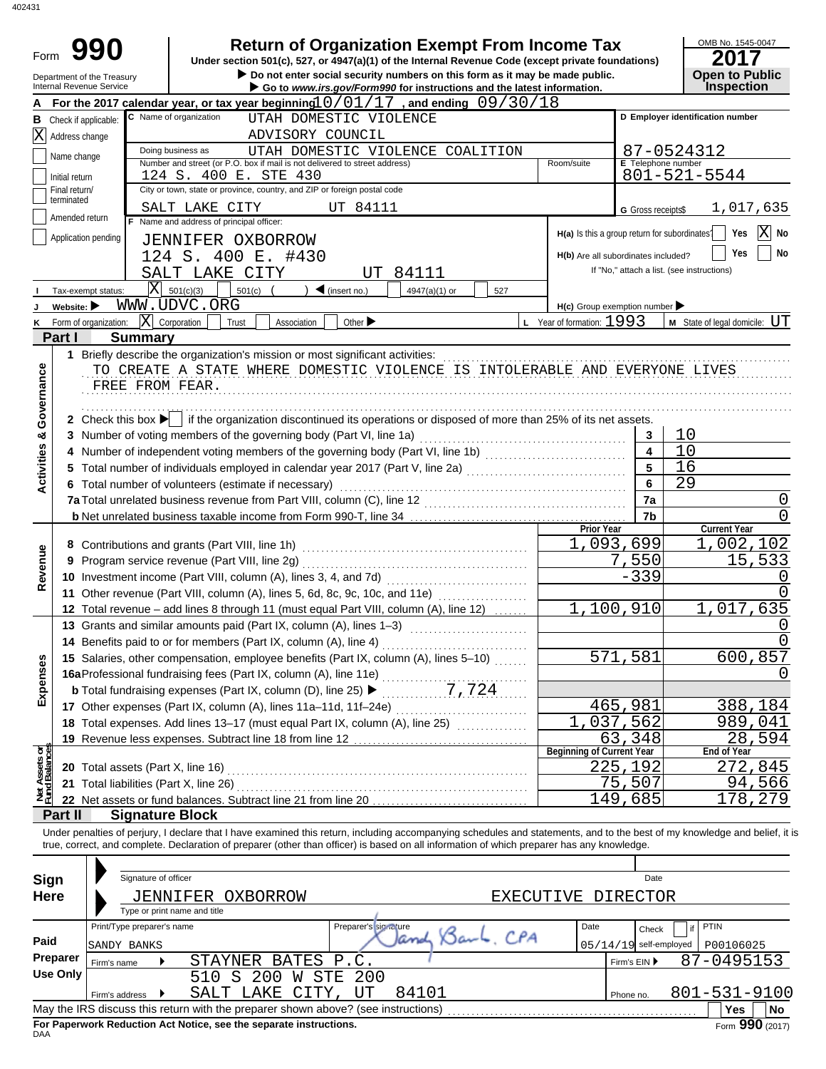4024

| 431<br>990<br>Form                                                  | <b>Return of Organization Exempt From Income Tax</b><br>Under section 501(c), 527, or 4947(a)(1) of the Internal Revenue Code (except private foundations)<br>Do not enter social security numbers on this form as it may be made public.                                                                                |                                                                     |                          | OMB No. 1545-0047<br>2017<br><b>Open to Public</b> |
|---------------------------------------------------------------------|--------------------------------------------------------------------------------------------------------------------------------------------------------------------------------------------------------------------------------------------------------------------------------------------------------------------------|---------------------------------------------------------------------|--------------------------|----------------------------------------------------|
| Department of the Treasury<br>Internal Revenue Service              | Go to www.irs.gov/Form990 for instructions and the latest information.                                                                                                                                                                                                                                                   |                                                                     |                          | <b>Inspection</b>                                  |
|                                                                     | For the 2017 calendar year, or tax year beginning $0/01/17$ , and ending $09/30/18$                                                                                                                                                                                                                                      |                                                                     |                          |                                                    |
| Check if applicable:<br>в                                           | C Name of organization<br>UTAH DOMESTIC VIOLENCE                                                                                                                                                                                                                                                                         |                                                                     |                          | D Employer identification number                   |
| X <br>Address change                                                | ADVISORY COUNCIL                                                                                                                                                                                                                                                                                                         |                                                                     |                          |                                                    |
| Name change                                                         | Doing business as<br>UTAH DOMESTIC VIOLENCE COALITION                                                                                                                                                                                                                                                                    |                                                                     |                          | 87-0524312                                         |
|                                                                     | Number and street (or P.O. box if mail is not delivered to street address)                                                                                                                                                                                                                                               | Room/suite                                                          | E Telephone number       |                                                    |
| Initial return<br>Final return/                                     | 124 S. 400 E. STE 430<br>City or town, state or province, country, and ZIP or foreign postal code                                                                                                                                                                                                                        |                                                                     |                          | $801 - 521 - 5544$                                 |
| terminated                                                          |                                                                                                                                                                                                                                                                                                                          |                                                                     |                          |                                                    |
| Amended return                                                      | SALT LAKE CITY<br>UT 84111<br>F Name and address of principal officer:                                                                                                                                                                                                                                                   |                                                                     | G Gross receipts\$       | 1,017,635                                          |
| Application pending                                                 | JENNIFER OXBORROW                                                                                                                                                                                                                                                                                                        | $H(a)$ Is this a group return for subordinates?                     |                          | $ X $ No<br>Yes                                    |
|                                                                     | 124 S. 400 E. #430                                                                                                                                                                                                                                                                                                       | H(b) Are all subordinates included?                                 |                          | Yes<br>No                                          |
|                                                                     | 84111<br>SALT LAKE CITY<br>UT                                                                                                                                                                                                                                                                                            |                                                                     |                          | If "No," attach a list. (see instructions)         |
| Tax-exempt status:                                                  | $X \ 501(c)(3)$<br>501(c)<br>$\triangleleft$ (insert no.)<br>527                                                                                                                                                                                                                                                         |                                                                     |                          |                                                    |
| Website: $\blacktriangleright$                                      | 4947(a)(1) or<br>WWW.UDVC.ORG                                                                                                                                                                                                                                                                                            |                                                                     |                          |                                                    |
|                                                                     | $ \mathbf{X} $ Corporation                                                                                                                                                                                                                                                                                               | $H(c)$ Group exemption number<br><b>L</b> Year of formation: $1993$ |                          |                                                    |
| Form of organization:<br>Part I<br><b>Summary</b>                   | Trust<br>Association<br>Other $\blacktriangleright$                                                                                                                                                                                                                                                                      |                                                                     |                          | $M$ State of legal domicile: $UT$                  |
| Governance                                                          | TO CREATE A STATE WHERE DOMESTIC VIOLENCE IS INTOLERABLE AND EVERYONE LIVES<br>FREE FROM FEAR.                                                                                                                                                                                                                           |                                                                     |                          |                                                    |
|                                                                     | 2 Check this box $\blacktriangleright$ if the organization discontinued its operations or disposed of more than 25% of its net assets.                                                                                                                                                                                   |                                                                     |                          |                                                    |
| Activities &                                                        |                                                                                                                                                                                                                                                                                                                          |                                                                     | 3                        | 10                                                 |
|                                                                     | 4 Number of independent voting members of the governing body (Part VI, line 1b) [100] [100] [100] [100] [100] [100] [100] [100] [100] [100] [100] [100] [100] [100] [100] [100] [100] [100] [100] [100] [100] [100] [100] [100                                                                                           |                                                                     | $\overline{\mathbf{4}}$  | 10                                                 |
|                                                                     | 5 Total number of individuals employed in calendar year 2017 (Part V, line 2a) [100] (100] [100] [100] [100] [100] [100] [100] [100] [100] [100] [100] [100] [100] [100] [100] [100] [100] [100] [100] [100] [100] [100] [100]                                                                                           |                                                                     | $5\overline{5}$          | 16                                                 |
|                                                                     | 6 Total number of volunteers (estimate if necessary)                                                                                                                                                                                                                                                                     |                                                                     | $6\phantom{a}$           | 29                                                 |
|                                                                     |                                                                                                                                                                                                                                                                                                                          |                                                                     | 7a                       | 0                                                  |
|                                                                     |                                                                                                                                                                                                                                                                                                                          | <b>Prior Year</b>                                                   | 7b                       | 0<br><b>Current Year</b>                           |
|                                                                     |                                                                                                                                                                                                                                                                                                                          | 1,093,699                                                           |                          | ,002,102                                           |
|                                                                     |                                                                                                                                                                                                                                                                                                                          |                                                                     | 7,550                    | 15,533                                             |
| Revenue                                                             |                                                                                                                                                                                                                                                                                                                          |                                                                     | $-339$                   |                                                    |
|                                                                     | 11 Other revenue (Part VIII, column (A), lines 5, 6d, 8c, 9c, 10c, and 11e)                                                                                                                                                                                                                                              |                                                                     |                          |                                                    |
|                                                                     | 12 Total revenue - add lines 8 through 11 (must equal Part VIII, column (A), line 12)                                                                                                                                                                                                                                    | $\mathbf 1$                                                         | 100,910                  | 017,635<br>$\mathbf 1$                             |
|                                                                     | 13 Grants and similar amounts paid (Part IX, column (A), lines 1-3)                                                                                                                                                                                                                                                      |                                                                     |                          | O                                                  |
|                                                                     | 14 Benefits paid to or for members (Part IX, column (A), line 4)                                                                                                                                                                                                                                                         |                                                                     |                          | 0                                                  |
|                                                                     | 15 Salaries, other compensation, employee benefits (Part IX, column (A), lines 5-10)                                                                                                                                                                                                                                     |                                                                     | 571,581                  | 600,857                                            |
| Expenses                                                            | 15 Salaries, other compensation, employees and CAU and CAU and CAU and CAU and CAU and CAU and CAU and CAU and CAU and CAU and CAU and CAU and CAU and CAU and CAU and CAU and CAU and CAU and CAU and CAU and CAU and CAU an                                                                                            |                                                                     |                          | $\left( \right)$                                   |
|                                                                     |                                                                                                                                                                                                                                                                                                                          |                                                                     |                          |                                                    |
|                                                                     | 17 Other expenses (Part IX, column (A), lines 11a-11d, 11f-24e)                                                                                                                                                                                                                                                          |                                                                     | 465,981                  | 388,184                                            |
|                                                                     | 18 Total expenses. Add lines 13-17 (must equal Part IX, column (A), line 25) [                                                                                                                                                                                                                                           | $\overline{1,037,562}$                                              |                          | 989,041                                            |
|                                                                     |                                                                                                                                                                                                                                                                                                                          |                                                                     | 63,348                   | 28,594                                             |
|                                                                     |                                                                                                                                                                                                                                                                                                                          | <b>Beginning of Current Year</b>                                    |                          | End of Year                                        |
| Net Assets or<br>Fund Balances<br>20 Total assets (Part X, line 16) |                                                                                                                                                                                                                                                                                                                          |                                                                     | 225,192                  | 272,845                                            |
| 21 Total liabilities (Part X, line 26)                              |                                                                                                                                                                                                                                                                                                                          |                                                                     | 75,507                   | 94,566                                             |
|                                                                     | 22 Net assets or fund balances. Subtract line 21 from line 20                                                                                                                                                                                                                                                            |                                                                     | 149,685                  | 178,279                                            |
| Part II                                                             | <b>Signature Block</b>                                                                                                                                                                                                                                                                                                   |                                                                     |                          |                                                    |
|                                                                     | Under penalties of perjury, I declare that I have examined this return, including accompanying schedules and statements, and to the best of my knowledge and belief, it is<br>true, correct, and complete. Declaration of preparer (other than officer) is based on all information of which preparer has any knowledge. |                                                                     |                          |                                                    |
| Sign                                                                | Signature of officer                                                                                                                                                                                                                                                                                                     |                                                                     | Date                     |                                                    |
| <b>Here</b>                                                         | JENNIFER OXBORROW                                                                                                                                                                                                                                                                                                        | EXECUTIVE DIRECTOR                                                  |                          |                                                    |
|                                                                     | Type or print name and title                                                                                                                                                                                                                                                                                             |                                                                     |                          |                                                    |
| Print/Type preparer's name                                          | Preparer's signature                                                                                                                                                                                                                                                                                                     | Date                                                                | Check                    | PTIN<br>if                                         |
| Paid<br>SANDY BANKS                                                 | and Baul, CPA                                                                                                                                                                                                                                                                                                            |                                                                     | $05/14/19$ self-employed | P00106025                                          |
| <b>Preparer</b><br>Firm's name                                      | STAYNER BATES P.C                                                                                                                                                                                                                                                                                                        |                                                                     | Firm's EIN ▶             | 87-0495153                                         |
| <b>Use Only</b>                                                     | S<br>510<br>200 W STE<br>200                                                                                                                                                                                                                                                                                             |                                                                     |                          |                                                    |
| Firm's address                                                      | SALT LAKE CITY,<br>UT<br>84101                                                                                                                                                                                                                                                                                           |                                                                     | Phone no.                | 801-531-9100                                       |
|                                                                     |                                                                                                                                                                                                                                                                                                                          |                                                                     |                          | Yes<br>No                                          |

| Sign        |                            | Signature of officer |                                                                                   |                      |       |           |                    |      |              | Date                     |            |                           |
|-------------|----------------------------|----------------------|-----------------------------------------------------------------------------------|----------------------|-------|-----------|--------------------|------|--------------|--------------------------|------------|---------------------------|
| <b>Here</b> |                            |                      | JENNIFER OXBORROW                                                                 |                      |       |           | EXECUTIVE DIRECTOR |      |              |                          |            |                           |
|             |                            |                      | Type or print name and title                                                      |                      |       |           |                    |      |              |                          |            |                           |
|             | Print/Type preparer's name |                      |                                                                                   | Preparer's signature |       |           |                    | Date |              | Check                    | PTIN       |                           |
| Paid        | SANDY BANKS                |                      |                                                                                   |                      |       | Darl, CPA |                    |      |              | $05/14/19$ self-employed | P00106025  |                           |
| Preparer    | Firm's name                |                      | BATES P.C.<br>STAYNER                                                             |                      |       |           |                    |      | Firm's $EIN$ |                          | 87-0495153 |                           |
| Use Only    |                            |                      | 200<br>W<br>STE<br>S<br>510                                                       | -200                 |       |           |                    |      |              |                          |            |                           |
|             | Firm's address             |                      | SALT LAKE CITY,                                                                   | UT                   | 84101 |           |                    |      | Phone no.    |                          |            | 801-531-9100              |
|             |                            |                      | May the IRS discuss this return with the preparer shown above? (see instructions) |                      |       |           |                    |      |              |                          | Yes        | No                        |
|             |                            |                      | For Paperwork Reduction Act Notice, see the separate instructions.                |                      |       |           |                    |      |              |                          |            | $F_{\text{O}}$ 990 (2017) |

**For Paperwork Reduction Act Notice, see the separate instructions.**<br><sub>DAA</sub>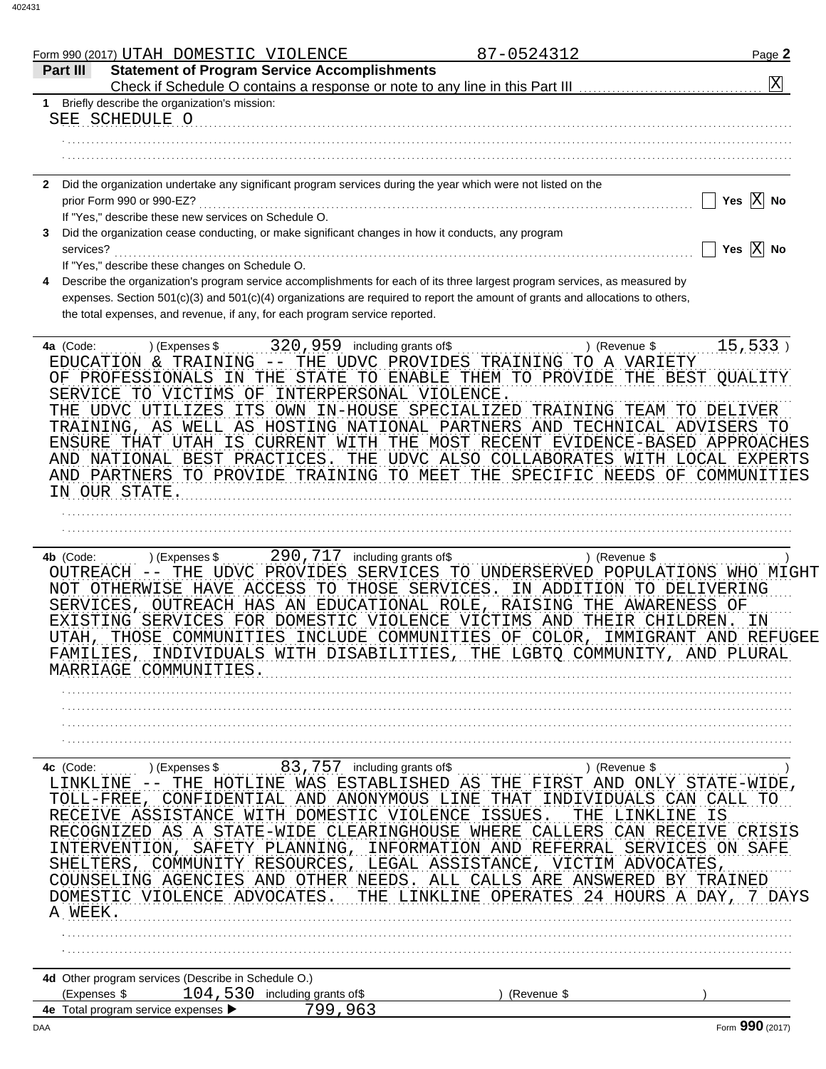|                                    | Form 990 (2017) UTAH DOMESTIC VIOLENCE                                                                         |                                                                             | 87-0524312                                                                                                                                                                                                                                                                                                                                                                                    | Page 2                                                                                |
|------------------------------------|----------------------------------------------------------------------------------------------------------------|-----------------------------------------------------------------------------|-----------------------------------------------------------------------------------------------------------------------------------------------------------------------------------------------------------------------------------------------------------------------------------------------------------------------------------------------------------------------------------------------|---------------------------------------------------------------------------------------|
| Part III                           | <b>Statement of Program Service Accomplishments</b>                                                            |                                                                             |                                                                                                                                                                                                                                                                                                                                                                                               |                                                                                       |
|                                    | 1 Briefly describe the organization's mission:<br>SEE SCHEDULE O                                               |                                                                             |                                                                                                                                                                                                                                                                                                                                                                                               |                                                                                       |
|                                    |                                                                                                                |                                                                             |                                                                                                                                                                                                                                                                                                                                                                                               |                                                                                       |
|                                    |                                                                                                                |                                                                             |                                                                                                                                                                                                                                                                                                                                                                                               |                                                                                       |
|                                    | 2 Did the organization undertake any significant program services during the year which were not listed on the |                                                                             |                                                                                                                                                                                                                                                                                                                                                                                               | Yes $\overline{X}$ No                                                                 |
|                                    | prior Form 990 or 990-EZ?<br>If "Yes," describe these new services on Schedule O.                              |                                                                             |                                                                                                                                                                                                                                                                                                                                                                                               |                                                                                       |
| 3                                  | Did the organization cease conducting, or make significant changes in how it conducts, any program             |                                                                             |                                                                                                                                                                                                                                                                                                                                                                                               |                                                                                       |
| services?                          |                                                                                                                |                                                                             |                                                                                                                                                                                                                                                                                                                                                                                               | Yes $\overline{X}$ No                                                                 |
|                                    | If "Yes," describe these changes on Schedule O.                                                                |                                                                             |                                                                                                                                                                                                                                                                                                                                                                                               |                                                                                       |
|                                    | the total expenses, and revenue, if any, for each program service reported.                                    |                                                                             | Describe the organization's program service accomplishments for each of its three largest program services, as measured by<br>expenses. Section 501(c)(3) and 501(c)(4) organizations are required to report the amount of grants and allocations to others,                                                                                                                                  |                                                                                       |
| 4a (Code:                          | ) (Expenses $\frac{320}{1959}$ including grants of \$                                                          |                                                                             | ) (Revenue \$<br>EDUCATION & TRAINING -- THE UDVC PROVIDES TRAINING TO A VARIETY<br>OF PROFESSIONALS IN THE STATE TO ENABLE THEM TO PROVIDE THE BEST QUALITY                                                                                                                                                                                                                                  | 15, 533)                                                                              |
|                                    | SERVICE TO VICTIMS OF INTERPERSONAL VIOLENCE.                                                                  |                                                                             | THE UDVC UTILIZES ITS OWN IN-HOUSE SPECIALIZED TRAINING TEAM TO DELIVER<br>TRAINING, AS WELL AS HOSTING NATIONAL PARTNERS AND TECHNICAL ADVISERS TO<br>ENSURE THAT UTAH IS CURRENT WITH THE MOST RECENT EVIDENCE-BASED APPROACHES<br>AND NATIONAL BEST PRACTICES. THE UDVC ALSO COLLABORATES WITH LOCAL EXPERTS<br>AND PARTNERS TO PROVIDE TRAINING TO MEET THE SPECIFIC NEEDS OF COMMUNITIES |                                                                                       |
|                                    | IN OUR STATE.                                                                                                  |                                                                             |                                                                                                                                                                                                                                                                                                                                                                                               |                                                                                       |
|                                    |                                                                                                                |                                                                             |                                                                                                                                                                                                                                                                                                                                                                                               |                                                                                       |
| 4b (Code:<br>FAMILIES<br>MARRIAGE  | ) (Expenses \$<br>NOT OTHERWISE HAVE ACCESS TO THOSE SERVICES.<br>INDIVIDUALS WITH DISABIL<br>COMMUNITIES      | $290,717$ including grants of\$                                             | ) (Revenue \$<br>OUTREACH -- THE UDVC PROVIDES SERVICES TO UNDERSERVED POPULATIONS WHO MIGHT<br>SERVICES, OUTREACH HAS AN EDUCATIONAL ROLE, RAISING THE AWARENESS OF<br>EXISTING SERVICES FOR DOMESTIC VIOLENCE VICTIMS AND THEIR CHILDREN.<br>UTAH, THOSE COMMUNITIES INCLUDE COMMUNITIES OF COLOR, IMMIGRANT AND REFUGEE                                                                    | IN ADDITION TO DELIVERING<br>ΙN                                                       |
|                                    |                                                                                                                |                                                                             |                                                                                                                                                                                                                                                                                                                                                                                               |                                                                                       |
|                                    |                                                                                                                |                                                                             |                                                                                                                                                                                                                                                                                                                                                                                               |                                                                                       |
|                                    |                                                                                                                |                                                                             |                                                                                                                                                                                                                                                                                                                                                                                               |                                                                                       |
| 4c (Code:<br>LINKLINE              | ) (Expenses \$<br>HOT.TINE                                                                                     | 83,757<br>including grants of\$<br>ESTABL<br>WAS                            | ) (Revenue \$<br>THE<br>FIRST<br>SHED<br>AS                                                                                                                                                                                                                                                                                                                                                   | ONLY STATE-WIDE                                                                       |
| TOLL-FREE<br>RECEIVE<br>RECOGNIZED | CONFIDEN<br>$\overline{A}$<br>ASSISTANCE<br>STATE<br>-WIDE<br>SAFET<br>T N'I'ERVENTI ON                        | AND<br>ANONYMOUS<br>DOMEST<br>CLEARINGHOUSE<br>PLANNING<br><b>RESOURCES</b> | LINE<br>VIOLENCE<br>ISSUES<br>THE<br>WHERF<br>CALLERS<br>REFERRAL<br>INFORMATION<br>AND<br>ASSISTANCE                                                                                                                                                                                                                                                                                         | DUALS<br>CALL<br>T.TNKT.TNE<br>IS<br>RECEIVE<br>CRISIS<br>CAN.<br>SERVICES<br>ON SAFE |
| SHELTERS<br>COUNSELING<br>A WEEK.  | AGENCIES<br>AND<br>DOMESTIC VIOLENCE<br>ADVOCATES                                                              | LEGAL<br>OTHER<br>NEEDS<br>'I'H F.                                          | VICTIM<br>ARE<br>ANSWERED<br>CALLS<br>2.4<br>OPERATES                                                                                                                                                                                                                                                                                                                                         | ADVOCATES<br>BY<br>TRAINED<br>HOURS<br>$\overline{A}$<br>DAY<br>-I)A                  |
|                                    |                                                                                                                |                                                                             |                                                                                                                                                                                                                                                                                                                                                                                               |                                                                                       |
|                                    | 4d Other program services (Describe in Schedule O.)                                                            |                                                                             |                                                                                                                                                                                                                                                                                                                                                                                               |                                                                                       |
| (Expenses \$                       | 104,530 including grants of\$                                                                                  |                                                                             | (Revenue \$                                                                                                                                                                                                                                                                                                                                                                                   |                                                                                       |
|                                    | 4e Total program service expenses                                                                              | 799,963                                                                     |                                                                                                                                                                                                                                                                                                                                                                                               |                                                                                       |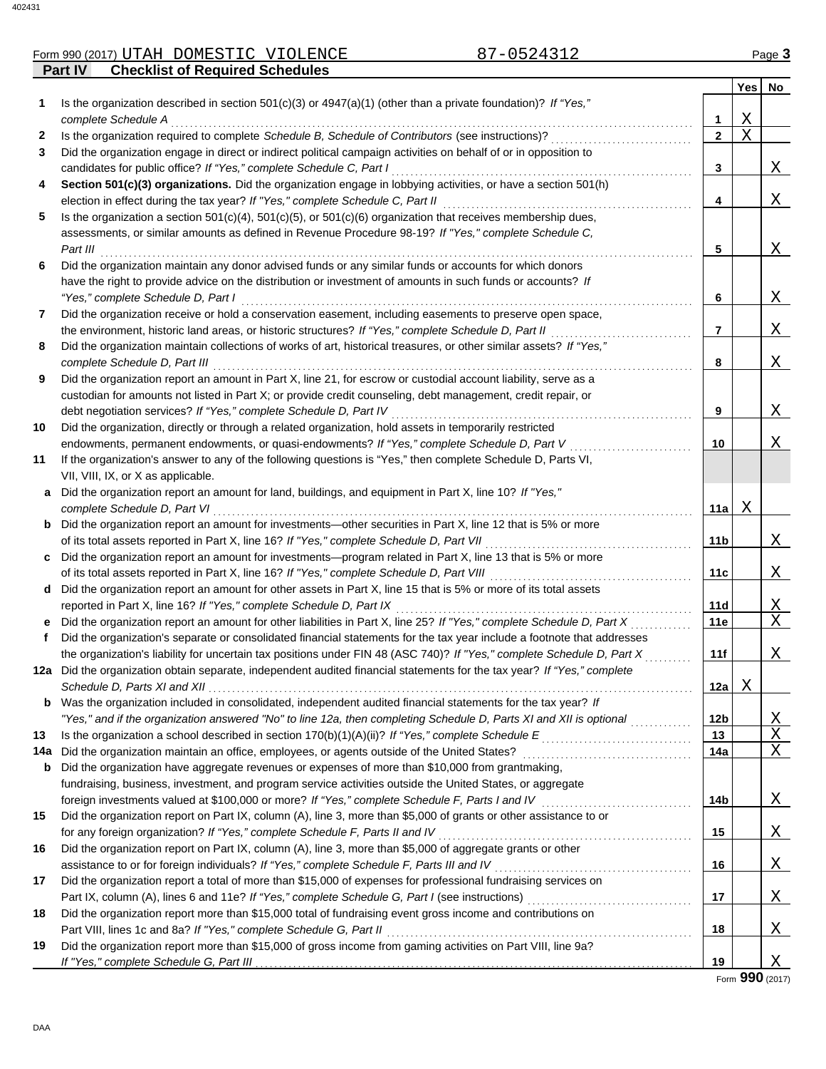|     | 87-0524312<br>Form 990 (2017) UTAH DOMESTIC VIOLENCE                                                                             |                 |                         | Page 3        |
|-----|----------------------------------------------------------------------------------------------------------------------------------|-----------------|-------------------------|---------------|
|     | <b>Checklist of Required Schedules</b><br>Part IV                                                                                |                 |                         |               |
|     |                                                                                                                                  |                 | <b>Yes</b>              | No            |
| 1   | Is the organization described in section $501(c)(3)$ or $4947(a)(1)$ (other than a private foundation)? If "Yes,"                |                 |                         |               |
|     | complete Schedule A                                                                                                              | 1               | $\overline{\mathrm{X}}$ |               |
| 2   | Is the organization required to complete Schedule B, Schedule of Contributors (see instructions)?                                | $\overline{2}$  | $\overline{\mathbf{X}}$ |               |
| 3   | Did the organization engage in direct or indirect political campaign activities on behalf of or in opposition to                 |                 |                         |               |
|     | candidates for public office? If "Yes," complete Schedule C, Part I                                                              | 3               |                         | X             |
| 4   | Section 501(c)(3) organizations. Did the organization engage in lobbying activities, or have a section 501(h)                    |                 |                         |               |
|     | election in effect during the tax year? If "Yes," complete Schedule C, Part II                                                   | 4               |                         | X             |
| 5   | Is the organization a section $501(c)(4)$ , $501(c)(5)$ , or $501(c)(6)$ organization that receives membership dues,             |                 |                         |               |
|     | assessments, or similar amounts as defined in Revenue Procedure 98-19? If "Yes," complete Schedule C,                            |                 |                         |               |
|     | Part III                                                                                                                         | 5               |                         | X             |
| 6   | Did the organization maintain any donor advised funds or any similar funds or accounts for which donors                          |                 |                         |               |
|     | have the right to provide advice on the distribution or investment of amounts in such funds or accounts? If                      |                 |                         |               |
|     | "Yes," complete Schedule D, Part I                                                                                               | 6               |                         | X             |
| 7   | Did the organization receive or hold a conservation easement, including easements to preserve open space,                        |                 |                         |               |
|     | the environment, historic land areas, or historic structures? If "Yes," complete Schedule D, Part II                             | $\overline{7}$  |                         | X             |
| 8   | Did the organization maintain collections of works of art, historical treasures, or other similar assets? If "Yes,"              |                 |                         |               |
|     | complete Schedule D, Part III                                                                                                    | 8               |                         | X             |
| 9   | Did the organization report an amount in Part X, line 21, for escrow or custodial account liability, serve as a                  |                 |                         |               |
|     | custodian for amounts not listed in Part X; or provide credit counseling, debt management, credit repair, or                     |                 |                         |               |
|     | debt negotiation services? If "Yes," complete Schedule D, Part IV                                                                | 9               |                         | X             |
| 10  | Did the organization, directly or through a related organization, hold assets in temporarily restricted                          |                 |                         |               |
|     | endowments, permanent endowments, or quasi-endowments? If "Yes," complete Schedule D, Part V                                     | 10              |                         | Χ             |
|     | If the organization's answer to any of the following questions is "Yes," then complete Schedule D, Parts VI,                     |                 |                         |               |
| 11  |                                                                                                                                  |                 |                         |               |
|     | VII, VIII, IX, or X as applicable.                                                                                               |                 |                         |               |
| a   | Did the organization report an amount for land, buildings, and equipment in Part X, line 10? If "Yes,"                           |                 | X                       |               |
|     | complete Schedule D, Part VI                                                                                                     | 11a             |                         |               |
| b   | Did the organization report an amount for investments-other securities in Part X, line 12 that is 5% or more                     |                 |                         |               |
|     | of its total assets reported in Part X, line 16? If "Yes," complete Schedule D, Part VII                                         | 11 <sub>b</sub> |                         | X             |
| C   | Did the organization report an amount for investments—program related in Part X, line 13 that is 5% or more                      |                 |                         |               |
|     | of its total assets reported in Part X, line 16? If "Yes," complete Schedule D, Part VIII                                        | 11c             |                         | X             |
|     | d Did the organization report an amount for other assets in Part X, line 15 that is 5% or more of its total assets               |                 |                         |               |
|     | reported in Part X, line 16? If "Yes," complete Schedule D, Part IX                                                              | 11d             |                         | $\frac{X}{X}$ |
|     | Did the organization report an amount for other liabilities in Part X, line 25? If "Yes," complete Schedule D, Part X            | 11e             |                         |               |
|     | Did the organization's separate or consolidated financial statements for the tax year include a footnote that addresses          |                 |                         |               |
|     | the organization's liability for uncertain tax positions under FIN 48 (ASC 740)? If "Yes," complete Schedule D, Part X           | 11f             |                         | Χ             |
|     | 12a Did the organization obtain separate, independent audited financial statements for the tax year? If "Yes," complete          |                 |                         |               |
|     |                                                                                                                                  | 12a             | Χ                       |               |
| b   | Was the organization included in consolidated, independent audited financial statements for the tax year? If                     |                 |                         |               |
|     | "Yes," and if the organization answered "No" to line 12a, then completing Schedule D, Parts XI and XII is optional <i>mimini</i> | 12 <sub>b</sub> |                         | $\frac{X}{X}$ |
| 13  |                                                                                                                                  | 13              |                         |               |
| 14a | Did the organization maintain an office, employees, or agents outside of the United States?                                      | 14a             |                         |               |
| b   | Did the organization have aggregate revenues or expenses of more than \$10,000 from grantmaking,                                 |                 |                         |               |
|     | fundraising, business, investment, and program service activities outside the United States, or aggregate                        |                 |                         |               |
|     | foreign investments valued at \$100,000 or more? If "Yes," complete Schedule F, Parts I and IV [[[[[[[[[[[[[[[                   | 14 <sub>b</sub> |                         | X             |
| 15  | Did the organization report on Part IX, column (A), line 3, more than \$5,000 of grants or other assistance to or                |                 |                         |               |
|     | for any foreign organization? If "Yes," complete Schedule F, Parts II and IV                                                     | 15              |                         | $\mathbf{X}$  |
| 16  | Did the organization report on Part IX, column (A), line 3, more than \$5,000 of aggregate grants or other                       |                 |                         |               |
|     |                                                                                                                                  | 16              |                         | $\mathbf{X}$  |
| 17  | Did the organization report a total of more than \$15,000 of expenses for professional fundraising services on                   |                 |                         |               |
|     |                                                                                                                                  | 17              |                         | $\mathbf{X}$  |
| 18  | Did the organization report more than \$15,000 total of fundraising event gross income and contributions on                      |                 |                         |               |
|     | Part VIII, lines 1c and 8a? If "Yes," complete Schedule G, Part II                                                               | 18              |                         | $\mathbf{X}$  |
| 19  | Did the organization report more than \$15,000 of gross income from gaming activities on Part VIII, line 9a?                     |                 |                         |               |
|     | If "Yes," complete Schedule G, Part III                                                                                          | 19              |                         | X             |

Form **990** (2017)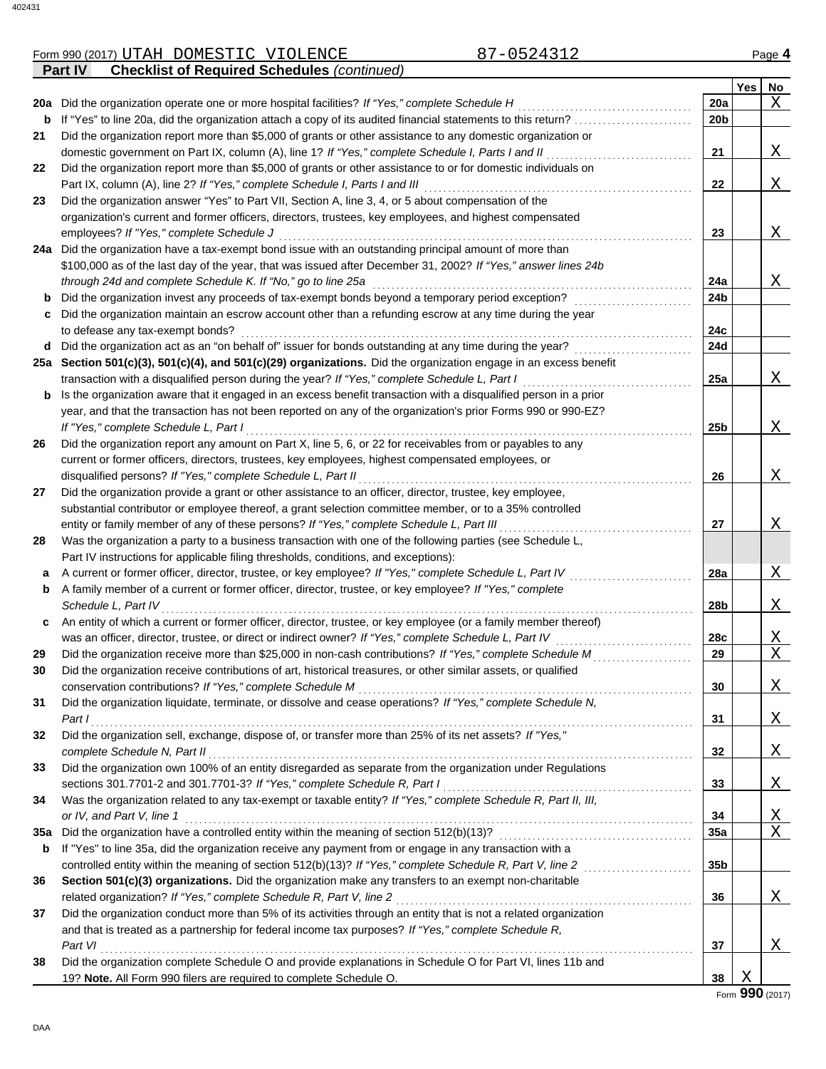|     | 87-0524312<br>Form 990 (2017) UTAH DOMESTIC VIOLENCE                                                             |                 |            | Page 4                |
|-----|------------------------------------------------------------------------------------------------------------------|-----------------|------------|-----------------------|
|     | <b>Checklist of Required Schedules (continued)</b><br>Part IV                                                    |                 |            |                       |
|     |                                                                                                                  |                 | <b>Yes</b> | No                    |
|     | 20a Did the organization operate one or more hospital facilities? If "Yes," complete Schedule H                  | 20a             |            | X                     |
| b   | If "Yes" to line 20a, did the organization attach a copy of its audited financial statements to this return?     | 20 <sub>b</sub> |            |                       |
| 21  | Did the organization report more than \$5,000 of grants or other assistance to any domestic organization or      |                 |            |                       |
|     | domestic government on Part IX, column (A), line 1? If "Yes," complete Schedule I, Parts I and II                | 21              |            | X                     |
| 22  | Did the organization report more than \$5,000 of grants or other assistance to or for domestic individuals on    |                 |            |                       |
|     | Part IX, column (A), line 2? If "Yes," complete Schedule I, Parts I and III                                      | 22              |            | X                     |
| 23  | Did the organization answer "Yes" to Part VII, Section A, line 3, 4, or 5 about compensation of the              |                 |            |                       |
|     | organization's current and former officers, directors, trustees, key employees, and highest compensated          |                 |            |                       |
|     | employees? If "Yes," complete Schedule J                                                                         | 23              |            | X                     |
|     | 24a Did the organization have a tax-exempt bond issue with an outstanding principal amount of more than          |                 |            |                       |
|     | \$100,000 as of the last day of the year, that was issued after December 31, 2002? If "Yes," answer lines 24b    |                 |            |                       |
|     | through 24d and complete Schedule K. If "No," go to line 25a                                                     | 24a             |            | X                     |
| b   | Did the organization invest any proceeds of tax-exempt bonds beyond a temporary period exception?                | 24 <sub>b</sub> |            |                       |
| c   | Did the organization maintain an escrow account other than a refunding escrow at any time during the year        |                 |            |                       |
|     | to defease any tax-exempt bonds?                                                                                 | 24c             |            |                       |
|     | d Did the organization act as an "on behalf of" issuer for bonds outstanding at any time during the year?        | 24d             |            |                       |
|     | 25a Section 501(c)(3), 501(c)(4), and 501(c)(29) organizations. Did the organization engage in an excess benefit |                 |            |                       |
|     | transaction with a disqualified person during the year? If "Yes," complete Schedule L, Part I                    | 25a             |            | X                     |
| b   | Is the organization aware that it engaged in an excess benefit transaction with a disqualified person in a prior |                 |            |                       |
|     | year, and that the transaction has not been reported on any of the organization's prior Forms 990 or 990-EZ?     |                 |            |                       |
|     | If "Yes," complete Schedule L, Part I                                                                            | 25 <sub>b</sub> |            | X                     |
| 26  | Did the organization report any amount on Part X, line 5, 6, or 22 for receivables from or payables to any       |                 |            |                       |
|     | current or former officers, directors, trustees, key employees, highest compensated employees, or                |                 |            |                       |
|     | disqualified persons? If "Yes," complete Schedule L, Part II                                                     | 26              |            | X                     |
| 27  | Did the organization provide a grant or other assistance to an officer, director, trustee, key employee,         |                 |            |                       |
|     | substantial contributor or employee thereof, a grant selection committee member, or to a 35% controlled          |                 |            |                       |
|     | entity or family member of any of these persons? If "Yes," complete Schedule L, Part III                         | 27              |            | Χ                     |
| 28  | Was the organization a party to a business transaction with one of the following parties (see Schedule L,        |                 |            |                       |
|     | Part IV instructions for applicable filing thresholds, conditions, and exceptions):                              |                 |            |                       |
| а   | A current or former officer, director, trustee, or key employee? If "Yes," complete Schedule L, Part IV          | 28a             |            | X                     |
| b   | A family member of a current or former officer, director, trustee, or key employee? If "Yes," complete           |                 |            |                       |
|     | Schedule L, Part IV                                                                                              | 28b             |            | X                     |
| c   | An entity of which a current or former officer, director, trustee, or key employee (or a family member thereof)  |                 |            |                       |
|     | was an officer, director, trustee, or direct or indirect owner? If "Yes," complete Schedule L, Part IV           | 28c             |            | Χ                     |
|     |                                                                                                                  | 29              |            | $\overline{\text{X}}$ |
| 30  | Did the organization receive contributions of art, historical treasures, or other similar assets, or qualified   |                 |            |                       |
|     | conservation contributions? If "Yes," complete Schedule M                                                        | 30              |            | $\mathbf{X}$          |
| 31  | Did the organization liquidate, terminate, or dissolve and cease operations? If "Yes," complete Schedule N,      |                 |            |                       |
|     | Part I                                                                                                           | 31              |            | X                     |
| 32  | Did the organization sell, exchange, dispose of, or transfer more than 25% of its net assets? If "Yes,"          |                 |            |                       |
|     | complete Schedule N, Part II                                                                                     | 32              |            | X                     |
| 33  | Did the organization own 100% of an entity disregarded as separate from the organization under Regulations       |                 |            |                       |
|     | sections 301.7701-2 and 301.7701-3? If "Yes," complete Schedule R, Part I                                        | 33              |            | Χ                     |
| 34  | Was the organization related to any tax-exempt or taxable entity? If "Yes," complete Schedule R, Part II, III,   |                 |            |                       |
|     | or IV, and Part V, line 1                                                                                        | 34              |            | <u>X</u>              |
| 35а | Did the organization have a controlled entity within the meaning of section 512(b)(13)?                          | 35a             |            | $\overline{X}$        |
| b   | If "Yes" to line 35a, did the organization receive any payment from or engage in any transaction with a          |                 |            |                       |
|     | controlled entity within the meaning of section 512(b)(13)? If "Yes," complete Schedule R, Part V, line 2        | 35b             |            |                       |
| 36  | Section 501(c)(3) organizations. Did the organization make any transfers to an exempt non-charitable             |                 |            |                       |
|     | related organization? If "Yes," complete Schedule R, Part V, line 2                                              | 36              |            | X                     |
| 37  | Did the organization conduct more than 5% of its activities through an entity that is not a related organization |                 |            |                       |
|     | and that is treated as a partnership for federal income tax purposes? If "Yes," complete Schedule R,             |                 |            |                       |
|     | Part VI                                                                                                          | 37              |            | X                     |
| 38  | Did the organization complete Schedule O and provide explanations in Schedule O for Part VI, lines 11b and       |                 |            |                       |
|     | 19? Note. All Form 990 filers are required to complete Schedule O.                                               | 38              | X          |                       |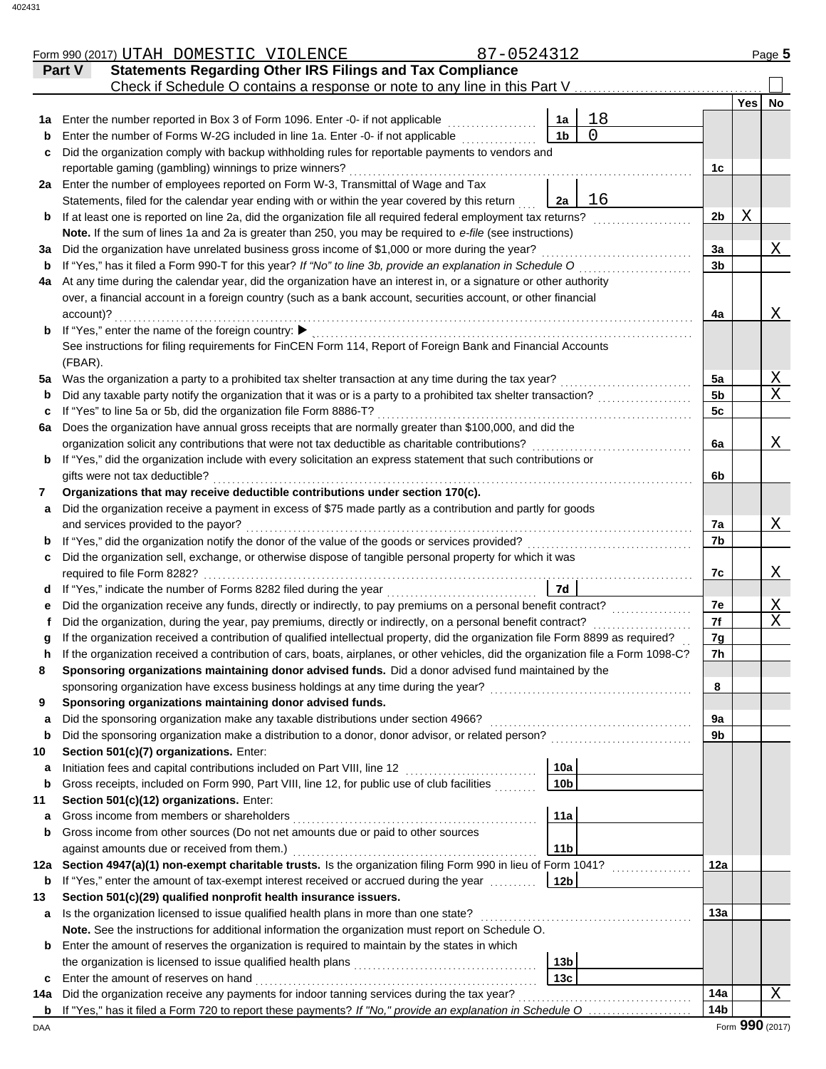|             | Part V    | <b>Statements Regarding Other IRS Filings and Tax Compliance</b><br>Check if Schedule O contains a response or note to any line in this Part V                                                                  |                            |                 |                 |    |
|-------------|-----------|-----------------------------------------------------------------------------------------------------------------------------------------------------------------------------------------------------------------|----------------------------|-----------------|-----------------|----|
|             |           |                                                                                                                                                                                                                 |                            |                 | Yesl            | No |
| 1a          |           | Enter the number reported in Box 3 of Form 1096. Enter -0- if not applicable                                                                                                                                    | 18<br>1a                   |                 |                 |    |
| b           |           | Enter the number of Forms W-2G included in line 1a. Enter -0- if not applicable                                                                                                                                 | $\Omega$<br>1 <sub>b</sub> |                 |                 |    |
| c           |           | Did the organization comply with backup withholding rules for reportable payments to vendors and                                                                                                                |                            |                 |                 |    |
|             |           | reportable gaming (gambling) winnings to prize winners?                                                                                                                                                         |                            | 1c              |                 |    |
|             |           | 2a Enter the number of employees reported on Form W-3, Transmittal of Wage and Tax                                                                                                                              |                            |                 |                 |    |
|             |           | Statements, filed for the calendar year ending with or within the year covered by this return<br>If at least one is reported on line 2a, did the organization file all required federal employment tax returns? | 16<br>2a                   | 2b              | Χ               |    |
| b           |           | Note. If the sum of lines 1a and 2a is greater than 250, you may be required to e-file (see instructions)                                                                                                       |                            |                 |                 |    |
| За          |           | Did the organization have unrelated business gross income of \$1,000 or more during the year?                                                                                                                   |                            | За              |                 | Χ  |
| b           |           | If "Yes," has it filed a Form 990-T for this year? If "No" to line 3b, provide an explanation in Schedule O                                                                                                     |                            | 3b              |                 |    |
| 4a          |           | At any time during the calendar year, did the organization have an interest in, or a signature or other authority                                                                                               |                            |                 |                 |    |
|             |           | over, a financial account in a foreign country (such as a bank account, securities account, or other financial                                                                                                  |                            |                 |                 |    |
|             | account)? |                                                                                                                                                                                                                 |                            | 4a              |                 | Χ  |
| b           |           | If "Yes," enter the name of the foreign country: ▶                                                                                                                                                              |                            |                 |                 |    |
|             |           | See instructions for filing requirements for FinCEN Form 114, Report of Foreign Bank and Financial Accounts                                                                                                     |                            |                 |                 |    |
|             | (FBAR).   |                                                                                                                                                                                                                 |                            |                 |                 |    |
| 5а          |           | Was the organization a party to a prohibited tax shelter transaction at any time during the tax year?                                                                                                           |                            | 5a              |                 | Χ  |
| b           |           | Did any taxable party notify the organization that it was or is a party to a prohibited tax shelter transaction?                                                                                                |                            | 5b              |                 | X  |
| c           |           | If "Yes" to line 5a or 5b, did the organization file Form 8886-T?                                                                                                                                               |                            | 5c              |                 |    |
| 6a          |           | Does the organization have annual gross receipts that are normally greater than \$100,000, and did the                                                                                                          |                            |                 |                 |    |
|             |           | organization solicit any contributions that were not tax deductible as charitable contributions?                                                                                                                |                            | 6a              |                 | Χ  |
| b           |           | If "Yes," did the organization include with every solicitation an express statement that such contributions or                                                                                                  |                            |                 |                 |    |
|             |           | gifts were not tax deductible?                                                                                                                                                                                  |                            | 6b              |                 |    |
| 7           |           | Organizations that may receive deductible contributions under section 170(c).                                                                                                                                   |                            |                 |                 |    |
| a           |           | Did the organization receive a payment in excess of \$75 made partly as a contribution and partly for goods                                                                                                     |                            |                 |                 |    |
|             |           | and services provided to the payor?                                                                                                                                                                             |                            | 7a              |                 | Χ  |
| b           |           | If "Yes," did the organization notify the donor of the value of the goods or services provided?                                                                                                                 |                            | 7b              |                 |    |
| с           |           | Did the organization sell, exchange, or otherwise dispose of tangible personal property for which it was                                                                                                        |                            |                 |                 |    |
|             |           | required to file Form 8282?                                                                                                                                                                                     |                            | 7c              |                 | Χ  |
| d           |           | If "Yes," indicate the number of Forms 8282 filed during the year                                                                                                                                               | 7d                         |                 |                 |    |
| е           |           | Did the organization receive any funds, directly or indirectly, to pay premiums on a personal benefit contract?                                                                                                 |                            | 7e              |                 | Χ  |
|             |           | Did the organization, during the year, pay premiums, directly or indirectly, on a personal benefit contract?                                                                                                    |                            | 7f              |                 | X  |
| a           |           | If the organization received a contribution of qualified intellectual property, did the organization file Form 8899 as required?                                                                                |                            | 7g              |                 |    |
|             |           | If the organization received a contribution of cars, boats, airplanes, or other vehicles, did the organization file a Form 1098-C?                                                                              |                            | 7h              |                 |    |
|             |           | Sponsoring organizations maintaining donor advised funds. Did a donor advised fund maintained by the                                                                                                            |                            |                 |                 |    |
|             |           | sponsoring organization have excess business holdings at any time during the year?                                                                                                                              |                            | 8               |                 |    |
| 9           |           | Sponsoring organizations maintaining donor advised funds.                                                                                                                                                       |                            |                 |                 |    |
| a           |           | Did the sponsoring organization make any taxable distributions under section 4966?                                                                                                                              |                            | 9а              |                 |    |
| $\mathbf b$ |           | Did the sponsoring organization make a distribution to a donor, donor advisor, or related person?                                                                                                               |                            | 9b              |                 |    |
| 10          |           | Section 501(c)(7) organizations. Enter:                                                                                                                                                                         |                            |                 |                 |    |
| а           |           | Initiation fees and capital contributions included on Part VIII, line 12<br>Gross receipts, included on Form 990, Part VIII, line 12, for public use of club facilities                                         | 10a<br>10 <sub>b</sub>     |                 |                 |    |
| b           |           |                                                                                                                                                                                                                 |                            |                 |                 |    |
| 11          |           | Section 501(c)(12) organizations. Enter:<br>Gross income from members or shareholders                                                                                                                           | 11a                        |                 |                 |    |
| a           |           | Gross income from other sources (Do not net amounts due or paid to other sources                                                                                                                                |                            |                 |                 |    |
| b           |           | against amounts due or received from them.)                                                                                                                                                                     | 11 <sub>b</sub>            |                 |                 |    |
| 12a         |           | Section 4947(a)(1) non-exempt charitable trusts. Is the organization filing Form 990 in lieu of Form 1041?                                                                                                      |                            | 12a             |                 |    |
| b           |           | If "Yes," enter the amount of tax-exempt interest received or accrued during the year                                                                                                                           | 12 <sub>b</sub>            |                 |                 |    |
| 13          |           | Section 501(c)(29) qualified nonprofit health insurance issuers.                                                                                                                                                |                            |                 |                 |    |
| а           |           | Is the organization licensed to issue qualified health plans in more than one state?                                                                                                                            |                            | 13а             |                 |    |
|             |           | Note. See the instructions for additional information the organization must report on Schedule O.                                                                                                               |                            |                 |                 |    |
| b           |           | Enter the amount of reserves the organization is required to maintain by the states in which                                                                                                                    |                            |                 |                 |    |
|             |           | the organization is licensed to issue qualified health plans                                                                                                                                                    | 13 <sub>b</sub>            |                 |                 |    |
| c           |           | Enter the amount of reserves on hand                                                                                                                                                                            | 13c                        |                 |                 |    |
| 14a         |           | Did the organization receive any payments for indoor tanning services during the tax year?                                                                                                                      |                            | 14a             |                 | X  |
| b           |           |                                                                                                                                                                                                                 |                            | 14 <sub>b</sub> |                 |    |
| DAA         |           |                                                                                                                                                                                                                 |                            |                 | Form 990 (2017) |    |

Form 990 (2017) UTAH DOMESTIC VIOLENCE 87-0524312 Page **5**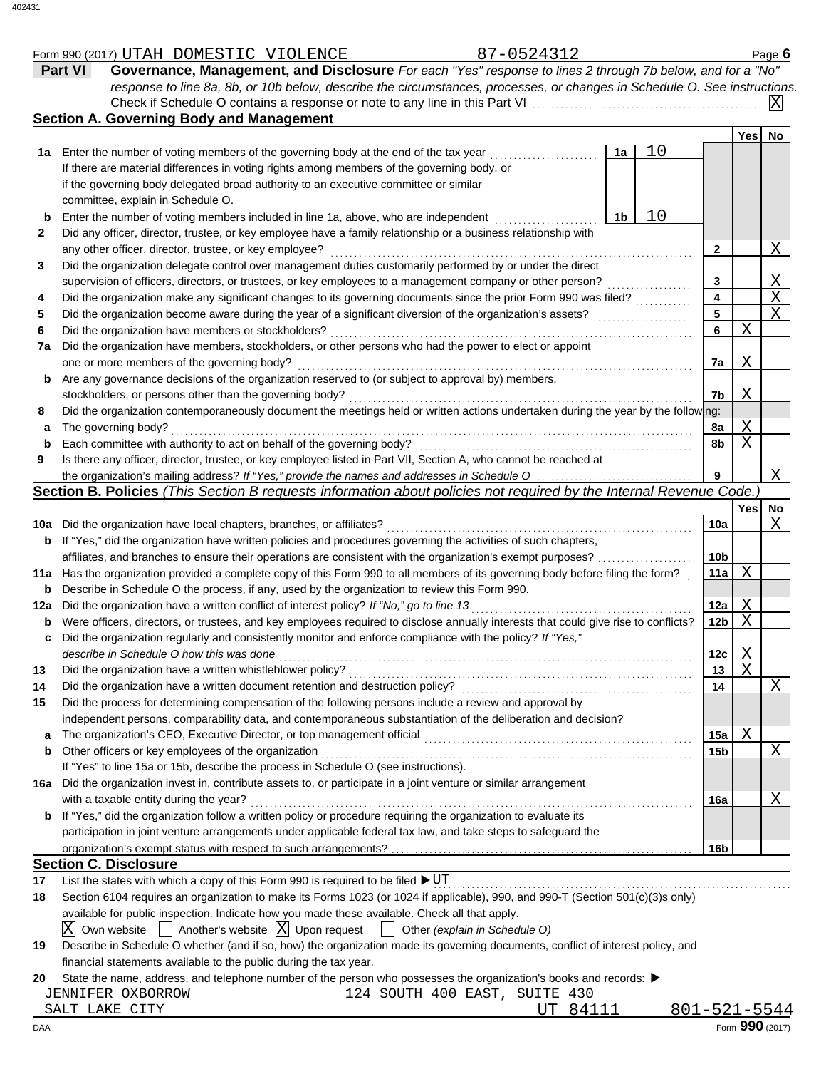| 10<br>Enter the number of voting members of the governing body at the end of the tax year<br>1a<br>1a<br>If there are material differences in voting rights among members of the governing body, or<br>if the governing body delegated broad authority to an executive committee or similar<br>committee, explain in Schedule O.<br>10<br>Enter the number of voting members included in line 1a, above, who are independent<br>1b<br>b<br>Did any officer, director, trustee, or key employee have a family relationship or a business relationship with<br>2<br>any other officer, director, trustee, or key employee?<br>$\mathbf{2}$<br>Did the organization delegate control over management duties customarily performed by or under the direct<br>3<br>supervision of officers, directors, or trustees, or key employees to a management company or other person?<br>3<br>4<br>Did the organization make any significant changes to its governing documents since the prior Form 990 was filed?<br>4<br>5<br>Did the organization become aware during the year of a significant diversion of the organization's assets?<br>5<br>6<br>Did the organization have members or stockholders?<br>6<br>Did the organization have members, stockholders, or other persons who had the power to elect or appoint<br>7a<br>one or more members of the governing body?<br>7a<br>Are any governance decisions of the organization reserved to (or subject to approval by) members,<br>b<br>stockholders, or persons other than the governing body?<br>7b<br>Did the organization contemporaneously document the meetings held or written actions undertaken during the year by the following:<br>8<br>Χ<br>The governing body?<br>8a<br>a<br>X<br>Each committee with authority to act on behalf of the governing body?<br>8b<br>b<br>Is there any officer, director, trustee, or key employee listed in Part VII, Section A, who cannot be reached at<br>9<br>9<br>Section B. Policies (This Section B requests information about policies not required by the Internal Revenue Code.)<br>Did the organization have local chapters, branches, or affiliates?<br>10a<br>10a<br>If "Yes," did the organization have written policies and procedures governing the activities of such chapters,<br>b<br>affiliates, and branches to ensure their operations are consistent with the organization's exempt purposes?<br>10 <sub>b</sub><br>X<br>11a Has the organization provided a complete copy of this Form 990 to all members of its governing body before filing the form?<br>11a<br>Describe in Schedule O the process, if any, used by the organization to review this Form 990.<br>b<br>Χ<br>Did the organization have a written conflict of interest policy? If "No," go to line 13<br>12a<br>12a<br>Were officers, directors, or trustees, and key employees required to disclose annually interests that could give rise to conflicts?<br>12b<br>b<br>Did the organization regularly and consistently monitor and enforce compliance with the policy? If "Yes,"<br>c<br>describe in Schedule O how this was done<br>12c<br>13<br>Did the organization have a written whistleblower policy?<br>Did the organization have a written document retention and destruction policy?<br>14<br>14<br>Did the process for determining compensation of the following persons include a review and approval by<br>15<br>independent persons, comparability data, and contemporaneous substantiation of the deliberation and decision?<br>15a<br>a<br>Other officers or key employees of the organization<br>15b<br>b<br>If "Yes" to line 15a or 15b, describe the process in Schedule O (see instructions).<br>Did the organization invest in, contribute assets to, or participate in a joint venture or similar arrangement<br>16а<br>with a taxable entity during the year?<br>16a<br>If "Yes," did the organization follow a written policy or procedure requiring the organization to evaluate its<br>b<br>participation in joint venture arrangements under applicable federal tax law, and take steps to safeguard the<br>16b<br><b>Section C. Disclosure</b><br>List the states with which a copy of this Form 990 is required to be filed $\blacktriangleright$ UT<br>17<br>Section 6104 requires an organization to make its Forms 1023 (or 1024 if applicable), 990, and 990-T (Section 501(c)(3)s only)<br>18<br>available for public inspection. Indicate how you made these available. Check all that apply.<br>Another's website $ X $ Upon request $ $ Other (explain in Schedule O)<br>$ X $ Own website<br>Describe in Schedule O whether (and if so, how) the organization made its governing documents, conflict of interest policy, and<br>19<br>financial statements available to the public during the tax year.<br>State the name, address, and telephone number of the person who possesses the organization's books and records: ▶<br>20<br>124 SOUTH 400 EAST, SUITE 430<br>JENNIFER OXBORROW | <b>Section A. Governing Body and Management</b> |  |      |                |
|-----------------------------------------------------------------------------------------------------------------------------------------------------------------------------------------------------------------------------------------------------------------------------------------------------------------------------------------------------------------------------------------------------------------------------------------------------------------------------------------------------------------------------------------------------------------------------------------------------------------------------------------------------------------------------------------------------------------------------------------------------------------------------------------------------------------------------------------------------------------------------------------------------------------------------------------------------------------------------------------------------------------------------------------------------------------------------------------------------------------------------------------------------------------------------------------------------------------------------------------------------------------------------------------------------------------------------------------------------------------------------------------------------------------------------------------------------------------------------------------------------------------------------------------------------------------------------------------------------------------------------------------------------------------------------------------------------------------------------------------------------------------------------------------------------------------------------------------------------------------------------------------------------------------------------------------------------------------------------------------------------------------------------------------------------------------------------------------------------------------------------------------------------------------------------------------------------------------------------------------------------------------------------------------------------------------------------------------------------------------------------------------------------------------------------------------------------------------------------------------------------------------------------------------------------------------------------------------------------------------------------------------------------------------------------------------------------------------------------------------------------------------------------------------------------------------------------------------------------------------------------------------------------------------------------------------------------------------------------------------------------------------------------------------------------------------------------------------------------------------------------------------------------------------------------------------------------------------------------------------------------------------------------------------------------------------------------------------------------------------------------------------------------------------------------------------------------------------------------------------------------------------------------------------------------------------------------------------------------------------------------------------------------------------------------------------------------------------------------------------------------------------------------------------------------------------------------------------------------------------------------------------------------------------------------------------------------------------------------------------------------------------------------------------------------------------------------------------------------------------------------------------------------------------------------------------------------------------------------------------------------------------------------------------------------------------------------------------------------------------------------------------------------------------------------------------------------------------------------------------------------------------------------------------------------------------------------------------------------------------------------------------------------------------------------------------------------------------------------------------------------------------------------------------------------------------------------------------------------------------------------------------------------------------------------------------------------------------------------------------------------------------|-------------------------------------------------|--|------|----------------|
|                                                                                                                                                                                                                                                                                                                                                                                                                                                                                                                                                                                                                                                                                                                                                                                                                                                                                                                                                                                                                                                                                                                                                                                                                                                                                                                                                                                                                                                                                                                                                                                                                                                                                                                                                                                                                                                                                                                                                                                                                                                                                                                                                                                                                                                                                                                                                                                                                                                                                                                                                                                                                                                                                                                                                                                                                                                                                                                                                                                                                                                                                                                                                                                                                                                                                                                                                                                                                                                                                                                                                                                                                                                                                                                                                                                                                                                                                                                                                                                                                                                                                                                                                                                                                                                                                                                                                                                                                                                                                                                                                                                                                                                                                                                                                                                                                                                                                                                                                                                                                 |                                                 |  | Yesl | No             |
|                                                                                                                                                                                                                                                                                                                                                                                                                                                                                                                                                                                                                                                                                                                                                                                                                                                                                                                                                                                                                                                                                                                                                                                                                                                                                                                                                                                                                                                                                                                                                                                                                                                                                                                                                                                                                                                                                                                                                                                                                                                                                                                                                                                                                                                                                                                                                                                                                                                                                                                                                                                                                                                                                                                                                                                                                                                                                                                                                                                                                                                                                                                                                                                                                                                                                                                                                                                                                                                                                                                                                                                                                                                                                                                                                                                                                                                                                                                                                                                                                                                                                                                                                                                                                                                                                                                                                                                                                                                                                                                                                                                                                                                                                                                                                                                                                                                                                                                                                                                                                 |                                                 |  |      |                |
|                                                                                                                                                                                                                                                                                                                                                                                                                                                                                                                                                                                                                                                                                                                                                                                                                                                                                                                                                                                                                                                                                                                                                                                                                                                                                                                                                                                                                                                                                                                                                                                                                                                                                                                                                                                                                                                                                                                                                                                                                                                                                                                                                                                                                                                                                                                                                                                                                                                                                                                                                                                                                                                                                                                                                                                                                                                                                                                                                                                                                                                                                                                                                                                                                                                                                                                                                                                                                                                                                                                                                                                                                                                                                                                                                                                                                                                                                                                                                                                                                                                                                                                                                                                                                                                                                                                                                                                                                                                                                                                                                                                                                                                                                                                                                                                                                                                                                                                                                                                                                 |                                                 |  |      |                |
|                                                                                                                                                                                                                                                                                                                                                                                                                                                                                                                                                                                                                                                                                                                                                                                                                                                                                                                                                                                                                                                                                                                                                                                                                                                                                                                                                                                                                                                                                                                                                                                                                                                                                                                                                                                                                                                                                                                                                                                                                                                                                                                                                                                                                                                                                                                                                                                                                                                                                                                                                                                                                                                                                                                                                                                                                                                                                                                                                                                                                                                                                                                                                                                                                                                                                                                                                                                                                                                                                                                                                                                                                                                                                                                                                                                                                                                                                                                                                                                                                                                                                                                                                                                                                                                                                                                                                                                                                                                                                                                                                                                                                                                                                                                                                                                                                                                                                                                                                                                                                 |                                                 |  |      |                |
|                                                                                                                                                                                                                                                                                                                                                                                                                                                                                                                                                                                                                                                                                                                                                                                                                                                                                                                                                                                                                                                                                                                                                                                                                                                                                                                                                                                                                                                                                                                                                                                                                                                                                                                                                                                                                                                                                                                                                                                                                                                                                                                                                                                                                                                                                                                                                                                                                                                                                                                                                                                                                                                                                                                                                                                                                                                                                                                                                                                                                                                                                                                                                                                                                                                                                                                                                                                                                                                                                                                                                                                                                                                                                                                                                                                                                                                                                                                                                                                                                                                                                                                                                                                                                                                                                                                                                                                                                                                                                                                                                                                                                                                                                                                                                                                                                                                                                                                                                                                                                 |                                                 |  |      |                |
|                                                                                                                                                                                                                                                                                                                                                                                                                                                                                                                                                                                                                                                                                                                                                                                                                                                                                                                                                                                                                                                                                                                                                                                                                                                                                                                                                                                                                                                                                                                                                                                                                                                                                                                                                                                                                                                                                                                                                                                                                                                                                                                                                                                                                                                                                                                                                                                                                                                                                                                                                                                                                                                                                                                                                                                                                                                                                                                                                                                                                                                                                                                                                                                                                                                                                                                                                                                                                                                                                                                                                                                                                                                                                                                                                                                                                                                                                                                                                                                                                                                                                                                                                                                                                                                                                                                                                                                                                                                                                                                                                                                                                                                                                                                                                                                                                                                                                                                                                                                                                 |                                                 |  |      |                |
|                                                                                                                                                                                                                                                                                                                                                                                                                                                                                                                                                                                                                                                                                                                                                                                                                                                                                                                                                                                                                                                                                                                                                                                                                                                                                                                                                                                                                                                                                                                                                                                                                                                                                                                                                                                                                                                                                                                                                                                                                                                                                                                                                                                                                                                                                                                                                                                                                                                                                                                                                                                                                                                                                                                                                                                                                                                                                                                                                                                                                                                                                                                                                                                                                                                                                                                                                                                                                                                                                                                                                                                                                                                                                                                                                                                                                                                                                                                                                                                                                                                                                                                                                                                                                                                                                                                                                                                                                                                                                                                                                                                                                                                                                                                                                                                                                                                                                                                                                                                                                 |                                                 |  |      |                |
|                                                                                                                                                                                                                                                                                                                                                                                                                                                                                                                                                                                                                                                                                                                                                                                                                                                                                                                                                                                                                                                                                                                                                                                                                                                                                                                                                                                                                                                                                                                                                                                                                                                                                                                                                                                                                                                                                                                                                                                                                                                                                                                                                                                                                                                                                                                                                                                                                                                                                                                                                                                                                                                                                                                                                                                                                                                                                                                                                                                                                                                                                                                                                                                                                                                                                                                                                                                                                                                                                                                                                                                                                                                                                                                                                                                                                                                                                                                                                                                                                                                                                                                                                                                                                                                                                                                                                                                                                                                                                                                                                                                                                                                                                                                                                                                                                                                                                                                                                                                                                 |                                                 |  |      | Χ              |
|                                                                                                                                                                                                                                                                                                                                                                                                                                                                                                                                                                                                                                                                                                                                                                                                                                                                                                                                                                                                                                                                                                                                                                                                                                                                                                                                                                                                                                                                                                                                                                                                                                                                                                                                                                                                                                                                                                                                                                                                                                                                                                                                                                                                                                                                                                                                                                                                                                                                                                                                                                                                                                                                                                                                                                                                                                                                                                                                                                                                                                                                                                                                                                                                                                                                                                                                                                                                                                                                                                                                                                                                                                                                                                                                                                                                                                                                                                                                                                                                                                                                                                                                                                                                                                                                                                                                                                                                                                                                                                                                                                                                                                                                                                                                                                                                                                                                                                                                                                                                                 |                                                 |  |      |                |
|                                                                                                                                                                                                                                                                                                                                                                                                                                                                                                                                                                                                                                                                                                                                                                                                                                                                                                                                                                                                                                                                                                                                                                                                                                                                                                                                                                                                                                                                                                                                                                                                                                                                                                                                                                                                                                                                                                                                                                                                                                                                                                                                                                                                                                                                                                                                                                                                                                                                                                                                                                                                                                                                                                                                                                                                                                                                                                                                                                                                                                                                                                                                                                                                                                                                                                                                                                                                                                                                                                                                                                                                                                                                                                                                                                                                                                                                                                                                                                                                                                                                                                                                                                                                                                                                                                                                                                                                                                                                                                                                                                                                                                                                                                                                                                                                                                                                                                                                                                                                                 |                                                 |  |      | <u>X</u>       |
|                                                                                                                                                                                                                                                                                                                                                                                                                                                                                                                                                                                                                                                                                                                                                                                                                                                                                                                                                                                                                                                                                                                                                                                                                                                                                                                                                                                                                                                                                                                                                                                                                                                                                                                                                                                                                                                                                                                                                                                                                                                                                                                                                                                                                                                                                                                                                                                                                                                                                                                                                                                                                                                                                                                                                                                                                                                                                                                                                                                                                                                                                                                                                                                                                                                                                                                                                                                                                                                                                                                                                                                                                                                                                                                                                                                                                                                                                                                                                                                                                                                                                                                                                                                                                                                                                                                                                                                                                                                                                                                                                                                                                                                                                                                                                                                                                                                                                                                                                                                                                 |                                                 |  |      | $\overline{X}$ |
|                                                                                                                                                                                                                                                                                                                                                                                                                                                                                                                                                                                                                                                                                                                                                                                                                                                                                                                                                                                                                                                                                                                                                                                                                                                                                                                                                                                                                                                                                                                                                                                                                                                                                                                                                                                                                                                                                                                                                                                                                                                                                                                                                                                                                                                                                                                                                                                                                                                                                                                                                                                                                                                                                                                                                                                                                                                                                                                                                                                                                                                                                                                                                                                                                                                                                                                                                                                                                                                                                                                                                                                                                                                                                                                                                                                                                                                                                                                                                                                                                                                                                                                                                                                                                                                                                                                                                                                                                                                                                                                                                                                                                                                                                                                                                                                                                                                                                                                                                                                                                 |                                                 |  |      | $\overline{X}$ |
|                                                                                                                                                                                                                                                                                                                                                                                                                                                                                                                                                                                                                                                                                                                                                                                                                                                                                                                                                                                                                                                                                                                                                                                                                                                                                                                                                                                                                                                                                                                                                                                                                                                                                                                                                                                                                                                                                                                                                                                                                                                                                                                                                                                                                                                                                                                                                                                                                                                                                                                                                                                                                                                                                                                                                                                                                                                                                                                                                                                                                                                                                                                                                                                                                                                                                                                                                                                                                                                                                                                                                                                                                                                                                                                                                                                                                                                                                                                                                                                                                                                                                                                                                                                                                                                                                                                                                                                                                                                                                                                                                                                                                                                                                                                                                                                                                                                                                                                                                                                                                 |                                                 |  | Χ    |                |
|                                                                                                                                                                                                                                                                                                                                                                                                                                                                                                                                                                                                                                                                                                                                                                                                                                                                                                                                                                                                                                                                                                                                                                                                                                                                                                                                                                                                                                                                                                                                                                                                                                                                                                                                                                                                                                                                                                                                                                                                                                                                                                                                                                                                                                                                                                                                                                                                                                                                                                                                                                                                                                                                                                                                                                                                                                                                                                                                                                                                                                                                                                                                                                                                                                                                                                                                                                                                                                                                                                                                                                                                                                                                                                                                                                                                                                                                                                                                                                                                                                                                                                                                                                                                                                                                                                                                                                                                                                                                                                                                                                                                                                                                                                                                                                                                                                                                                                                                                                                                                 |                                                 |  |      |                |
|                                                                                                                                                                                                                                                                                                                                                                                                                                                                                                                                                                                                                                                                                                                                                                                                                                                                                                                                                                                                                                                                                                                                                                                                                                                                                                                                                                                                                                                                                                                                                                                                                                                                                                                                                                                                                                                                                                                                                                                                                                                                                                                                                                                                                                                                                                                                                                                                                                                                                                                                                                                                                                                                                                                                                                                                                                                                                                                                                                                                                                                                                                                                                                                                                                                                                                                                                                                                                                                                                                                                                                                                                                                                                                                                                                                                                                                                                                                                                                                                                                                                                                                                                                                                                                                                                                                                                                                                                                                                                                                                                                                                                                                                                                                                                                                                                                                                                                                                                                                                                 |                                                 |  | Χ    |                |
|                                                                                                                                                                                                                                                                                                                                                                                                                                                                                                                                                                                                                                                                                                                                                                                                                                                                                                                                                                                                                                                                                                                                                                                                                                                                                                                                                                                                                                                                                                                                                                                                                                                                                                                                                                                                                                                                                                                                                                                                                                                                                                                                                                                                                                                                                                                                                                                                                                                                                                                                                                                                                                                                                                                                                                                                                                                                                                                                                                                                                                                                                                                                                                                                                                                                                                                                                                                                                                                                                                                                                                                                                                                                                                                                                                                                                                                                                                                                                                                                                                                                                                                                                                                                                                                                                                                                                                                                                                                                                                                                                                                                                                                                                                                                                                                                                                                                                                                                                                                                                 |                                                 |  |      |                |
|                                                                                                                                                                                                                                                                                                                                                                                                                                                                                                                                                                                                                                                                                                                                                                                                                                                                                                                                                                                                                                                                                                                                                                                                                                                                                                                                                                                                                                                                                                                                                                                                                                                                                                                                                                                                                                                                                                                                                                                                                                                                                                                                                                                                                                                                                                                                                                                                                                                                                                                                                                                                                                                                                                                                                                                                                                                                                                                                                                                                                                                                                                                                                                                                                                                                                                                                                                                                                                                                                                                                                                                                                                                                                                                                                                                                                                                                                                                                                                                                                                                                                                                                                                                                                                                                                                                                                                                                                                                                                                                                                                                                                                                                                                                                                                                                                                                                                                                                                                                                                 |                                                 |  | Χ    |                |
|                                                                                                                                                                                                                                                                                                                                                                                                                                                                                                                                                                                                                                                                                                                                                                                                                                                                                                                                                                                                                                                                                                                                                                                                                                                                                                                                                                                                                                                                                                                                                                                                                                                                                                                                                                                                                                                                                                                                                                                                                                                                                                                                                                                                                                                                                                                                                                                                                                                                                                                                                                                                                                                                                                                                                                                                                                                                                                                                                                                                                                                                                                                                                                                                                                                                                                                                                                                                                                                                                                                                                                                                                                                                                                                                                                                                                                                                                                                                                                                                                                                                                                                                                                                                                                                                                                                                                                                                                                                                                                                                                                                                                                                                                                                                                                                                                                                                                                                                                                                                                 |                                                 |  |      |                |
|                                                                                                                                                                                                                                                                                                                                                                                                                                                                                                                                                                                                                                                                                                                                                                                                                                                                                                                                                                                                                                                                                                                                                                                                                                                                                                                                                                                                                                                                                                                                                                                                                                                                                                                                                                                                                                                                                                                                                                                                                                                                                                                                                                                                                                                                                                                                                                                                                                                                                                                                                                                                                                                                                                                                                                                                                                                                                                                                                                                                                                                                                                                                                                                                                                                                                                                                                                                                                                                                                                                                                                                                                                                                                                                                                                                                                                                                                                                                                                                                                                                                                                                                                                                                                                                                                                                                                                                                                                                                                                                                                                                                                                                                                                                                                                                                                                                                                                                                                                                                                 |                                                 |  |      |                |
|                                                                                                                                                                                                                                                                                                                                                                                                                                                                                                                                                                                                                                                                                                                                                                                                                                                                                                                                                                                                                                                                                                                                                                                                                                                                                                                                                                                                                                                                                                                                                                                                                                                                                                                                                                                                                                                                                                                                                                                                                                                                                                                                                                                                                                                                                                                                                                                                                                                                                                                                                                                                                                                                                                                                                                                                                                                                                                                                                                                                                                                                                                                                                                                                                                                                                                                                                                                                                                                                                                                                                                                                                                                                                                                                                                                                                                                                                                                                                                                                                                                                                                                                                                                                                                                                                                                                                                                                                                                                                                                                                                                                                                                                                                                                                                                                                                                                                                                                                                                                                 |                                                 |  |      |                |
|                                                                                                                                                                                                                                                                                                                                                                                                                                                                                                                                                                                                                                                                                                                                                                                                                                                                                                                                                                                                                                                                                                                                                                                                                                                                                                                                                                                                                                                                                                                                                                                                                                                                                                                                                                                                                                                                                                                                                                                                                                                                                                                                                                                                                                                                                                                                                                                                                                                                                                                                                                                                                                                                                                                                                                                                                                                                                                                                                                                                                                                                                                                                                                                                                                                                                                                                                                                                                                                                                                                                                                                                                                                                                                                                                                                                                                                                                                                                                                                                                                                                                                                                                                                                                                                                                                                                                                                                                                                                                                                                                                                                                                                                                                                                                                                                                                                                                                                                                                                                                 |                                                 |  |      |                |
|                                                                                                                                                                                                                                                                                                                                                                                                                                                                                                                                                                                                                                                                                                                                                                                                                                                                                                                                                                                                                                                                                                                                                                                                                                                                                                                                                                                                                                                                                                                                                                                                                                                                                                                                                                                                                                                                                                                                                                                                                                                                                                                                                                                                                                                                                                                                                                                                                                                                                                                                                                                                                                                                                                                                                                                                                                                                                                                                                                                                                                                                                                                                                                                                                                                                                                                                                                                                                                                                                                                                                                                                                                                                                                                                                                                                                                                                                                                                                                                                                                                                                                                                                                                                                                                                                                                                                                                                                                                                                                                                                                                                                                                                                                                                                                                                                                                                                                                                                                                                                 |                                                 |  |      | Χ              |
|                                                                                                                                                                                                                                                                                                                                                                                                                                                                                                                                                                                                                                                                                                                                                                                                                                                                                                                                                                                                                                                                                                                                                                                                                                                                                                                                                                                                                                                                                                                                                                                                                                                                                                                                                                                                                                                                                                                                                                                                                                                                                                                                                                                                                                                                                                                                                                                                                                                                                                                                                                                                                                                                                                                                                                                                                                                                                                                                                                                                                                                                                                                                                                                                                                                                                                                                                                                                                                                                                                                                                                                                                                                                                                                                                                                                                                                                                                                                                                                                                                                                                                                                                                                                                                                                                                                                                                                                                                                                                                                                                                                                                                                                                                                                                                                                                                                                                                                                                                                                                 |                                                 |  |      |                |
|                                                                                                                                                                                                                                                                                                                                                                                                                                                                                                                                                                                                                                                                                                                                                                                                                                                                                                                                                                                                                                                                                                                                                                                                                                                                                                                                                                                                                                                                                                                                                                                                                                                                                                                                                                                                                                                                                                                                                                                                                                                                                                                                                                                                                                                                                                                                                                                                                                                                                                                                                                                                                                                                                                                                                                                                                                                                                                                                                                                                                                                                                                                                                                                                                                                                                                                                                                                                                                                                                                                                                                                                                                                                                                                                                                                                                                                                                                                                                                                                                                                                                                                                                                                                                                                                                                                                                                                                                                                                                                                                                                                                                                                                                                                                                                                                                                                                                                                                                                                                                 |                                                 |  | Yes  | No             |
|                                                                                                                                                                                                                                                                                                                                                                                                                                                                                                                                                                                                                                                                                                                                                                                                                                                                                                                                                                                                                                                                                                                                                                                                                                                                                                                                                                                                                                                                                                                                                                                                                                                                                                                                                                                                                                                                                                                                                                                                                                                                                                                                                                                                                                                                                                                                                                                                                                                                                                                                                                                                                                                                                                                                                                                                                                                                                                                                                                                                                                                                                                                                                                                                                                                                                                                                                                                                                                                                                                                                                                                                                                                                                                                                                                                                                                                                                                                                                                                                                                                                                                                                                                                                                                                                                                                                                                                                                                                                                                                                                                                                                                                                                                                                                                                                                                                                                                                                                                                                                 |                                                 |  |      | Χ              |
|                                                                                                                                                                                                                                                                                                                                                                                                                                                                                                                                                                                                                                                                                                                                                                                                                                                                                                                                                                                                                                                                                                                                                                                                                                                                                                                                                                                                                                                                                                                                                                                                                                                                                                                                                                                                                                                                                                                                                                                                                                                                                                                                                                                                                                                                                                                                                                                                                                                                                                                                                                                                                                                                                                                                                                                                                                                                                                                                                                                                                                                                                                                                                                                                                                                                                                                                                                                                                                                                                                                                                                                                                                                                                                                                                                                                                                                                                                                                                                                                                                                                                                                                                                                                                                                                                                                                                                                                                                                                                                                                                                                                                                                                                                                                                                                                                                                                                                                                                                                                                 |                                                 |  |      |                |
|                                                                                                                                                                                                                                                                                                                                                                                                                                                                                                                                                                                                                                                                                                                                                                                                                                                                                                                                                                                                                                                                                                                                                                                                                                                                                                                                                                                                                                                                                                                                                                                                                                                                                                                                                                                                                                                                                                                                                                                                                                                                                                                                                                                                                                                                                                                                                                                                                                                                                                                                                                                                                                                                                                                                                                                                                                                                                                                                                                                                                                                                                                                                                                                                                                                                                                                                                                                                                                                                                                                                                                                                                                                                                                                                                                                                                                                                                                                                                                                                                                                                                                                                                                                                                                                                                                                                                                                                                                                                                                                                                                                                                                                                                                                                                                                                                                                                                                                                                                                                                 |                                                 |  |      |                |
|                                                                                                                                                                                                                                                                                                                                                                                                                                                                                                                                                                                                                                                                                                                                                                                                                                                                                                                                                                                                                                                                                                                                                                                                                                                                                                                                                                                                                                                                                                                                                                                                                                                                                                                                                                                                                                                                                                                                                                                                                                                                                                                                                                                                                                                                                                                                                                                                                                                                                                                                                                                                                                                                                                                                                                                                                                                                                                                                                                                                                                                                                                                                                                                                                                                                                                                                                                                                                                                                                                                                                                                                                                                                                                                                                                                                                                                                                                                                                                                                                                                                                                                                                                                                                                                                                                                                                                                                                                                                                                                                                                                                                                                                                                                                                                                                                                                                                                                                                                                                                 |                                                 |  |      |                |
|                                                                                                                                                                                                                                                                                                                                                                                                                                                                                                                                                                                                                                                                                                                                                                                                                                                                                                                                                                                                                                                                                                                                                                                                                                                                                                                                                                                                                                                                                                                                                                                                                                                                                                                                                                                                                                                                                                                                                                                                                                                                                                                                                                                                                                                                                                                                                                                                                                                                                                                                                                                                                                                                                                                                                                                                                                                                                                                                                                                                                                                                                                                                                                                                                                                                                                                                                                                                                                                                                                                                                                                                                                                                                                                                                                                                                                                                                                                                                                                                                                                                                                                                                                                                                                                                                                                                                                                                                                                                                                                                                                                                                                                                                                                                                                                                                                                                                                                                                                                                                 |                                                 |  |      |                |
|                                                                                                                                                                                                                                                                                                                                                                                                                                                                                                                                                                                                                                                                                                                                                                                                                                                                                                                                                                                                                                                                                                                                                                                                                                                                                                                                                                                                                                                                                                                                                                                                                                                                                                                                                                                                                                                                                                                                                                                                                                                                                                                                                                                                                                                                                                                                                                                                                                                                                                                                                                                                                                                                                                                                                                                                                                                                                                                                                                                                                                                                                                                                                                                                                                                                                                                                                                                                                                                                                                                                                                                                                                                                                                                                                                                                                                                                                                                                                                                                                                                                                                                                                                                                                                                                                                                                                                                                                                                                                                                                                                                                                                                                                                                                                                                                                                                                                                                                                                                                                 |                                                 |  |      |                |
|                                                                                                                                                                                                                                                                                                                                                                                                                                                                                                                                                                                                                                                                                                                                                                                                                                                                                                                                                                                                                                                                                                                                                                                                                                                                                                                                                                                                                                                                                                                                                                                                                                                                                                                                                                                                                                                                                                                                                                                                                                                                                                                                                                                                                                                                                                                                                                                                                                                                                                                                                                                                                                                                                                                                                                                                                                                                                                                                                                                                                                                                                                                                                                                                                                                                                                                                                                                                                                                                                                                                                                                                                                                                                                                                                                                                                                                                                                                                                                                                                                                                                                                                                                                                                                                                                                                                                                                                                                                                                                                                                                                                                                                                                                                                                                                                                                                                                                                                                                                                                 |                                                 |  |      |                |
|                                                                                                                                                                                                                                                                                                                                                                                                                                                                                                                                                                                                                                                                                                                                                                                                                                                                                                                                                                                                                                                                                                                                                                                                                                                                                                                                                                                                                                                                                                                                                                                                                                                                                                                                                                                                                                                                                                                                                                                                                                                                                                                                                                                                                                                                                                                                                                                                                                                                                                                                                                                                                                                                                                                                                                                                                                                                                                                                                                                                                                                                                                                                                                                                                                                                                                                                                                                                                                                                                                                                                                                                                                                                                                                                                                                                                                                                                                                                                                                                                                                                                                                                                                                                                                                                                                                                                                                                                                                                                                                                                                                                                                                                                                                                                                                                                                                                                                                                                                                                                 |                                                 |  | Χ    |                |
|                                                                                                                                                                                                                                                                                                                                                                                                                                                                                                                                                                                                                                                                                                                                                                                                                                                                                                                                                                                                                                                                                                                                                                                                                                                                                                                                                                                                                                                                                                                                                                                                                                                                                                                                                                                                                                                                                                                                                                                                                                                                                                                                                                                                                                                                                                                                                                                                                                                                                                                                                                                                                                                                                                                                                                                                                                                                                                                                                                                                                                                                                                                                                                                                                                                                                                                                                                                                                                                                                                                                                                                                                                                                                                                                                                                                                                                                                                                                                                                                                                                                                                                                                                                                                                                                                                                                                                                                                                                                                                                                                                                                                                                                                                                                                                                                                                                                                                                                                                                                                 |                                                 |  |      |                |
|                                                                                                                                                                                                                                                                                                                                                                                                                                                                                                                                                                                                                                                                                                                                                                                                                                                                                                                                                                                                                                                                                                                                                                                                                                                                                                                                                                                                                                                                                                                                                                                                                                                                                                                                                                                                                                                                                                                                                                                                                                                                                                                                                                                                                                                                                                                                                                                                                                                                                                                                                                                                                                                                                                                                                                                                                                                                                                                                                                                                                                                                                                                                                                                                                                                                                                                                                                                                                                                                                                                                                                                                                                                                                                                                                                                                                                                                                                                                                                                                                                                                                                                                                                                                                                                                                                                                                                                                                                                                                                                                                                                                                                                                                                                                                                                                                                                                                                                                                                                                                 |                                                 |  | Χ    |                |
|                                                                                                                                                                                                                                                                                                                                                                                                                                                                                                                                                                                                                                                                                                                                                                                                                                                                                                                                                                                                                                                                                                                                                                                                                                                                                                                                                                                                                                                                                                                                                                                                                                                                                                                                                                                                                                                                                                                                                                                                                                                                                                                                                                                                                                                                                                                                                                                                                                                                                                                                                                                                                                                                                                                                                                                                                                                                                                                                                                                                                                                                                                                                                                                                                                                                                                                                                                                                                                                                                                                                                                                                                                                                                                                                                                                                                                                                                                                                                                                                                                                                                                                                                                                                                                                                                                                                                                                                                                                                                                                                                                                                                                                                                                                                                                                                                                                                                                                                                                                                                 |                                                 |  | X    |                |
|                                                                                                                                                                                                                                                                                                                                                                                                                                                                                                                                                                                                                                                                                                                                                                                                                                                                                                                                                                                                                                                                                                                                                                                                                                                                                                                                                                                                                                                                                                                                                                                                                                                                                                                                                                                                                                                                                                                                                                                                                                                                                                                                                                                                                                                                                                                                                                                                                                                                                                                                                                                                                                                                                                                                                                                                                                                                                                                                                                                                                                                                                                                                                                                                                                                                                                                                                                                                                                                                                                                                                                                                                                                                                                                                                                                                                                                                                                                                                                                                                                                                                                                                                                                                                                                                                                                                                                                                                                                                                                                                                                                                                                                                                                                                                                                                                                                                                                                                                                                                                 |                                                 |  |      | Χ              |
|                                                                                                                                                                                                                                                                                                                                                                                                                                                                                                                                                                                                                                                                                                                                                                                                                                                                                                                                                                                                                                                                                                                                                                                                                                                                                                                                                                                                                                                                                                                                                                                                                                                                                                                                                                                                                                                                                                                                                                                                                                                                                                                                                                                                                                                                                                                                                                                                                                                                                                                                                                                                                                                                                                                                                                                                                                                                                                                                                                                                                                                                                                                                                                                                                                                                                                                                                                                                                                                                                                                                                                                                                                                                                                                                                                                                                                                                                                                                                                                                                                                                                                                                                                                                                                                                                                                                                                                                                                                                                                                                                                                                                                                                                                                                                                                                                                                                                                                                                                                                                 |                                                 |  |      |                |
|                                                                                                                                                                                                                                                                                                                                                                                                                                                                                                                                                                                                                                                                                                                                                                                                                                                                                                                                                                                                                                                                                                                                                                                                                                                                                                                                                                                                                                                                                                                                                                                                                                                                                                                                                                                                                                                                                                                                                                                                                                                                                                                                                                                                                                                                                                                                                                                                                                                                                                                                                                                                                                                                                                                                                                                                                                                                                                                                                                                                                                                                                                                                                                                                                                                                                                                                                                                                                                                                                                                                                                                                                                                                                                                                                                                                                                                                                                                                                                                                                                                                                                                                                                                                                                                                                                                                                                                                                                                                                                                                                                                                                                                                                                                                                                                                                                                                                                                                                                                                                 |                                                 |  |      |                |
|                                                                                                                                                                                                                                                                                                                                                                                                                                                                                                                                                                                                                                                                                                                                                                                                                                                                                                                                                                                                                                                                                                                                                                                                                                                                                                                                                                                                                                                                                                                                                                                                                                                                                                                                                                                                                                                                                                                                                                                                                                                                                                                                                                                                                                                                                                                                                                                                                                                                                                                                                                                                                                                                                                                                                                                                                                                                                                                                                                                                                                                                                                                                                                                                                                                                                                                                                                                                                                                                                                                                                                                                                                                                                                                                                                                                                                                                                                                                                                                                                                                                                                                                                                                                                                                                                                                                                                                                                                                                                                                                                                                                                                                                                                                                                                                                                                                                                                                                                                                                                 |                                                 |  | X    |                |
|                                                                                                                                                                                                                                                                                                                                                                                                                                                                                                                                                                                                                                                                                                                                                                                                                                                                                                                                                                                                                                                                                                                                                                                                                                                                                                                                                                                                                                                                                                                                                                                                                                                                                                                                                                                                                                                                                                                                                                                                                                                                                                                                                                                                                                                                                                                                                                                                                                                                                                                                                                                                                                                                                                                                                                                                                                                                                                                                                                                                                                                                                                                                                                                                                                                                                                                                                                                                                                                                                                                                                                                                                                                                                                                                                                                                                                                                                                                                                                                                                                                                                                                                                                                                                                                                                                                                                                                                                                                                                                                                                                                                                                                                                                                                                                                                                                                                                                                                                                                                                 |                                                 |  |      | Χ              |
|                                                                                                                                                                                                                                                                                                                                                                                                                                                                                                                                                                                                                                                                                                                                                                                                                                                                                                                                                                                                                                                                                                                                                                                                                                                                                                                                                                                                                                                                                                                                                                                                                                                                                                                                                                                                                                                                                                                                                                                                                                                                                                                                                                                                                                                                                                                                                                                                                                                                                                                                                                                                                                                                                                                                                                                                                                                                                                                                                                                                                                                                                                                                                                                                                                                                                                                                                                                                                                                                                                                                                                                                                                                                                                                                                                                                                                                                                                                                                                                                                                                                                                                                                                                                                                                                                                                                                                                                                                                                                                                                                                                                                                                                                                                                                                                                                                                                                                                                                                                                                 |                                                 |  |      |                |
|                                                                                                                                                                                                                                                                                                                                                                                                                                                                                                                                                                                                                                                                                                                                                                                                                                                                                                                                                                                                                                                                                                                                                                                                                                                                                                                                                                                                                                                                                                                                                                                                                                                                                                                                                                                                                                                                                                                                                                                                                                                                                                                                                                                                                                                                                                                                                                                                                                                                                                                                                                                                                                                                                                                                                                                                                                                                                                                                                                                                                                                                                                                                                                                                                                                                                                                                                                                                                                                                                                                                                                                                                                                                                                                                                                                                                                                                                                                                                                                                                                                                                                                                                                                                                                                                                                                                                                                                                                                                                                                                                                                                                                                                                                                                                                                                                                                                                                                                                                                                                 |                                                 |  |      |                |
|                                                                                                                                                                                                                                                                                                                                                                                                                                                                                                                                                                                                                                                                                                                                                                                                                                                                                                                                                                                                                                                                                                                                                                                                                                                                                                                                                                                                                                                                                                                                                                                                                                                                                                                                                                                                                                                                                                                                                                                                                                                                                                                                                                                                                                                                                                                                                                                                                                                                                                                                                                                                                                                                                                                                                                                                                                                                                                                                                                                                                                                                                                                                                                                                                                                                                                                                                                                                                                                                                                                                                                                                                                                                                                                                                                                                                                                                                                                                                                                                                                                                                                                                                                                                                                                                                                                                                                                                                                                                                                                                                                                                                                                                                                                                                                                                                                                                                                                                                                                                                 |                                                 |  |      | Χ              |
|                                                                                                                                                                                                                                                                                                                                                                                                                                                                                                                                                                                                                                                                                                                                                                                                                                                                                                                                                                                                                                                                                                                                                                                                                                                                                                                                                                                                                                                                                                                                                                                                                                                                                                                                                                                                                                                                                                                                                                                                                                                                                                                                                                                                                                                                                                                                                                                                                                                                                                                                                                                                                                                                                                                                                                                                                                                                                                                                                                                                                                                                                                                                                                                                                                                                                                                                                                                                                                                                                                                                                                                                                                                                                                                                                                                                                                                                                                                                                                                                                                                                                                                                                                                                                                                                                                                                                                                                                                                                                                                                                                                                                                                                                                                                                                                                                                                                                                                                                                                                                 |                                                 |  |      |                |
|                                                                                                                                                                                                                                                                                                                                                                                                                                                                                                                                                                                                                                                                                                                                                                                                                                                                                                                                                                                                                                                                                                                                                                                                                                                                                                                                                                                                                                                                                                                                                                                                                                                                                                                                                                                                                                                                                                                                                                                                                                                                                                                                                                                                                                                                                                                                                                                                                                                                                                                                                                                                                                                                                                                                                                                                                                                                                                                                                                                                                                                                                                                                                                                                                                                                                                                                                                                                                                                                                                                                                                                                                                                                                                                                                                                                                                                                                                                                                                                                                                                                                                                                                                                                                                                                                                                                                                                                                                                                                                                                                                                                                                                                                                                                                                                                                                                                                                                                                                                                                 |                                                 |  |      |                |
|                                                                                                                                                                                                                                                                                                                                                                                                                                                                                                                                                                                                                                                                                                                                                                                                                                                                                                                                                                                                                                                                                                                                                                                                                                                                                                                                                                                                                                                                                                                                                                                                                                                                                                                                                                                                                                                                                                                                                                                                                                                                                                                                                                                                                                                                                                                                                                                                                                                                                                                                                                                                                                                                                                                                                                                                                                                                                                                                                                                                                                                                                                                                                                                                                                                                                                                                                                                                                                                                                                                                                                                                                                                                                                                                                                                                                                                                                                                                                                                                                                                                                                                                                                                                                                                                                                                                                                                                                                                                                                                                                                                                                                                                                                                                                                                                                                                                                                                                                                                                                 |                                                 |  |      |                |
|                                                                                                                                                                                                                                                                                                                                                                                                                                                                                                                                                                                                                                                                                                                                                                                                                                                                                                                                                                                                                                                                                                                                                                                                                                                                                                                                                                                                                                                                                                                                                                                                                                                                                                                                                                                                                                                                                                                                                                                                                                                                                                                                                                                                                                                                                                                                                                                                                                                                                                                                                                                                                                                                                                                                                                                                                                                                                                                                                                                                                                                                                                                                                                                                                                                                                                                                                                                                                                                                                                                                                                                                                                                                                                                                                                                                                                                                                                                                                                                                                                                                                                                                                                                                                                                                                                                                                                                                                                                                                                                                                                                                                                                                                                                                                                                                                                                                                                                                                                                                                 |                                                 |  |      |                |
|                                                                                                                                                                                                                                                                                                                                                                                                                                                                                                                                                                                                                                                                                                                                                                                                                                                                                                                                                                                                                                                                                                                                                                                                                                                                                                                                                                                                                                                                                                                                                                                                                                                                                                                                                                                                                                                                                                                                                                                                                                                                                                                                                                                                                                                                                                                                                                                                                                                                                                                                                                                                                                                                                                                                                                                                                                                                                                                                                                                                                                                                                                                                                                                                                                                                                                                                                                                                                                                                                                                                                                                                                                                                                                                                                                                                                                                                                                                                                                                                                                                                                                                                                                                                                                                                                                                                                                                                                                                                                                                                                                                                                                                                                                                                                                                                                                                                                                                                                                                                                 |                                                 |  |      |                |
|                                                                                                                                                                                                                                                                                                                                                                                                                                                                                                                                                                                                                                                                                                                                                                                                                                                                                                                                                                                                                                                                                                                                                                                                                                                                                                                                                                                                                                                                                                                                                                                                                                                                                                                                                                                                                                                                                                                                                                                                                                                                                                                                                                                                                                                                                                                                                                                                                                                                                                                                                                                                                                                                                                                                                                                                                                                                                                                                                                                                                                                                                                                                                                                                                                                                                                                                                                                                                                                                                                                                                                                                                                                                                                                                                                                                                                                                                                                                                                                                                                                                                                                                                                                                                                                                                                                                                                                                                                                                                                                                                                                                                                                                                                                                                                                                                                                                                                                                                                                                                 |                                                 |  |      |                |
|                                                                                                                                                                                                                                                                                                                                                                                                                                                                                                                                                                                                                                                                                                                                                                                                                                                                                                                                                                                                                                                                                                                                                                                                                                                                                                                                                                                                                                                                                                                                                                                                                                                                                                                                                                                                                                                                                                                                                                                                                                                                                                                                                                                                                                                                                                                                                                                                                                                                                                                                                                                                                                                                                                                                                                                                                                                                                                                                                                                                                                                                                                                                                                                                                                                                                                                                                                                                                                                                                                                                                                                                                                                                                                                                                                                                                                                                                                                                                                                                                                                                                                                                                                                                                                                                                                                                                                                                                                                                                                                                                                                                                                                                                                                                                                                                                                                                                                                                                                                                                 |                                                 |  |      |                |
|                                                                                                                                                                                                                                                                                                                                                                                                                                                                                                                                                                                                                                                                                                                                                                                                                                                                                                                                                                                                                                                                                                                                                                                                                                                                                                                                                                                                                                                                                                                                                                                                                                                                                                                                                                                                                                                                                                                                                                                                                                                                                                                                                                                                                                                                                                                                                                                                                                                                                                                                                                                                                                                                                                                                                                                                                                                                                                                                                                                                                                                                                                                                                                                                                                                                                                                                                                                                                                                                                                                                                                                                                                                                                                                                                                                                                                                                                                                                                                                                                                                                                                                                                                                                                                                                                                                                                                                                                                                                                                                                                                                                                                                                                                                                                                                                                                                                                                                                                                                                                 |                                                 |  |      |                |
|                                                                                                                                                                                                                                                                                                                                                                                                                                                                                                                                                                                                                                                                                                                                                                                                                                                                                                                                                                                                                                                                                                                                                                                                                                                                                                                                                                                                                                                                                                                                                                                                                                                                                                                                                                                                                                                                                                                                                                                                                                                                                                                                                                                                                                                                                                                                                                                                                                                                                                                                                                                                                                                                                                                                                                                                                                                                                                                                                                                                                                                                                                                                                                                                                                                                                                                                                                                                                                                                                                                                                                                                                                                                                                                                                                                                                                                                                                                                                                                                                                                                                                                                                                                                                                                                                                                                                                                                                                                                                                                                                                                                                                                                                                                                                                                                                                                                                                                                                                                                                 |                                                 |  |      |                |
|                                                                                                                                                                                                                                                                                                                                                                                                                                                                                                                                                                                                                                                                                                                                                                                                                                                                                                                                                                                                                                                                                                                                                                                                                                                                                                                                                                                                                                                                                                                                                                                                                                                                                                                                                                                                                                                                                                                                                                                                                                                                                                                                                                                                                                                                                                                                                                                                                                                                                                                                                                                                                                                                                                                                                                                                                                                                                                                                                                                                                                                                                                                                                                                                                                                                                                                                                                                                                                                                                                                                                                                                                                                                                                                                                                                                                                                                                                                                                                                                                                                                                                                                                                                                                                                                                                                                                                                                                                                                                                                                                                                                                                                                                                                                                                                                                                                                                                                                                                                                                 |                                                 |  |      |                |
|                                                                                                                                                                                                                                                                                                                                                                                                                                                                                                                                                                                                                                                                                                                                                                                                                                                                                                                                                                                                                                                                                                                                                                                                                                                                                                                                                                                                                                                                                                                                                                                                                                                                                                                                                                                                                                                                                                                                                                                                                                                                                                                                                                                                                                                                                                                                                                                                                                                                                                                                                                                                                                                                                                                                                                                                                                                                                                                                                                                                                                                                                                                                                                                                                                                                                                                                                                                                                                                                                                                                                                                                                                                                                                                                                                                                                                                                                                                                                                                                                                                                                                                                                                                                                                                                                                                                                                                                                                                                                                                                                                                                                                                                                                                                                                                                                                                                                                                                                                                                                 |                                                 |  |      |                |
|                                                                                                                                                                                                                                                                                                                                                                                                                                                                                                                                                                                                                                                                                                                                                                                                                                                                                                                                                                                                                                                                                                                                                                                                                                                                                                                                                                                                                                                                                                                                                                                                                                                                                                                                                                                                                                                                                                                                                                                                                                                                                                                                                                                                                                                                                                                                                                                                                                                                                                                                                                                                                                                                                                                                                                                                                                                                                                                                                                                                                                                                                                                                                                                                                                                                                                                                                                                                                                                                                                                                                                                                                                                                                                                                                                                                                                                                                                                                                                                                                                                                                                                                                                                                                                                                                                                                                                                                                                                                                                                                                                                                                                                                                                                                                                                                                                                                                                                                                                                                                 |                                                 |  |      |                |
| 801-521-5544<br>UT<br>84111<br>SALT LAKE CITY                                                                                                                                                                                                                                                                                                                                                                                                                                                                                                                                                                                                                                                                                                                                                                                                                                                                                                                                                                                                                                                                                                                                                                                                                                                                                                                                                                                                                                                                                                                                                                                                                                                                                                                                                                                                                                                                                                                                                                                                                                                                                                                                                                                                                                                                                                                                                                                                                                                                                                                                                                                                                                                                                                                                                                                                                                                                                                                                                                                                                                                                                                                                                                                                                                                                                                                                                                                                                                                                                                                                                                                                                                                                                                                                                                                                                                                                                                                                                                                                                                                                                                                                                                                                                                                                                                                                                                                                                                                                                                                                                                                                                                                                                                                                                                                                                                                                                                                                                                   |                                                 |  |      |                |

Form 990 (2017) Page **6**

UTAH DOMESTIC VIOLENCE 87-0524312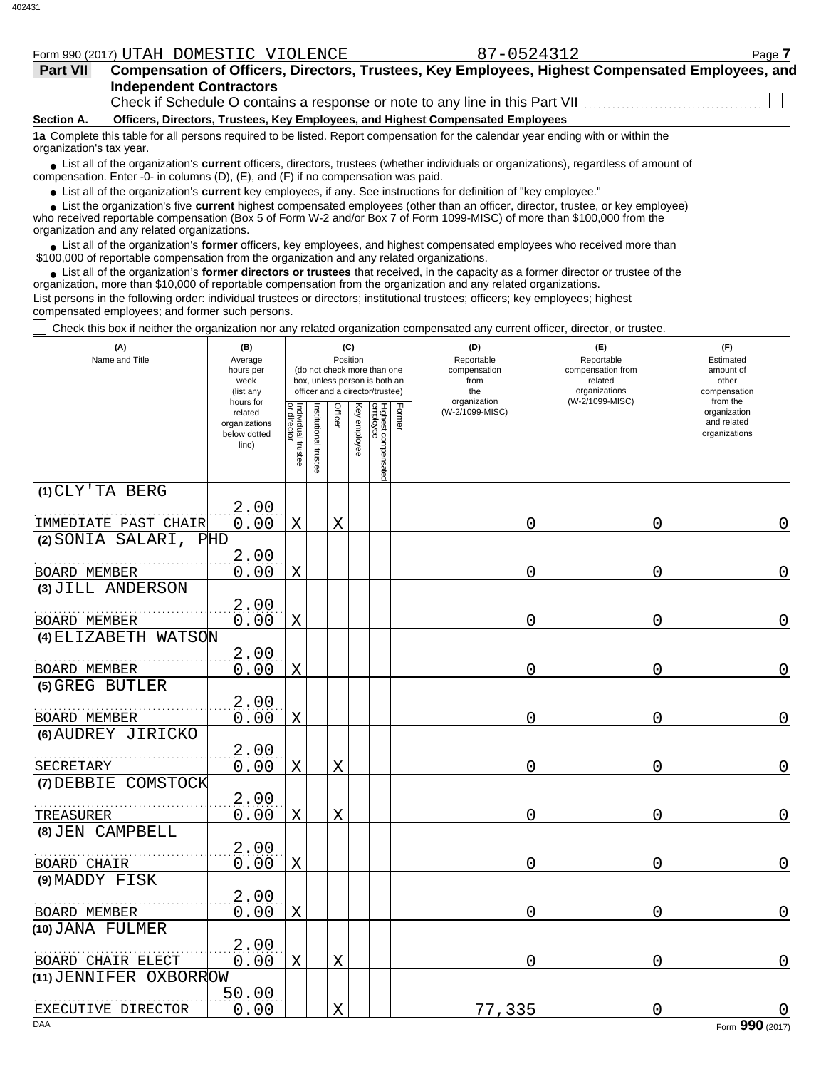| <b>UTAH</b><br><sup>⊏</sup> orm 990 (2017)           | VIOLENCE<br>DOMESTIC        | Page |
|------------------------------------------------------|-----------------------------|------|
| <b><i><u>CONTRACTOR (2012)</u></i></b><br>22 000 122 | $\sim$ $\sim$ $\sim$ $\sim$ |      |

### **Independent Contractors Part VII Compensation of Officers, Directors, Trustees, Key Employees, Highest Compensated Employees, and** Check if Schedule O contains a response or note to any line in this Part VII

**Section A. Officers, Directors, Trustees, Key Employees, and Highest Compensated Employees**

**1a** Complete this table for all persons required to be listed. Report compensation for the calendar year ending with or within the organization's tax year.

■ List all of the organization's **current** officers, directors, trustees (whether individuals or organizations), regardless of amount of compensation. Enter -0- in columns (D), (E), and (F) if no compensation was paid.

● List all of the organization's **current** key employees, if any. See instructions for definition of "key employee."

 $\bullet$  List the organization's five **current** highest compensated employees (other than an officer, director, trustee, or key employee)<br>a received reportable compensation (Box 5 of Form  $M-2$  and/or Box 7 of Form 1000-MISC)

who received reportable compensation (Box 5 of Form W-2 and/or Box 7 of Form 1099-MISC) of more than \$100,000 from the organization and any related organizations.

● List all of the organization's **former** officers, key employees, and highest compensated employees who received more than<br>00,000 of reportable compensation from the erganization and any related erganizations. \$100,000 of reportable compensation from the organization and any related organizations.

• List all of the organization's **former directors or trustees** that received, in the capacity as a former director or trustee of the organization, more than \$10,000 of reportable compensation from the organization and any related organizations. List persons in the following order: individual trustees or directors; institutional trustees; officers; key employees; highest compensated employees; and former such persons.

Check this box if neither the organization nor any related organization compensated any current officer, director, or trustee.

| (A)<br>Name and Title                       | (B)<br>Average<br>hours per<br>week<br>(list any               |                                   |                       | (C)         | Position     | (do not check more than one<br>box, unless person is both an<br>officer and a director/trustee) | (D)<br>Reportable<br>compensation<br>from<br>the | (E)<br>Reportable<br>compensation from<br>related<br>organizations | (F)<br>Estimated<br>amount of<br>other<br>compensation   |
|---------------------------------------------|----------------------------------------------------------------|-----------------------------------|-----------------------|-------------|--------------|-------------------------------------------------------------------------------------------------|--------------------------------------------------|--------------------------------------------------------------------|----------------------------------------------------------|
|                                             | hours for<br>related<br>organizations<br>below dotted<br>line) | Individual trustee<br>or director | Institutional trustee | Officer     | Key employee | Highest compensated<br>employee<br>Former                                                       | organization<br>(W-2/1099-MISC)                  | (W-2/1099-MISC)                                                    | from the<br>organization<br>and related<br>organizations |
| (1) CLY ' TA BERG<br>IMMEDIATE PAST CHAIR   | 2.00<br>0.00                                                   | X                                 |                       | X           |              |                                                                                                 | 0                                                | 0                                                                  | 0                                                        |
| (2) SONIA SALARI, PHD                       | 2.00                                                           |                                   |                       |             |              |                                                                                                 |                                                  |                                                                    |                                                          |
| BOARD MEMBER<br>(3) JILL ANDERSON           | 0.00<br>2.00                                                   | X                                 |                       |             |              |                                                                                                 | 0                                                | 0                                                                  | 0                                                        |
| BOARD MEMBER                                | 0.00                                                           | X                                 |                       |             |              |                                                                                                 | 0                                                | 0                                                                  | 0                                                        |
| (4) ELIZABETH WATSON<br><b>BOARD MEMBER</b> | 2.00<br>0.00                                                   | $\mathbf X$                       |                       |             |              |                                                                                                 | 0                                                | 0                                                                  | 0                                                        |
| (5) GREG BUTLER                             |                                                                |                                   |                       |             |              |                                                                                                 |                                                  |                                                                    |                                                          |
| <b>BOARD MEMBER</b>                         | 2.00<br>0.00                                                   | Χ                                 |                       |             |              |                                                                                                 | 0                                                | 0                                                                  | 0                                                        |
| (6) AUDREY JIRICKO                          | 2.00                                                           |                                   |                       |             |              |                                                                                                 |                                                  |                                                                    |                                                          |
| SECRETARY<br>(7) DEBBIE COMSTOCK            | 0.00                                                           | Χ                                 |                       | $\mathbf X$ |              |                                                                                                 | 0                                                | 0                                                                  | $\overline{0}$                                           |
| TREASURER                                   | 2.00<br>0.00                                                   | X                                 |                       | $\mathbf X$ |              |                                                                                                 | 0                                                | 0                                                                  | 0                                                        |
| (8) JEN CAMPBELL<br>BOARD CHAIR             | 2.00<br>0.00                                                   | $\mathbf X$                       |                       |             |              |                                                                                                 | 0                                                | 0                                                                  | 0                                                        |
| (9) MADDY FISK                              | 2.00                                                           |                                   |                       |             |              |                                                                                                 |                                                  |                                                                    |                                                          |
| BOARD MEMBER<br>(10) JANA FULMER            | 0.00                                                           | X                                 |                       |             |              |                                                                                                 | 0                                                | 0                                                                  | $\Omega$                                                 |
| BOARD CHAIR ELECT                           | 2.00<br>0.00                                                   | $\mathbf X$                       |                       | X           |              |                                                                                                 | 0                                                | 0                                                                  | 0                                                        |
| (11) JENNIFER OXBORROW                      | 50.00                                                          |                                   |                       |             |              |                                                                                                 |                                                  |                                                                    |                                                          |
| EXECUTIVE DIRECTOR<br><b>DAA</b>            | 0.00                                                           |                                   |                       | X           |              |                                                                                                 | 77,335                                           | 0                                                                  | Form 990 (2017)                                          |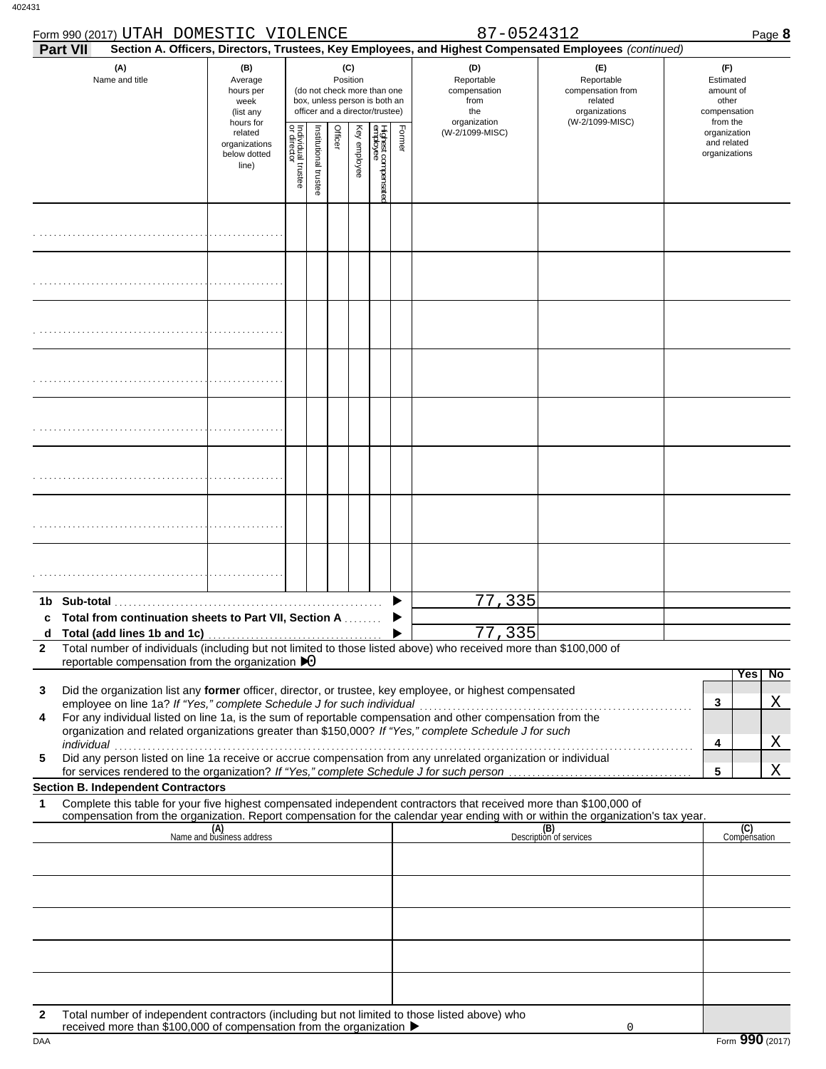|              | Form 990 (2017) UTAH DOMESTIC VIOLENCE                                                                                                                                                                                                                                                                                                                                                                                                                                                                                                    |                                                               |                                   |                      |         |                 |                                                                                                 |        | 87-0524312                                                       |                                                                                                        | Page 8                                                             |
|--------------|-------------------------------------------------------------------------------------------------------------------------------------------------------------------------------------------------------------------------------------------------------------------------------------------------------------------------------------------------------------------------------------------------------------------------------------------------------------------------------------------------------------------------------------------|---------------------------------------------------------------|-----------------------------------|----------------------|---------|-----------------|-------------------------------------------------------------------------------------------------|--------|------------------------------------------------------------------|--------------------------------------------------------------------------------------------------------|--------------------------------------------------------------------|
|              | Part VII                                                                                                                                                                                                                                                                                                                                                                                                                                                                                                                                  |                                                               |                                   |                      |         |                 |                                                                                                 |        |                                                                  | Section A. Officers, Directors, Trustees, Key Employees, and Highest Compensated Employees (continued) |                                                                    |
|              | (A)<br>Name and title                                                                                                                                                                                                                                                                                                                                                                                                                                                                                                                     | (B)<br>Average<br>hours per<br>week<br>(list any<br>hours for |                                   |                      |         | (C)<br>Position | (do not check more than one<br>box, unless person is both an<br>officer and a director/trustee) |        | (D)<br>Reportable<br>compensation<br>from<br>the<br>organization | (E)<br>Reportable<br>compensation from<br>related<br>organizations<br>(W-2/1099-MISC)                  | (F)<br>Estimated<br>amount of<br>other<br>compensation<br>from the |
|              |                                                                                                                                                                                                                                                                                                                                                                                                                                                                                                                                           | related<br>organizations<br>below dotted<br>line)             | Individual trustee<br>or director | nstitutional trustee | Officer | Key employee    | Highest compensatec<br>employee                                                                 | Former | (W-2/1099-MISC)                                                  |                                                                                                        | organization<br>and related<br>organizations                       |
|              |                                                                                                                                                                                                                                                                                                                                                                                                                                                                                                                                           |                                                               |                                   |                      |         |                 |                                                                                                 |        |                                                                  |                                                                                                        |                                                                    |
|              |                                                                                                                                                                                                                                                                                                                                                                                                                                                                                                                                           |                                                               |                                   |                      |         |                 |                                                                                                 |        |                                                                  |                                                                                                        |                                                                    |
|              |                                                                                                                                                                                                                                                                                                                                                                                                                                                                                                                                           |                                                               |                                   |                      |         |                 |                                                                                                 |        |                                                                  |                                                                                                        |                                                                    |
|              |                                                                                                                                                                                                                                                                                                                                                                                                                                                                                                                                           |                                                               |                                   |                      |         |                 |                                                                                                 |        |                                                                  |                                                                                                        |                                                                    |
|              |                                                                                                                                                                                                                                                                                                                                                                                                                                                                                                                                           |                                                               |                                   |                      |         |                 |                                                                                                 |        |                                                                  |                                                                                                        |                                                                    |
|              |                                                                                                                                                                                                                                                                                                                                                                                                                                                                                                                                           |                                                               |                                   |                      |         |                 |                                                                                                 |        |                                                                  |                                                                                                        |                                                                    |
|              |                                                                                                                                                                                                                                                                                                                                                                                                                                                                                                                                           |                                                               |                                   |                      |         |                 |                                                                                                 |        |                                                                  |                                                                                                        |                                                                    |
|              |                                                                                                                                                                                                                                                                                                                                                                                                                                                                                                                                           |                                                               |                                   |                      |         |                 |                                                                                                 |        |                                                                  |                                                                                                        |                                                                    |
|              |                                                                                                                                                                                                                                                                                                                                                                                                                                                                                                                                           |                                                               |                                   |                      |         |                 |                                                                                                 |        | 77,335                                                           |                                                                                                        |                                                                    |
| c            | Total from continuation sheets to Part VII, Section A                                                                                                                                                                                                                                                                                                                                                                                                                                                                                     |                                                               |                                   |                      |         |                 |                                                                                                 |        | 77,335                                                           |                                                                                                        |                                                                    |
| $\mathbf{2}$ | Total number of individuals (including but not limited to those listed above) who received more than \$100,000 of<br>reportable compensation from the organization $\blacktriangleright$ 0                                                                                                                                                                                                                                                                                                                                                |                                                               |                                   |                      |         |                 |                                                                                                 |        |                                                                  |                                                                                                        |                                                                    |
| 3<br>4<br>5  | Did the organization list any former officer, director, or trustee, key employee, or highest compensated<br>employee on line 1a? If "Yes," complete Schedule J for such individual<br>For any individual listed on line 1a, is the sum of reportable compensation and other compensation from the<br>organization and related organizations greater than \$150,000? If "Yes," complete Schedule J for such<br>individual<br>Did any person listed on line 1a receive or accrue compensation from any unrelated organization or individual |                                                               |                                   |                      |         |                 |                                                                                                 |        |                                                                  |                                                                                                        | No<br>Yes<br>Χ<br>3<br>X<br>4<br>X<br>5                            |
|              | <b>Section B. Independent Contractors</b>                                                                                                                                                                                                                                                                                                                                                                                                                                                                                                 |                                                               |                                   |                      |         |                 |                                                                                                 |        |                                                                  |                                                                                                        |                                                                    |
| 1            | Complete this table for your five highest compensated independent contractors that received more than \$100,000 of<br>compensation from the organization. Report compensation for the calendar year ending with or within the organization's tax year.                                                                                                                                                                                                                                                                                    |                                                               |                                   |                      |         |                 |                                                                                                 |        |                                                                  |                                                                                                        |                                                                    |
|              |                                                                                                                                                                                                                                                                                                                                                                                                                                                                                                                                           | (A)<br>Name and business address                              |                                   |                      |         |                 |                                                                                                 |        |                                                                  | (B)<br>Description of services                                                                         | C <sub>O</sub><br>Compensation                                     |
|              |                                                                                                                                                                                                                                                                                                                                                                                                                                                                                                                                           |                                                               |                                   |                      |         |                 |                                                                                                 |        |                                                                  |                                                                                                        |                                                                    |
|              |                                                                                                                                                                                                                                                                                                                                                                                                                                                                                                                                           |                                                               |                                   |                      |         |                 |                                                                                                 |        |                                                                  |                                                                                                        |                                                                    |
| 2            | Total number of independent contractors (including but not limited to those listed above) who                                                                                                                                                                                                                                                                                                                                                                                                                                             |                                                               |                                   |                      |         |                 |                                                                                                 |        |                                                                  |                                                                                                        |                                                                    |
|              | received more than \$100,000 of compensation from the organization ▶                                                                                                                                                                                                                                                                                                                                                                                                                                                                      |                                                               |                                   |                      |         |                 |                                                                                                 |        |                                                                  | $\mathbf 0$                                                                                            |                                                                    |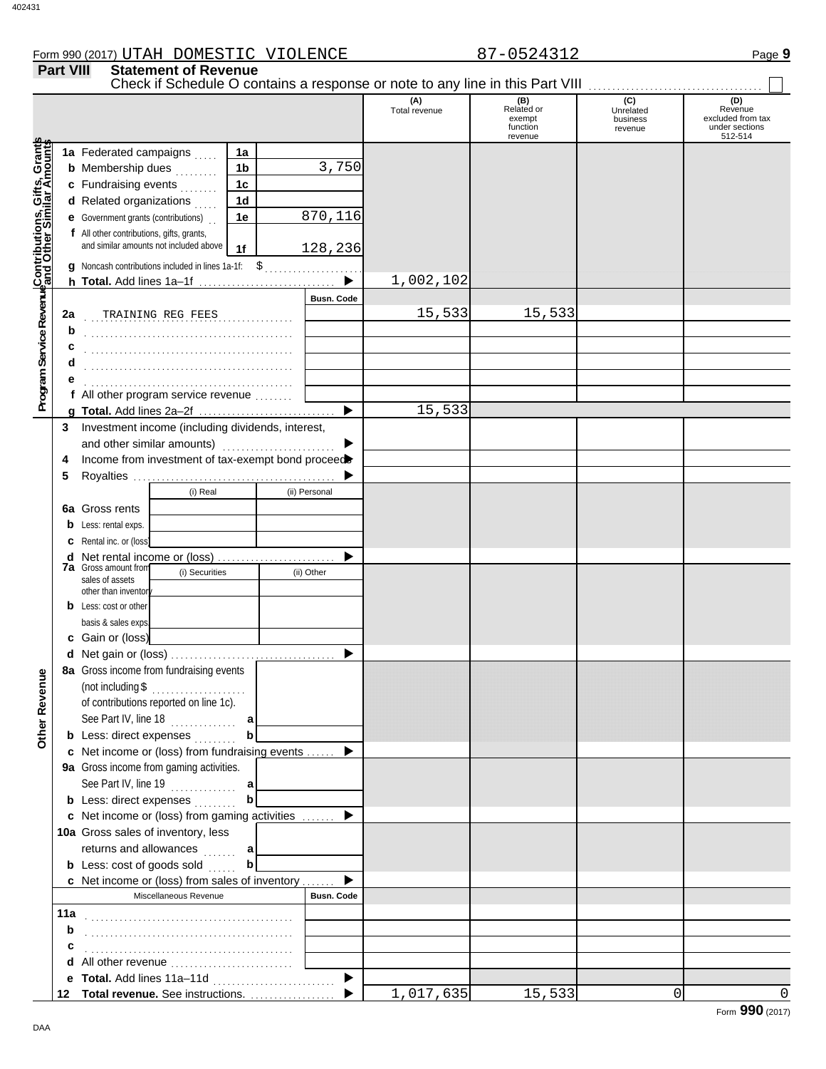Form 990 (2017) Page **9** UTAH DOMESTIC VIOLENCE 87-0524312

| Check if Schedule O contains a response or note to any line in this Part VIII [111] [11] [11] [11] Check if Schedule O contains a response or note to any line in this Part VIII<br>(C)<br>(A)<br>(D)<br>(B)<br>Related or<br>Revenue<br>Unrelated<br>Total revenue<br>exempt<br>business<br>function<br>revenue<br>revenue<br>512-514<br>Program Service Revenue Contributions, Gifts, Grants<br>Program Service Revenue and Other Similar Amounts<br>1a Federated campaigns<br>1a<br>3,750<br><b>b</b> Membership dues<br>1 <sub>b</sub><br>.<br>c Fundraising events<br>1 <sub>c</sub><br>d Related organizations<br>1d<br>870,116<br><b>e</b> Government grants (contributions)<br>1e<br>f All other contributions, gifts, grants,<br>and similar amounts not included above<br>128,236<br>1f<br>g Noncash contributions included in lines 1a-1f: \$<br>1,002,102<br>▶<br><b>Busn. Code</b><br>15,533<br>15,533<br>2a<br>TRAINING REG FEES<br>.<br>f All other program service revenue<br>15,533<br>▶<br>Investment income (including dividends, interest,<br>3<br>Income from investment of tax-exempt bond proceed<br>4<br>5<br>(i) Real<br>(ii) Personal<br>Gross rents<br>6a<br>Less: rental exps.<br>b<br>Rental inc. or (loss)<br>с<br>d<br><b>7a</b> Gross amount from<br>(i) Securities<br>(ii) Other<br>sales of assets<br>other than inventor<br>Less: cost or other<br>b<br>basis & sales exps.<br>c Gain or (loss)<br>8a Gross income from fundraising events<br>Other Revenue<br>(not including $$$<br>.<br>of contributions reported on line 1c).<br>See Part IV, line 18<br>а<br><b>b</b> Less: direct expenses<br>c Net income or (loss) from fundraising events  ▶<br>9a Gross income from gaming activities.<br><b>b</b> Less: direct expenses<br>c Net income or (loss) from gaming activities<br>10a Gross sales of inventory, less<br>returns and allowances  a<br>$\mathbf b$<br><b>b</b> Less: cost of goods sold<br><b>c</b> Net income or (loss) from sales of inventory<br>Miscellaneous Revenue<br><b>Busn, Code</b><br>11a<br>b<br>с | <b>Part VIII</b> |  | <b>Statement of Revenue</b> |  |  |  |                                     |
|----------------------------------------------------------------------------------------------------------------------------------------------------------------------------------------------------------------------------------------------------------------------------------------------------------------------------------------------------------------------------------------------------------------------------------------------------------------------------------------------------------------------------------------------------------------------------------------------------------------------------------------------------------------------------------------------------------------------------------------------------------------------------------------------------------------------------------------------------------------------------------------------------------------------------------------------------------------------------------------------------------------------------------------------------------------------------------------------------------------------------------------------------------------------------------------------------------------------------------------------------------------------------------------------------------------------------------------------------------------------------------------------------------------------------------------------------------------------------------------------------------------------------------------------------------------------------------------------------------------------------------------------------------------------------------------------------------------------------------------------------------------------------------------------------------------------------------------------------------------------------------------------------------------------------------------------------------------------------------------------------------------------------------------------------------------------|------------------|--|-----------------------------|--|--|--|-------------------------------------|
|                                                                                                                                                                                                                                                                                                                                                                                                                                                                                                                                                                                                                                                                                                                                                                                                                                                                                                                                                                                                                                                                                                                                                                                                                                                                                                                                                                                                                                                                                                                                                                                                                                                                                                                                                                                                                                                                                                                                                                                                                                                                      |                  |  |                             |  |  |  | excluded from tax<br>under sections |
|                                                                                                                                                                                                                                                                                                                                                                                                                                                                                                                                                                                                                                                                                                                                                                                                                                                                                                                                                                                                                                                                                                                                                                                                                                                                                                                                                                                                                                                                                                                                                                                                                                                                                                                                                                                                                                                                                                                                                                                                                                                                      |                  |  |                             |  |  |  |                                     |
|                                                                                                                                                                                                                                                                                                                                                                                                                                                                                                                                                                                                                                                                                                                                                                                                                                                                                                                                                                                                                                                                                                                                                                                                                                                                                                                                                                                                                                                                                                                                                                                                                                                                                                                                                                                                                                                                                                                                                                                                                                                                      |                  |  |                             |  |  |  |                                     |
|                                                                                                                                                                                                                                                                                                                                                                                                                                                                                                                                                                                                                                                                                                                                                                                                                                                                                                                                                                                                                                                                                                                                                                                                                                                                                                                                                                                                                                                                                                                                                                                                                                                                                                                                                                                                                                                                                                                                                                                                                                                                      |                  |  |                             |  |  |  |                                     |
|                                                                                                                                                                                                                                                                                                                                                                                                                                                                                                                                                                                                                                                                                                                                                                                                                                                                                                                                                                                                                                                                                                                                                                                                                                                                                                                                                                                                                                                                                                                                                                                                                                                                                                                                                                                                                                                                                                                                                                                                                                                                      |                  |  |                             |  |  |  |                                     |
|                                                                                                                                                                                                                                                                                                                                                                                                                                                                                                                                                                                                                                                                                                                                                                                                                                                                                                                                                                                                                                                                                                                                                                                                                                                                                                                                                                                                                                                                                                                                                                                                                                                                                                                                                                                                                                                                                                                                                                                                                                                                      |                  |  |                             |  |  |  |                                     |
|                                                                                                                                                                                                                                                                                                                                                                                                                                                                                                                                                                                                                                                                                                                                                                                                                                                                                                                                                                                                                                                                                                                                                                                                                                                                                                                                                                                                                                                                                                                                                                                                                                                                                                                                                                                                                                                                                                                                                                                                                                                                      |                  |  |                             |  |  |  |                                     |
|                                                                                                                                                                                                                                                                                                                                                                                                                                                                                                                                                                                                                                                                                                                                                                                                                                                                                                                                                                                                                                                                                                                                                                                                                                                                                                                                                                                                                                                                                                                                                                                                                                                                                                                                                                                                                                                                                                                                                                                                                                                                      |                  |  |                             |  |  |  |                                     |
|                                                                                                                                                                                                                                                                                                                                                                                                                                                                                                                                                                                                                                                                                                                                                                                                                                                                                                                                                                                                                                                                                                                                                                                                                                                                                                                                                                                                                                                                                                                                                                                                                                                                                                                                                                                                                                                                                                                                                                                                                                                                      |                  |  |                             |  |  |  |                                     |
|                                                                                                                                                                                                                                                                                                                                                                                                                                                                                                                                                                                                                                                                                                                                                                                                                                                                                                                                                                                                                                                                                                                                                                                                                                                                                                                                                                                                                                                                                                                                                                                                                                                                                                                                                                                                                                                                                                                                                                                                                                                                      |                  |  |                             |  |  |  |                                     |
|                                                                                                                                                                                                                                                                                                                                                                                                                                                                                                                                                                                                                                                                                                                                                                                                                                                                                                                                                                                                                                                                                                                                                                                                                                                                                                                                                                                                                                                                                                                                                                                                                                                                                                                                                                                                                                                                                                                                                                                                                                                                      |                  |  |                             |  |  |  |                                     |
|                                                                                                                                                                                                                                                                                                                                                                                                                                                                                                                                                                                                                                                                                                                                                                                                                                                                                                                                                                                                                                                                                                                                                                                                                                                                                                                                                                                                                                                                                                                                                                                                                                                                                                                                                                                                                                                                                                                                                                                                                                                                      |                  |  |                             |  |  |  |                                     |
|                                                                                                                                                                                                                                                                                                                                                                                                                                                                                                                                                                                                                                                                                                                                                                                                                                                                                                                                                                                                                                                                                                                                                                                                                                                                                                                                                                                                                                                                                                                                                                                                                                                                                                                                                                                                                                                                                                                                                                                                                                                                      |                  |  |                             |  |  |  |                                     |
|                                                                                                                                                                                                                                                                                                                                                                                                                                                                                                                                                                                                                                                                                                                                                                                                                                                                                                                                                                                                                                                                                                                                                                                                                                                                                                                                                                                                                                                                                                                                                                                                                                                                                                                                                                                                                                                                                                                                                                                                                                                                      |                  |  |                             |  |  |  |                                     |
|                                                                                                                                                                                                                                                                                                                                                                                                                                                                                                                                                                                                                                                                                                                                                                                                                                                                                                                                                                                                                                                                                                                                                                                                                                                                                                                                                                                                                                                                                                                                                                                                                                                                                                                                                                                                                                                                                                                                                                                                                                                                      |                  |  |                             |  |  |  |                                     |
|                                                                                                                                                                                                                                                                                                                                                                                                                                                                                                                                                                                                                                                                                                                                                                                                                                                                                                                                                                                                                                                                                                                                                                                                                                                                                                                                                                                                                                                                                                                                                                                                                                                                                                                                                                                                                                                                                                                                                                                                                                                                      |                  |  |                             |  |  |  |                                     |
|                                                                                                                                                                                                                                                                                                                                                                                                                                                                                                                                                                                                                                                                                                                                                                                                                                                                                                                                                                                                                                                                                                                                                                                                                                                                                                                                                                                                                                                                                                                                                                                                                                                                                                                                                                                                                                                                                                                                                                                                                                                                      |                  |  |                             |  |  |  |                                     |
|                                                                                                                                                                                                                                                                                                                                                                                                                                                                                                                                                                                                                                                                                                                                                                                                                                                                                                                                                                                                                                                                                                                                                                                                                                                                                                                                                                                                                                                                                                                                                                                                                                                                                                                                                                                                                                                                                                                                                                                                                                                                      |                  |  |                             |  |  |  |                                     |
|                                                                                                                                                                                                                                                                                                                                                                                                                                                                                                                                                                                                                                                                                                                                                                                                                                                                                                                                                                                                                                                                                                                                                                                                                                                                                                                                                                                                                                                                                                                                                                                                                                                                                                                                                                                                                                                                                                                                                                                                                                                                      |                  |  |                             |  |  |  |                                     |
|                                                                                                                                                                                                                                                                                                                                                                                                                                                                                                                                                                                                                                                                                                                                                                                                                                                                                                                                                                                                                                                                                                                                                                                                                                                                                                                                                                                                                                                                                                                                                                                                                                                                                                                                                                                                                                                                                                                                                                                                                                                                      |                  |  |                             |  |  |  |                                     |
|                                                                                                                                                                                                                                                                                                                                                                                                                                                                                                                                                                                                                                                                                                                                                                                                                                                                                                                                                                                                                                                                                                                                                                                                                                                                                                                                                                                                                                                                                                                                                                                                                                                                                                                                                                                                                                                                                                                                                                                                                                                                      |                  |  |                             |  |  |  |                                     |
|                                                                                                                                                                                                                                                                                                                                                                                                                                                                                                                                                                                                                                                                                                                                                                                                                                                                                                                                                                                                                                                                                                                                                                                                                                                                                                                                                                                                                                                                                                                                                                                                                                                                                                                                                                                                                                                                                                                                                                                                                                                                      |                  |  |                             |  |  |  |                                     |
|                                                                                                                                                                                                                                                                                                                                                                                                                                                                                                                                                                                                                                                                                                                                                                                                                                                                                                                                                                                                                                                                                                                                                                                                                                                                                                                                                                                                                                                                                                                                                                                                                                                                                                                                                                                                                                                                                                                                                                                                                                                                      |                  |  |                             |  |  |  |                                     |
|                                                                                                                                                                                                                                                                                                                                                                                                                                                                                                                                                                                                                                                                                                                                                                                                                                                                                                                                                                                                                                                                                                                                                                                                                                                                                                                                                                                                                                                                                                                                                                                                                                                                                                                                                                                                                                                                                                                                                                                                                                                                      |                  |  |                             |  |  |  |                                     |
|                                                                                                                                                                                                                                                                                                                                                                                                                                                                                                                                                                                                                                                                                                                                                                                                                                                                                                                                                                                                                                                                                                                                                                                                                                                                                                                                                                                                                                                                                                                                                                                                                                                                                                                                                                                                                                                                                                                                                                                                                                                                      |                  |  |                             |  |  |  |                                     |
|                                                                                                                                                                                                                                                                                                                                                                                                                                                                                                                                                                                                                                                                                                                                                                                                                                                                                                                                                                                                                                                                                                                                                                                                                                                                                                                                                                                                                                                                                                                                                                                                                                                                                                                                                                                                                                                                                                                                                                                                                                                                      |                  |  |                             |  |  |  |                                     |
|                                                                                                                                                                                                                                                                                                                                                                                                                                                                                                                                                                                                                                                                                                                                                                                                                                                                                                                                                                                                                                                                                                                                                                                                                                                                                                                                                                                                                                                                                                                                                                                                                                                                                                                                                                                                                                                                                                                                                                                                                                                                      |                  |  |                             |  |  |  |                                     |
|                                                                                                                                                                                                                                                                                                                                                                                                                                                                                                                                                                                                                                                                                                                                                                                                                                                                                                                                                                                                                                                                                                                                                                                                                                                                                                                                                                                                                                                                                                                                                                                                                                                                                                                                                                                                                                                                                                                                                                                                                                                                      |                  |  |                             |  |  |  |                                     |
|                                                                                                                                                                                                                                                                                                                                                                                                                                                                                                                                                                                                                                                                                                                                                                                                                                                                                                                                                                                                                                                                                                                                                                                                                                                                                                                                                                                                                                                                                                                                                                                                                                                                                                                                                                                                                                                                                                                                                                                                                                                                      |                  |  |                             |  |  |  |                                     |
|                                                                                                                                                                                                                                                                                                                                                                                                                                                                                                                                                                                                                                                                                                                                                                                                                                                                                                                                                                                                                                                                                                                                                                                                                                                                                                                                                                                                                                                                                                                                                                                                                                                                                                                                                                                                                                                                                                                                                                                                                                                                      |                  |  |                             |  |  |  |                                     |
|                                                                                                                                                                                                                                                                                                                                                                                                                                                                                                                                                                                                                                                                                                                                                                                                                                                                                                                                                                                                                                                                                                                                                                                                                                                                                                                                                                                                                                                                                                                                                                                                                                                                                                                                                                                                                                                                                                                                                                                                                                                                      |                  |  |                             |  |  |  |                                     |
|                                                                                                                                                                                                                                                                                                                                                                                                                                                                                                                                                                                                                                                                                                                                                                                                                                                                                                                                                                                                                                                                                                                                                                                                                                                                                                                                                                                                                                                                                                                                                                                                                                                                                                                                                                                                                                                                                                                                                                                                                                                                      |                  |  |                             |  |  |  |                                     |
|                                                                                                                                                                                                                                                                                                                                                                                                                                                                                                                                                                                                                                                                                                                                                                                                                                                                                                                                                                                                                                                                                                                                                                                                                                                                                                                                                                                                                                                                                                                                                                                                                                                                                                                                                                                                                                                                                                                                                                                                                                                                      |                  |  |                             |  |  |  |                                     |
|                                                                                                                                                                                                                                                                                                                                                                                                                                                                                                                                                                                                                                                                                                                                                                                                                                                                                                                                                                                                                                                                                                                                                                                                                                                                                                                                                                                                                                                                                                                                                                                                                                                                                                                                                                                                                                                                                                                                                                                                                                                                      |                  |  |                             |  |  |  |                                     |
|                                                                                                                                                                                                                                                                                                                                                                                                                                                                                                                                                                                                                                                                                                                                                                                                                                                                                                                                                                                                                                                                                                                                                                                                                                                                                                                                                                                                                                                                                                                                                                                                                                                                                                                                                                                                                                                                                                                                                                                                                                                                      |                  |  |                             |  |  |  |                                     |
|                                                                                                                                                                                                                                                                                                                                                                                                                                                                                                                                                                                                                                                                                                                                                                                                                                                                                                                                                                                                                                                                                                                                                                                                                                                                                                                                                                                                                                                                                                                                                                                                                                                                                                                                                                                                                                                                                                                                                                                                                                                                      |                  |  |                             |  |  |  |                                     |
|                                                                                                                                                                                                                                                                                                                                                                                                                                                                                                                                                                                                                                                                                                                                                                                                                                                                                                                                                                                                                                                                                                                                                                                                                                                                                                                                                                                                                                                                                                                                                                                                                                                                                                                                                                                                                                                                                                                                                                                                                                                                      |                  |  |                             |  |  |  |                                     |
|                                                                                                                                                                                                                                                                                                                                                                                                                                                                                                                                                                                                                                                                                                                                                                                                                                                                                                                                                                                                                                                                                                                                                                                                                                                                                                                                                                                                                                                                                                                                                                                                                                                                                                                                                                                                                                                                                                                                                                                                                                                                      |                  |  |                             |  |  |  |                                     |
|                                                                                                                                                                                                                                                                                                                                                                                                                                                                                                                                                                                                                                                                                                                                                                                                                                                                                                                                                                                                                                                                                                                                                                                                                                                                                                                                                                                                                                                                                                                                                                                                                                                                                                                                                                                                                                                                                                                                                                                                                                                                      |                  |  |                             |  |  |  |                                     |
|                                                                                                                                                                                                                                                                                                                                                                                                                                                                                                                                                                                                                                                                                                                                                                                                                                                                                                                                                                                                                                                                                                                                                                                                                                                                                                                                                                                                                                                                                                                                                                                                                                                                                                                                                                                                                                                                                                                                                                                                                                                                      |                  |  |                             |  |  |  |                                     |
|                                                                                                                                                                                                                                                                                                                                                                                                                                                                                                                                                                                                                                                                                                                                                                                                                                                                                                                                                                                                                                                                                                                                                                                                                                                                                                                                                                                                                                                                                                                                                                                                                                                                                                                                                                                                                                                                                                                                                                                                                                                                      |                  |  |                             |  |  |  |                                     |
|                                                                                                                                                                                                                                                                                                                                                                                                                                                                                                                                                                                                                                                                                                                                                                                                                                                                                                                                                                                                                                                                                                                                                                                                                                                                                                                                                                                                                                                                                                                                                                                                                                                                                                                                                                                                                                                                                                                                                                                                                                                                      |                  |  |                             |  |  |  |                                     |
|                                                                                                                                                                                                                                                                                                                                                                                                                                                                                                                                                                                                                                                                                                                                                                                                                                                                                                                                                                                                                                                                                                                                                                                                                                                                                                                                                                                                                                                                                                                                                                                                                                                                                                                                                                                                                                                                                                                                                                                                                                                                      |                  |  |                             |  |  |  |                                     |
|                                                                                                                                                                                                                                                                                                                                                                                                                                                                                                                                                                                                                                                                                                                                                                                                                                                                                                                                                                                                                                                                                                                                                                                                                                                                                                                                                                                                                                                                                                                                                                                                                                                                                                                                                                                                                                                                                                                                                                                                                                                                      |                  |  |                             |  |  |  |                                     |
|                                                                                                                                                                                                                                                                                                                                                                                                                                                                                                                                                                                                                                                                                                                                                                                                                                                                                                                                                                                                                                                                                                                                                                                                                                                                                                                                                                                                                                                                                                                                                                                                                                                                                                                                                                                                                                                                                                                                                                                                                                                                      |                  |  |                             |  |  |  |                                     |
|                                                                                                                                                                                                                                                                                                                                                                                                                                                                                                                                                                                                                                                                                                                                                                                                                                                                                                                                                                                                                                                                                                                                                                                                                                                                                                                                                                                                                                                                                                                                                                                                                                                                                                                                                                                                                                                                                                                                                                                                                                                                      |                  |  |                             |  |  |  |                                     |
|                                                                                                                                                                                                                                                                                                                                                                                                                                                                                                                                                                                                                                                                                                                                                                                                                                                                                                                                                                                                                                                                                                                                                                                                                                                                                                                                                                                                                                                                                                                                                                                                                                                                                                                                                                                                                                                                                                                                                                                                                                                                      |                  |  |                             |  |  |  |                                     |
|                                                                                                                                                                                                                                                                                                                                                                                                                                                                                                                                                                                                                                                                                                                                                                                                                                                                                                                                                                                                                                                                                                                                                                                                                                                                                                                                                                                                                                                                                                                                                                                                                                                                                                                                                                                                                                                                                                                                                                                                                                                                      |                  |  |                             |  |  |  |                                     |
|                                                                                                                                                                                                                                                                                                                                                                                                                                                                                                                                                                                                                                                                                                                                                                                                                                                                                                                                                                                                                                                                                                                                                                                                                                                                                                                                                                                                                                                                                                                                                                                                                                                                                                                                                                                                                                                                                                                                                                                                                                                                      |                  |  |                             |  |  |  |                                     |
|                                                                                                                                                                                                                                                                                                                                                                                                                                                                                                                                                                                                                                                                                                                                                                                                                                                                                                                                                                                                                                                                                                                                                                                                                                                                                                                                                                                                                                                                                                                                                                                                                                                                                                                                                                                                                                                                                                                                                                                                                                                                      |                  |  |                             |  |  |  |                                     |
|                                                                                                                                                                                                                                                                                                                                                                                                                                                                                                                                                                                                                                                                                                                                                                                                                                                                                                                                                                                                                                                                                                                                                                                                                                                                                                                                                                                                                                                                                                                                                                                                                                                                                                                                                                                                                                                                                                                                                                                                                                                                      |                  |  |                             |  |  |  |                                     |
|                                                                                                                                                                                                                                                                                                                                                                                                                                                                                                                                                                                                                                                                                                                                                                                                                                                                                                                                                                                                                                                                                                                                                                                                                                                                                                                                                                                                                                                                                                                                                                                                                                                                                                                                                                                                                                                                                                                                                                                                                                                                      |                  |  |                             |  |  |  |                                     |
|                                                                                                                                                                                                                                                                                                                                                                                                                                                                                                                                                                                                                                                                                                                                                                                                                                                                                                                                                                                                                                                                                                                                                                                                                                                                                                                                                                                                                                                                                                                                                                                                                                                                                                                                                                                                                                                                                                                                                                                                                                                                      |                  |  |                             |  |  |  |                                     |
|                                                                                                                                                                                                                                                                                                                                                                                                                                                                                                                                                                                                                                                                                                                                                                                                                                                                                                                                                                                                                                                                                                                                                                                                                                                                                                                                                                                                                                                                                                                                                                                                                                                                                                                                                                                                                                                                                                                                                                                                                                                                      |                  |  |                             |  |  |  |                                     |
| 1,017,635<br>15,533<br>$\mathsf 0$                                                                                                                                                                                                                                                                                                                                                                                                                                                                                                                                                                                                                                                                                                                                                                                                                                                                                                                                                                                                                                                                                                                                                                                                                                                                                                                                                                                                                                                                                                                                                                                                                                                                                                                                                                                                                                                                                                                                                                                                                                   |                  |  |                             |  |  |  | 0                                   |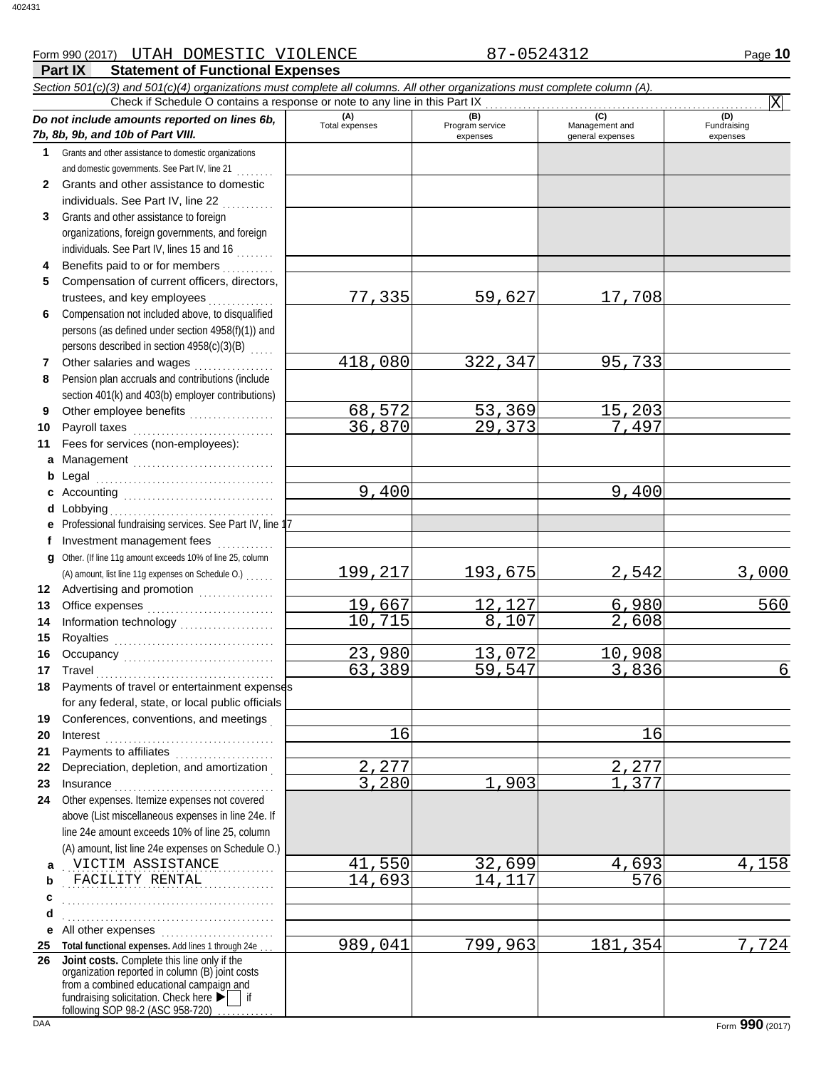# **Part IX Statement of Functional Expenses** Form 990 (2017) Page **10** UTAH DOMESTIC VIOLENCE 87-0524312

|              | Section 501(c)(3) and 501(c)(4) organizations must complete all columns. All other organizations must complete column (A).       |                       |                        |                       |                         |
|--------------|----------------------------------------------------------------------------------------------------------------------------------|-----------------------|------------------------|-----------------------|-------------------------|
|              | Check if Schedule O contains a response or note to any line in this Part IX                                                      |                       |                        |                       | $\overline{\mathrm{x}}$ |
|              | Do not include amounts reported on lines 6b,                                                                                     | (A)<br>Total expenses | (B)<br>Program service | (C)<br>Management and | (D)<br>Fundraising      |
|              | 7b, 8b, 9b, and 10b of Part VIII.                                                                                                |                       | expenses               | general expenses      | expenses                |
| 1            | Grants and other assistance to domestic organizations                                                                            |                       |                        |                       |                         |
| $\mathbf{2}$ | and domestic governments. See Part IV, line 21<br>Grants and other assistance to domestic                                        |                       |                        |                       |                         |
|              | individuals. See Part IV, line 22                                                                                                |                       |                        |                       |                         |
| 3            | Grants and other assistance to foreign                                                                                           |                       |                        |                       |                         |
|              | organizations, foreign governments, and foreign                                                                                  |                       |                        |                       |                         |
|              | individuals. See Part IV, lines 15 and 16                                                                                        |                       |                        |                       |                         |
| 4            | Benefits paid to or for members                                                                                                  |                       |                        |                       |                         |
| 5            | Compensation of current officers, directors,                                                                                     |                       |                        |                       |                         |
|              | trustees, and key employees                                                                                                      | 77,335                | 59,627                 | 17,708                |                         |
| 6            | Compensation not included above, to disqualified                                                                                 |                       |                        |                       |                         |
|              | persons (as defined under section 4958(f)(1)) and                                                                                |                       |                        |                       |                         |
|              | persons described in section 4958(c)(3)(B)                                                                                       |                       |                        |                       |                         |
| 7            | Other salaries and wages                                                                                                         | 418,080               | 322,347                | 95,733                |                         |
| 8            | Pension plan accruals and contributions (include                                                                                 |                       |                        |                       |                         |
|              | section 401(k) and 403(b) employer contributions)                                                                                |                       |                        |                       |                         |
| 9            | Other employee benefits                                                                                                          | 68,572                | 53,369                 | 15,203                |                         |
| 10           | Payroll taxes                                                                                                                    | 36,870                | 29,373                 | 7,497                 |                         |
| 11           | Fees for services (non-employees):                                                                                               |                       |                        |                       |                         |
| a            |                                                                                                                                  |                       |                        |                       |                         |
| b<br>c       | Legal<br>Accounting                                                                                                              | 9,400                 |                        | 9,400                 |                         |
| d            | Lobbying                                                                                                                         |                       |                        |                       |                         |
| e            | Professional fundraising services. See Part IV, line 1                                                                           |                       |                        |                       |                         |
| f            | Investment management fees                                                                                                       |                       |                        |                       |                         |
| q            | Other. (If line 11g amount exceeds 10% of line 25, column                                                                        |                       |                        |                       |                         |
|              |                                                                                                                                  | 199,217               | 193,675                | 2,542                 | 3,000                   |
|              | 12 Advertising and promotion [1] [1] Advertising and promotion                                                                   |                       |                        |                       |                         |
| 13           |                                                                                                                                  | 19,667                | 12,127                 | 6,980                 | 560                     |
| 14           | Information technology<br>                                                                                                       | 10,715                | 8,107                  | 2,608                 |                         |
| 15           |                                                                                                                                  |                       |                        |                       |                         |
| 16           |                                                                                                                                  | 23,980                | 13,072                 | 10,908                |                         |
|              |                                                                                                                                  | 63, 389               | 59,547                 | 3,836                 | 6                       |
|              | 18 Payments of travel or entertainment expenses                                                                                  |                       |                        |                       |                         |
| 19           | for any federal, state, or local public officials<br>Conferences, conventions, and meetings                                      |                       |                        |                       |                         |
| 20           | Interest                                                                                                                         | 16                    |                        | 16                    |                         |
| 21           | Payments to affiliates                                                                                                           |                       |                        |                       |                         |
| 22           | Depreciation, depletion, and amortization                                                                                        | 2,277                 |                        | 2,277                 |                         |
| 23           | Insurance                                                                                                                        | 3,280                 | 1,903                  | 1,377                 |                         |
| 24           | Other expenses. Itemize expenses not covered                                                                                     |                       |                        |                       |                         |
|              | above (List miscellaneous expenses in line 24e. If                                                                               |                       |                        |                       |                         |
|              | line 24e amount exceeds 10% of line 25, column                                                                                   |                       |                        |                       |                         |
|              | (A) amount, list line 24e expenses on Schedule O.)                                                                               |                       |                        |                       |                         |
| a            | VICTIM ASSISTANCE                                                                                                                | 41,550                | 32,699                 | 4,693                 | 4,158                   |
| b            | FACILITY RENTAL                                                                                                                  | 14,693                | 14,117                 | 576                   |                         |
| c            |                                                                                                                                  |                       |                        |                       |                         |
| d            |                                                                                                                                  |                       |                        |                       |                         |
| е            | All other expenses<br><u> 1986 - Johann Stoff, Amerikaansk kanton en </u><br>Total functional expenses. Add lines 1 through 24e. | 989,041               | 799,963                | 181,354               | 7,724                   |
| 25<br>26     | Joint costs. Complete this line only if the                                                                                      |                       |                        |                       |                         |
|              | organization reported in column (B) joint costs                                                                                  |                       |                        |                       |                         |
|              | from a combined educational campaign and<br>fundraising solicitation. Check here ▶     if                                        |                       |                        |                       |                         |
|              | following SOP 98-2 (ASC 958-720)                                                                                                 |                       |                        |                       |                         |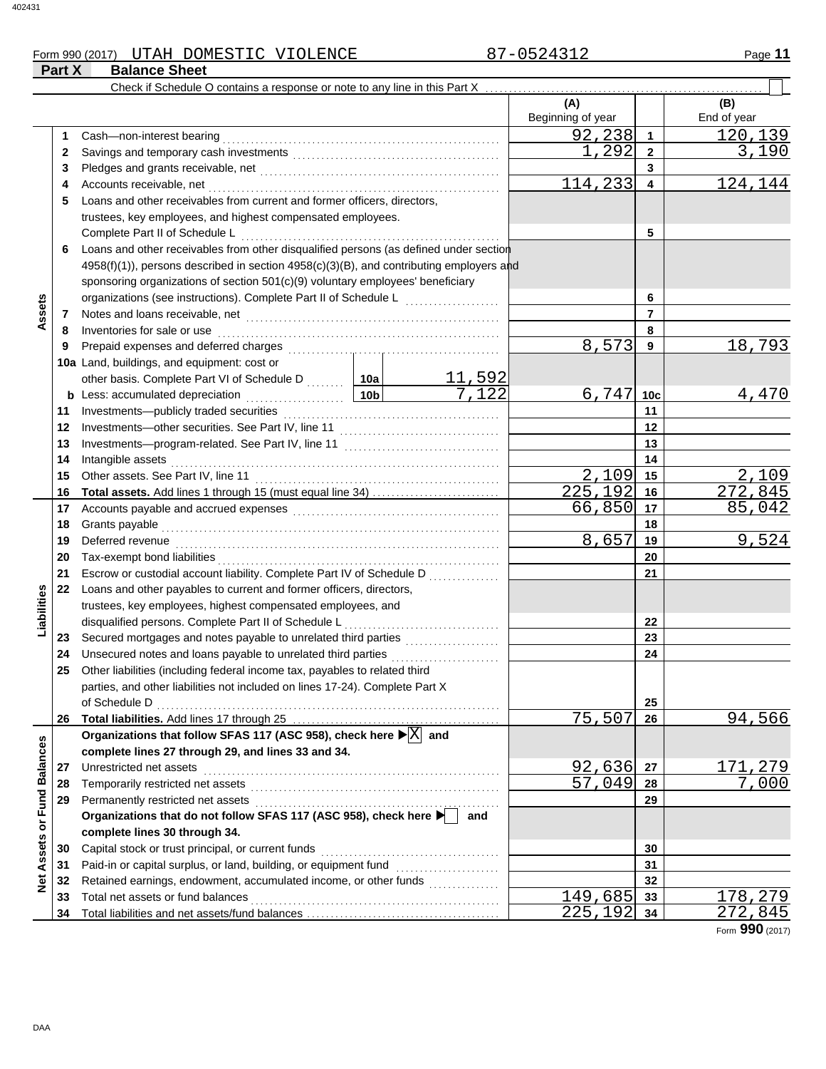### Form 990 (2017) Page **11** UTAH DOMESTIC VIOLENCE 87-0524312 **Part X** Balance Sheet

|                 |    | Check if Schedule O contains a response or note to any line in this Part X                                                                                                                                                     |       |               |                          |                 |                    |
|-----------------|----|--------------------------------------------------------------------------------------------------------------------------------------------------------------------------------------------------------------------------------|-------|---------------|--------------------------|-----------------|--------------------|
|                 |    |                                                                                                                                                                                                                                |       |               | (A)<br>Beginning of year |                 | (B)<br>End of year |
|                 | 1  | Cash-non-interest bearing                                                                                                                                                                                                      |       |               | 92,238                   | $\mathbf{1}$    | 120,139            |
|                 | 2  |                                                                                                                                                                                                                                |       |               | 1,292                    | $\mathbf{2}$    | 3,190              |
|                 | 3  |                                                                                                                                                                                                                                |       |               |                          | 3               |                    |
|                 | 4  |                                                                                                                                                                                                                                |       |               | 114,233                  | 4               | 124,144            |
|                 | 5  | Loans and other receivables from current and former officers, directors,                                                                                                                                                       |       |               |                          |                 |                    |
|                 |    | trustees, key employees, and highest compensated employees.                                                                                                                                                                    |       |               |                          |                 |                    |
|                 |    | Complete Part II of Schedule L                                                                                                                                                                                                 |       |               |                          | 5               |                    |
|                 | 6  | Loans and other receivables from other disqualified persons (as defined under section                                                                                                                                          |       |               |                          |                 |                    |
|                 |    | 4958(f)(1)), persons described in section 4958(c)(3)(B), and contributing employers and                                                                                                                                        |       |               |                          |                 |                    |
|                 |    | sponsoring organizations of section 501(c)(9) voluntary employees' beneficiary                                                                                                                                                 |       |               |                          |                 |                    |
|                 |    | organizations (see instructions). Complete Part II of Schedule L [1111] [111]                                                                                                                                                  |       |               |                          | 6               |                    |
| Assets          | 7  |                                                                                                                                                                                                                                |       |               |                          | 7               |                    |
|                 | 8  | Inventories for sale or use                                                                                                                                                                                                    |       |               |                          | 8               |                    |
|                 | 9  |                                                                                                                                                                                                                                |       |               | 8,573                    | 9               | 18,793             |
|                 |    | 10a Land, buildings, and equipment: cost or                                                                                                                                                                                    |       |               |                          |                 |                    |
|                 |    | other basis. Complete Part VI of Schedule D  10a                                                                                                                                                                               |       | <u>11,592</u> |                          |                 |                    |
|                 |    | <u>  10b</u><br><b>b</b> Less: accumulated depreciation                                                                                                                                                                        |       | 7.122         | 6,747                    | 10 <sub>c</sub> | 4,470              |
|                 | 11 | Investments-publicly traded securities                                                                                                                                                                                         |       |               |                          | 11              |                    |
|                 | 12 |                                                                                                                                                                                                                                |       |               |                          | 12              |                    |
|                 | 13 |                                                                                                                                                                                                                                |       | 13            |                          |                 |                    |
|                 | 14 | Intangible assets                                                                                                                                                                                                              |       | 14            |                          |                 |                    |
|                 | 15 |                                                                                                                                                                                                                                | 2,109 | 15            | 2,109                    |                 |                    |
|                 | 16 | Total assets. Add lines 1 through 15 (must equal line 34)                                                                                                                                                                      |       |               | 225,192                  | 16              | 272,845            |
|                 | 17 |                                                                                                                                                                                                                                |       |               | 66,850                   | 17              | 85,042             |
|                 | 18 | Grants payable                                                                                                                                                                                                                 |       |               |                          | 18              |                    |
|                 | 19 |                                                                                                                                                                                                                                |       |               | 8,657                    | 19              | 9,524              |
|                 | 20 | Deferred revenue information and contact the contract of the contract of the contract of the contract of the contract of the contract of the contract of the contract of the contract of the contract of the contract of the c |       |               | 20                       |                 |                    |
|                 | 21 | Escrow or custodial account liability. Complete Part IV of Schedule D                                                                                                                                                          |       |               |                          | 21              |                    |
|                 | 22 | Loans and other payables to current and former officers, directors,                                                                                                                                                            |       |               |                          |                 |                    |
| Liabilities     |    |                                                                                                                                                                                                                                |       |               |                          |                 |                    |
|                 |    | trustees, key employees, highest compensated employees, and<br>disqualified persons. Complete Part II of Schedule L                                                                                                            |       |               |                          | 22              |                    |
|                 |    |                                                                                                                                                                                                                                |       |               |                          |                 |                    |
|                 | 23 | Secured mortgages and notes payable to unrelated third parties [[[[[[[[[[[[[[[[[[[[[[[[[[[[]]]]]]]]]                                                                                                                           |       |               |                          | 23              |                    |
|                 | 24 | Unsecured notes and loans payable to unrelated third parties                                                                                                                                                                   |       |               |                          | 24              |                    |
|                 | 25 | Other liabilities (including federal income tax, payables to related third<br>parties, and other liabilities not included on lines 17-24). Complete Part X                                                                     |       |               |                          |                 |                    |
|                 |    |                                                                                                                                                                                                                                |       |               |                          | 25              |                    |
|                 | 26 |                                                                                                                                                                                                                                |       |               | 75,507                   |                 | 94,566             |
|                 |    | Organizations that follow SFAS 117 (ASC 958), check here $\blacktriangleright$ $\boxed{X}$ and                                                                                                                                 |       |               |                          | 26              |                    |
| <b>Balances</b> |    | complete lines 27 through 29, and lines 33 and 34.                                                                                                                                                                             |       |               |                          |                 |                    |
|                 |    | Unrestricted net assets                                                                                                                                                                                                        |       |               |                          |                 |                    |
|                 | 27 |                                                                                                                                                                                                                                |       |               | 92,636                   | 27              | 171,279<br>7,000   |
|                 | 28 |                                                                                                                                                                                                                                |       |               | 57,049                   | 28              |                    |
|                 | 29 |                                                                                                                                                                                                                                |       |               |                          | 29              |                    |
|                 |    | Organizations that do not follow SFAS 117 (ASC 958), check here ▶   and                                                                                                                                                        |       |               |                          |                 |                    |
| Assets or Fund  |    | complete lines 30 through 34.                                                                                                                                                                                                  |       |               |                          |                 |                    |
|                 | 30 | Capital stock or trust principal, or current funds                                                                                                                                                                             |       |               |                          | 30              |                    |
|                 | 31 | Paid-in or capital surplus, or land, building, or equipment fund                                                                                                                                                               |       |               |                          | 31              |                    |
| <b>Net</b>      | 32 | Retained earnings, endowment, accumulated income, or other funds                                                                                                                                                               |       |               |                          | 32              |                    |
|                 | 33 | Total net assets or fund balances                                                                                                                                                                                              |       |               | 149,685                  | 33              | 178,279            |
|                 | 34 |                                                                                                                                                                                                                                |       |               | 225,192                  | 34              | 272,845            |

Form **990** (2017)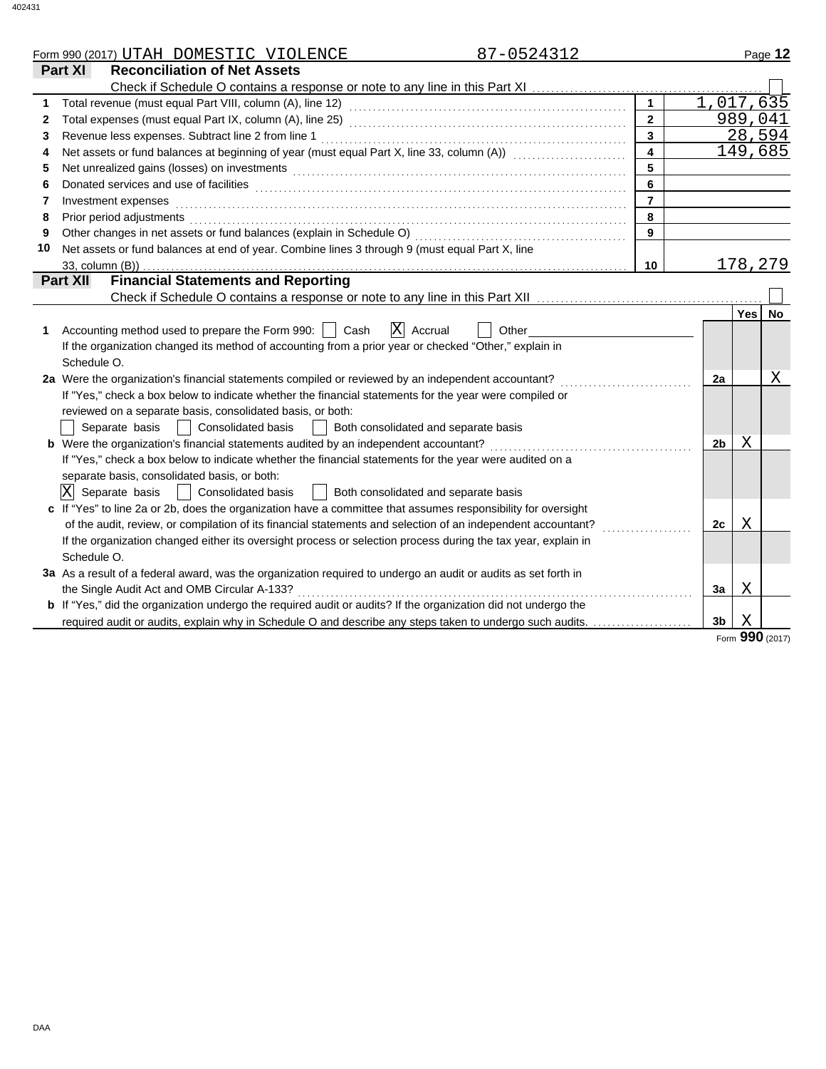|    | Form 990 (2017) UTAH DOMESTIC VIOLENCE                                                                                                                                                                                         | 87-0524312                           |                         |                |         | Page 12         |
|----|--------------------------------------------------------------------------------------------------------------------------------------------------------------------------------------------------------------------------------|--------------------------------------|-------------------------|----------------|---------|-----------------|
|    | <b>Reconciliation of Net Assets</b><br>Part XI                                                                                                                                                                                 |                                      |                         |                |         |                 |
|    |                                                                                                                                                                                                                                |                                      |                         |                |         |                 |
| 1  |                                                                                                                                                                                                                                |                                      | $\mathbf{1}$            | 1,017,635      |         |                 |
| 2  |                                                                                                                                                                                                                                |                                      | $\overline{2}$          |                | 989,041 |                 |
| 3  |                                                                                                                                                                                                                                |                                      | $\overline{\mathbf{3}}$ |                |         | 28,594          |
| 4  | Net assets or fund balances at beginning of year (must equal Part X, line 33, column (A)) [[[[[[[[[[[[[[[[[[[                                                                                                                  |                                      | $\overline{\mathbf{4}}$ |                | 149,685 |                 |
| 5  | Net unrealized gains (losses) on investments [11] match and the contract of the state of the state of the state of the state of the state of the state of the state of the state of the state of the state of the state of the |                                      | 5                       |                |         |                 |
| 6  |                                                                                                                                                                                                                                |                                      | 6                       |                |         |                 |
| 7  | Investment expenses                                                                                                                                                                                                            |                                      | $\overline{7}$          |                |         |                 |
| 8  | Prior period adjustments entertainments and a series of the contract of the contract of the contract of the contract of the contract of the contract of the contract of the contract of the contract of the contract of the co |                                      | 8                       |                |         |                 |
| 9  |                                                                                                                                                                                                                                |                                      | $\overline{9}$          |                |         |                 |
| 10 | Net assets or fund balances at end of year. Combine lines 3 through 9 (must equal Part X, line                                                                                                                                 |                                      |                         |                |         |                 |
|    | 33, column (B))                                                                                                                                                                                                                |                                      | 10                      |                | 178,279 |                 |
|    | <b>Financial Statements and Reporting</b><br><b>Part XII</b>                                                                                                                                                                   |                                      |                         |                |         |                 |
|    |                                                                                                                                                                                                                                |                                      |                         |                |         |                 |
|    |                                                                                                                                                                                                                                |                                      |                         |                | Yes     | No              |
|    | Accounting method used to prepare the Form 990:     Cash                                                                                                                                                                       | $ X $ Accrual<br>Other               |                         |                |         |                 |
|    | If the organization changed its method of accounting from a prior year or checked "Other," explain in                                                                                                                          |                                      |                         |                |         |                 |
|    | Schedule O.                                                                                                                                                                                                                    |                                      |                         |                |         |                 |
|    | 2a Were the organization's financial statements compiled or reviewed by an independent accountant?                                                                                                                             |                                      |                         | 2a             |         | Χ               |
|    | If "Yes," check a box below to indicate whether the financial statements for the year were compiled or                                                                                                                         |                                      |                         |                |         |                 |
|    | reviewed on a separate basis, consolidated basis, or both:                                                                                                                                                                     |                                      |                         |                |         |                 |
|    | Consolidated basis<br>Separate basis                                                                                                                                                                                           | Both consolidated and separate basis |                         |                |         |                 |
|    |                                                                                                                                                                                                                                |                                      |                         | 2 <sub>b</sub> | Χ       |                 |
|    | If "Yes," check a box below to indicate whether the financial statements for the year were audited on a                                                                                                                        |                                      |                         |                |         |                 |
|    | separate basis, consolidated basis, or both:                                                                                                                                                                                   |                                      |                         |                |         |                 |
|    | <b>Consolidated basis</b><br>ΙXΙ<br>Separate basis<br>$\mathbf{1}$                                                                                                                                                             | Both consolidated and separate basis |                         |                |         |                 |
|    | c If "Yes" to line 2a or 2b, does the organization have a committee that assumes responsibility for oversight                                                                                                                  |                                      |                         |                |         |                 |
|    | of the audit, review, or compilation of its financial statements and selection of an independent accountant?                                                                                                                   |                                      |                         | 2c             | Χ       |                 |
|    | If the organization changed either its oversight process or selection process during the tax year, explain in                                                                                                                  |                                      |                         |                |         |                 |
|    | Schedule O.                                                                                                                                                                                                                    |                                      |                         |                |         |                 |
|    | 3a As a result of a federal award, was the organization required to undergo an audit or audits as set forth in                                                                                                                 |                                      |                         |                |         |                 |
|    | the Single Audit Act and OMB Circular A-133?                                                                                                                                                                                   |                                      |                         | За             | Χ       |                 |
|    | <b>b</b> If "Yes," did the organization undergo the required audit or audits? If the organization did not undergo the                                                                                                          |                                      |                         |                |         |                 |
|    | required audit or audits, explain why in Schedule O and describe any steps taken to undergo such audits.                                                                                                                       |                                      |                         | 3b             | X       |                 |
|    |                                                                                                                                                                                                                                |                                      |                         |                |         | Form 990 (2017) |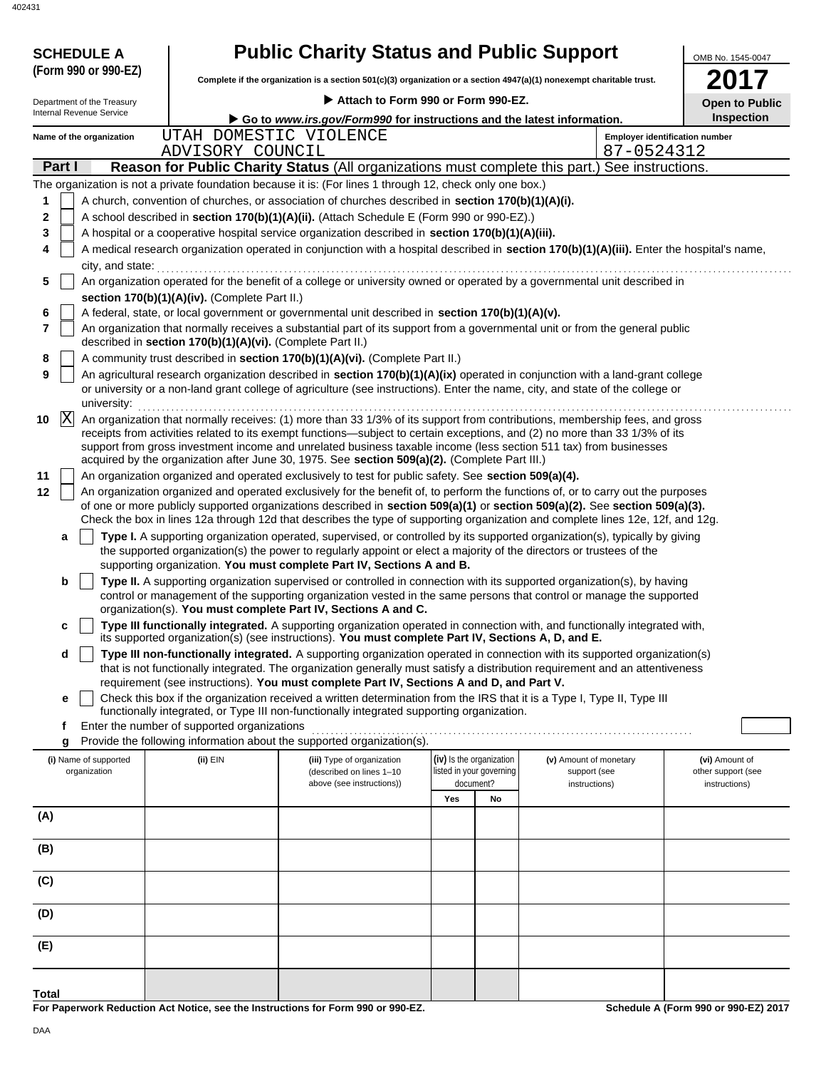| (Form 990 or 990-EZ)       |                                                            | Complete if the organization is a section 501(c)(3) organization or a section 4947(a)(1) nonexempt charitable trust.                                                                                                                                            |     |                          |                        |                                       |
|----------------------------|------------------------------------------------------------|-----------------------------------------------------------------------------------------------------------------------------------------------------------------------------------------------------------------------------------------------------------------|-----|--------------------------|------------------------|---------------------------------------|
| Department of the Treasury |                                                            | Attach to Form 990 or Form 990-EZ.                                                                                                                                                                                                                              |     |                          |                        | 2017<br><b>Open to Public</b>         |
| Internal Revenue Service   |                                                            | Go to www.irs.gov/Form990 for instructions and the latest information.                                                                                                                                                                                          |     |                          |                        | <b>Inspection</b>                     |
| Name of the organization   |                                                            | UTAH DOMESTIC VIOLENCE                                                                                                                                                                                                                                          |     |                          |                        | <b>Employer identification number</b> |
|                            | ADVISORY COUNCIL                                           |                                                                                                                                                                                                                                                                 |     |                          |                        | 87-0524312                            |
| Part I                     |                                                            | Reason for Public Charity Status (All organizations must complete this part.) See instructions.                                                                                                                                                                 |     |                          |                        |                                       |
|                            |                                                            | The organization is not a private foundation because it is: (For lines 1 through 12, check only one box.)                                                                                                                                                       |     |                          |                        |                                       |
| 1                          |                                                            | A church, convention of churches, or association of churches described in section 170(b)(1)(A)(i).                                                                                                                                                              |     |                          |                        |                                       |
| $\mathbf 2$                |                                                            | A school described in section 170(b)(1)(A)(ii). (Attach Schedule E (Form 990 or 990-EZ).)                                                                                                                                                                       |     |                          |                        |                                       |
| 3<br>4                     |                                                            | A hospital or a cooperative hospital service organization described in section 170(b)(1)(A)(iii).<br>A medical research organization operated in conjunction with a hospital described in section 170(b)(1)(A)(iii). Enter the hospital's name,                 |     |                          |                        |                                       |
| city, and state:           |                                                            |                                                                                                                                                                                                                                                                 |     |                          |                        |                                       |
| 5                          |                                                            | An organization operated for the benefit of a college or university owned or operated by a governmental unit described in                                                                                                                                       |     |                          |                        |                                       |
|                            | section 170(b)(1)(A)(iv). (Complete Part II.)              |                                                                                                                                                                                                                                                                 |     |                          |                        |                                       |
| 6                          |                                                            | A federal, state, or local government or governmental unit described in section 170(b)(1)(A)(v).                                                                                                                                                                |     |                          |                        |                                       |
| 7                          |                                                            | An organization that normally receives a substantial part of its support from a governmental unit or from the general public                                                                                                                                    |     |                          |                        |                                       |
|                            | described in section 170(b)(1)(A)(vi). (Complete Part II.) |                                                                                                                                                                                                                                                                 |     |                          |                        |                                       |
| 8                          |                                                            | A community trust described in section 170(b)(1)(A)(vi). (Complete Part II.)                                                                                                                                                                                    |     |                          |                        |                                       |
| 9                          |                                                            | An agricultural research organization described in section 170(b)(1)(A)(ix) operated in conjunction with a land-grant college<br>or university or a non-land grant college of agriculture (see instructions). Enter the name, city, and state of the college or |     |                          |                        |                                       |
| university:                |                                                            |                                                                                                                                                                                                                                                                 |     |                          |                        |                                       |
| $10$ $ X $                 |                                                            | An organization that normally receives: (1) more than 33 1/3% of its support from contributions, membership fees, and gross                                                                                                                                     |     |                          |                        |                                       |
|                            |                                                            | receipts from activities related to its exempt functions—subject to certain exceptions, and (2) no more than 33 1/3% of its                                                                                                                                     |     |                          |                        |                                       |
|                            |                                                            | support from gross investment income and unrelated business taxable income (less section 511 tax) from businesses<br>acquired by the organization after June 30, 1975. See section 509(a)(2). (Complete Part III.)                                              |     |                          |                        |                                       |
| 11                         |                                                            | An organization organized and operated exclusively to test for public safety. See section 509(a)(4).                                                                                                                                                            |     |                          |                        |                                       |
| 12                         |                                                            | An organization organized and operated exclusively for the benefit of, to perform the functions of, or to carry out the purposes                                                                                                                                |     |                          |                        |                                       |
|                            |                                                            | of one or more publicly supported organizations described in section 509(a)(1) or section 509(a)(2). See section 509(a)(3).                                                                                                                                     |     |                          |                        |                                       |
|                            |                                                            | Check the box in lines 12a through 12d that describes the type of supporting organization and complete lines 12e, 12f, and 12g.                                                                                                                                 |     |                          |                        |                                       |
| a                          |                                                            | Type I. A supporting organization operated, supervised, or controlled by its supported organization(s), typically by giving                                                                                                                                     |     |                          |                        |                                       |
|                            |                                                            | the supported organization(s) the power to regularly appoint or elect a majority of the directors or trustees of the<br>supporting organization. You must complete Part IV, Sections A and B.                                                                   |     |                          |                        |                                       |
| b                          |                                                            | Type II. A supporting organization supervised or controlled in connection with its supported organization(s), by having                                                                                                                                         |     |                          |                        |                                       |
|                            |                                                            | control or management of the supporting organization vested in the same persons that control or manage the supported                                                                                                                                            |     |                          |                        |                                       |
|                            |                                                            | organization(s). You must complete Part IV, Sections A and C.                                                                                                                                                                                                   |     |                          |                        |                                       |
| с                          |                                                            | Type III functionally integrated. A supporting organization operated in connection with, and functionally integrated with,<br>its supported organization(s) (see instructions). You must complete Part IV, Sections A, D, and E.                                |     |                          |                        |                                       |
| d                          |                                                            | Type III non-functionally integrated. A supporting organization operated in connection with its supported organization(s)                                                                                                                                       |     |                          |                        |                                       |
|                            |                                                            | that is not functionally integrated. The organization generally must satisfy a distribution requirement and an attentiveness                                                                                                                                    |     |                          |                        |                                       |
|                            |                                                            | requirement (see instructions). You must complete Part IV, Sections A and D, and Part V.                                                                                                                                                                        |     |                          |                        |                                       |
| е                          |                                                            | Check this box if the organization received a written determination from the IRS that it is a Type I, Type II, Type III                                                                                                                                         |     |                          |                        |                                       |
| f                          | Enter the number of supported organizations                | functionally integrated, or Type III non-functionally integrated supporting organization.                                                                                                                                                                       |     |                          |                        |                                       |
| g                          |                                                            | Provide the following information about the supported organization(s).                                                                                                                                                                                          |     |                          |                        |                                       |
| (i) Name of supported      | (ii) EIN                                                   | (iii) Type of organization                                                                                                                                                                                                                                      |     | (iv) Is the organization | (v) Amount of monetary | (vi) Amount of                        |
| organization               |                                                            | (described on lines 1-10                                                                                                                                                                                                                                        |     | listed in your governing | support (see           | other support (see                    |
|                            |                                                            | above (see instructions))                                                                                                                                                                                                                                       |     | document?                | instructions)          | instructions)                         |
|                            |                                                            |                                                                                                                                                                                                                                                                 | Yes | No                       |                        |                                       |
| (A)                        |                                                            |                                                                                                                                                                                                                                                                 |     |                          |                        |                                       |
| (B)                        |                                                            |                                                                                                                                                                                                                                                                 |     |                          |                        |                                       |
|                            |                                                            |                                                                                                                                                                                                                                                                 |     |                          |                        |                                       |
| (C)                        |                                                            |                                                                                                                                                                                                                                                                 |     |                          |                        |                                       |
|                            |                                                            |                                                                                                                                                                                                                                                                 |     |                          |                        |                                       |
| (D)                        |                                                            |                                                                                                                                                                                                                                                                 |     |                          |                        |                                       |
|                            |                                                            |                                                                                                                                                                                                                                                                 |     |                          |                        |                                       |
| (E)                        |                                                            |                                                                                                                                                                                                                                                                 |     |                          |                        |                                       |
|                            |                                                            |                                                                                                                                                                                                                                                                 |     |                          |                        |                                       |
|                            |                                                            |                                                                                                                                                                                                                                                                 |     |                          |                        |                                       |

**For Paperwork Reduction Act Notice, see the Instructions for Form 990 or 990-EZ.**

**Schedule A (Form 990 or 990-EZ) 2017**

**Total**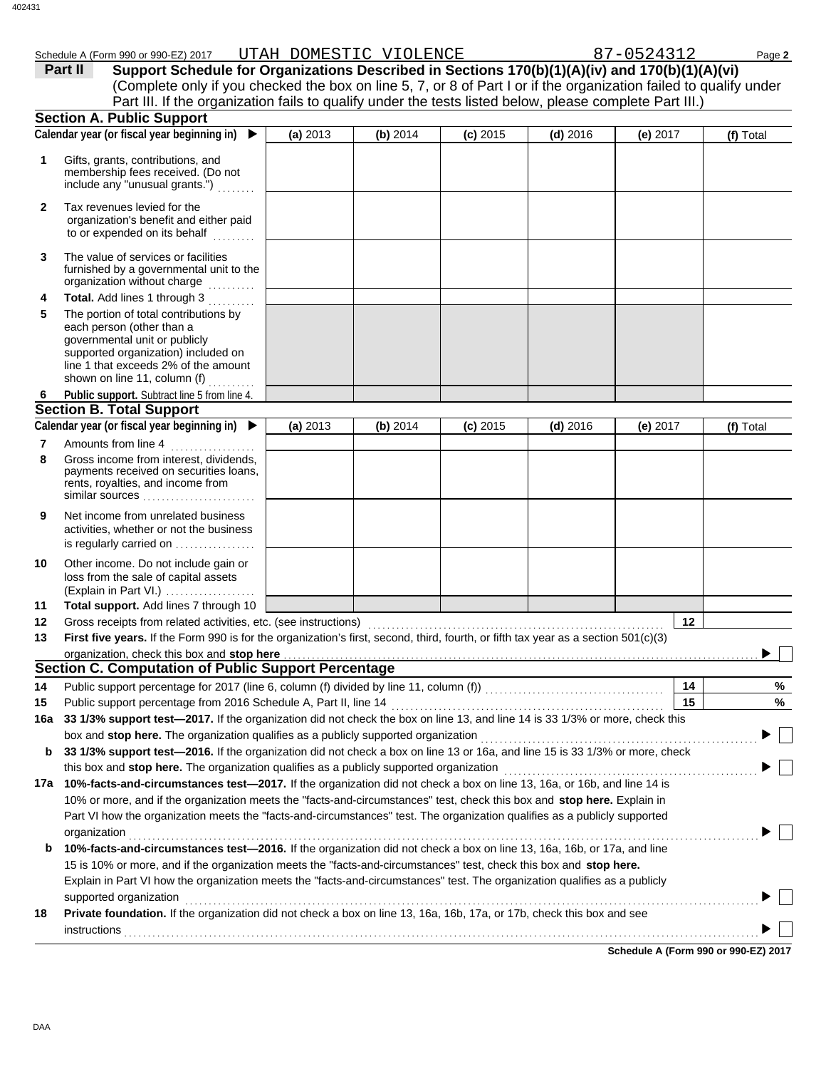### Schedule A (Form 990 or 990-EZ) 2017 UTAH DOMESTIC VIOLENCE 87-0524312 Page **2**

|              | Part II<br>Support Schedule for Organizations Described in Sections 170(b)(1)(A)(iv) and 170(b)(1)(A)(vi)                                                                                                                            |          |                     |            |            |            |           |
|--------------|--------------------------------------------------------------------------------------------------------------------------------------------------------------------------------------------------------------------------------------|----------|---------------------|------------|------------|------------|-----------|
|              | (Complete only if you checked the box on line 5, 7, or 8 of Part I or if the organization failed to qualify under                                                                                                                    |          |                     |            |            |            |           |
|              | Part III. If the organization fails to qualify under the tests listed below, please complete Part III.)                                                                                                                              |          |                     |            |            |            |           |
|              | <b>Section A. Public Support</b>                                                                                                                                                                                                     |          |                     |            |            |            |           |
|              | Calendar year (or fiscal year beginning in) $\blacktriangleright$                                                                                                                                                                    | (a) 2013 | (b) 2014            | $(c)$ 2015 | $(d)$ 2016 | (e) $2017$ | (f) Total |
| 1            | Gifts, grants, contributions, and<br>membership fees received. (Do not<br>include any "unusual grants.")                                                                                                                             |          |                     |            |            |            |           |
| $\mathbf{2}$ | Tax revenues levied for the<br>organization's benefit and either paid<br>to or expended on its behalf                                                                                                                                |          |                     |            |            |            |           |
| 3            | The value of services or facilities<br>furnished by a governmental unit to the<br>organization without charge                                                                                                                        |          |                     |            |            |            |           |
| 4            | Total. Add lines 1 through 3                                                                                                                                                                                                         |          |                     |            |            |            |           |
| 5            | The portion of total contributions by<br>each person (other than a<br>governmental unit or publicly<br>supported organization) included on<br>line 1 that exceeds 2% of the amount<br>shown on line 11, column (f)                   |          |                     |            |            |            |           |
| 6            | Public support. Subtract line 5 from line 4.                                                                                                                                                                                         |          |                     |            |            |            |           |
|              | <b>Section B. Total Support</b>                                                                                                                                                                                                      |          |                     |            |            |            |           |
|              | Calendar year (or fiscal year beginning in) $\blacktriangleright$                                                                                                                                                                    | (a) 2013 | ( <b>b</b> ) $2014$ | $(c)$ 2015 | $(d)$ 2016 | (e) $2017$ | (f) Total |
| 7            | Amounts from line 4                                                                                                                                                                                                                  |          |                     |            |            |            |           |
| 8            | Gross income from interest, dividends,<br>payments received on securities loans,<br>rents, royalties, and income from                                                                                                                |          |                     |            |            |            |           |
| 9            | Net income from unrelated business<br>activities, whether or not the business<br>is regularly carried on                                                                                                                             |          |                     |            |            |            |           |
| 10           | Other income. Do not include gain or<br>loss from the sale of capital assets<br>(Explain in Part VI.)                                                                                                                                |          |                     |            |            |            |           |
| 11           | Total support. Add lines 7 through 10                                                                                                                                                                                                |          |                     |            |            |            |           |
| 12           |                                                                                                                                                                                                                                      |          |                     |            |            | $12 \,$    |           |
| 13           | First five years. If the Form 990 is for the organization's first, second, third, fourth, or fifth tax year as a section 501(c)(3)                                                                                                   |          |                     |            |            |            |           |
|              | organization, check this box and stop here <b>construction and an intervention of the state of the state of the state of the state of the state of the state of the state of the state of the state of the state of the state of</b> |          |                     |            |            |            |           |
|              | Section C. Computation of Public Support Percentage                                                                                                                                                                                  |          |                     |            |            |            |           |
| 14           |                                                                                                                                                                                                                                      |          |                     |            |            | 14         | %         |
| 15           | Public support percentage from 2016 Schedule A, Part II, line 14                                                                                                                                                                     |          |                     |            |            | 15         | %         |
| 16a          | 33 1/3% support test-2017. If the organization did not check the box on line 13, and line 14 is 33 1/3% or more, check this                                                                                                          |          |                     |            |            |            |           |
|              | box and stop here. The organization qualifies as a publicly supported organization                                                                                                                                                   |          |                     |            |            |            |           |
| b            | 33 1/3% support test-2016. If the organization did not check a box on line 13 or 16a, and line 15 is 33 1/3% or more, check                                                                                                          |          |                     |            |            |            |           |
|              | this box and stop here. The organization qualifies as a publicly supported organization                                                                                                                                              |          |                     |            |            |            |           |
|              | 17a 10%-facts-and-circumstances test-2017. If the organization did not check a box on line 13, 16a, or 16b, and line 14 is                                                                                                           |          |                     |            |            |            |           |
|              | 10% or more, and if the organization meets the "facts-and-circumstances" test, check this box and stop here. Explain in                                                                                                              |          |                     |            |            |            |           |
|              | Part VI how the organization meets the "facts-and-circumstances" test. The organization qualifies as a publicly supported                                                                                                            |          |                     |            |            |            |           |
|              | organization                                                                                                                                                                                                                         |          |                     |            |            |            |           |
| b            | 10%-facts-and-circumstances test-2016. If the organization did not check a box on line 13, 16a, 16b, or 17a, and line                                                                                                                |          |                     |            |            |            |           |
|              | 15 is 10% or more, and if the organization meets the "facts-and-circumstances" test, check this box and stop here.                                                                                                                   |          |                     |            |            |            |           |
|              | Explain in Part VI how the organization meets the "facts-and-circumstances" test. The organization qualifies as a publicly                                                                                                           |          |                     |            |            |            |           |
| 18           | supported organization<br>Private foundation. If the organization did not check a box on line 13, 16a, 16b, 17a, or 17b, check this box and see                                                                                      |          |                     |            |            |            |           |
|              |                                                                                                                                                                                                                                      |          |                     |            |            |            |           |

**Schedule A (Form 990 or 990-EZ) 2017**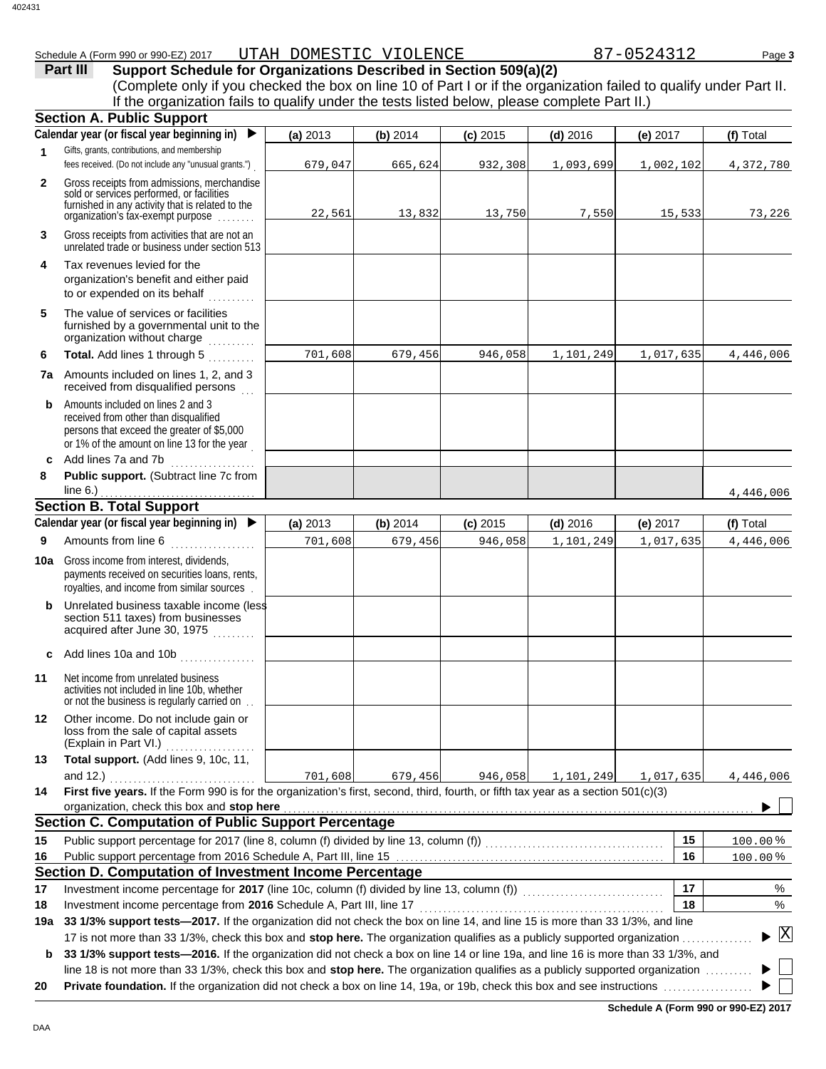| 31           |                                                                                                                                                                                                                                                                                                     |                        |          |            |                         |                         |           |
|--------------|-----------------------------------------------------------------------------------------------------------------------------------------------------------------------------------------------------------------------------------------------------------------------------------------------------|------------------------|----------|------------|-------------------------|-------------------------|-----------|
|              | Schedule A (Form 990 or 990-EZ) 2017                                                                                                                                                                                                                                                                | UTAH DOMESTIC VIOLENCE |          |            |                         | 87-0524312              | Page 3    |
|              | Support Schedule for Organizations Described in Section 509(a)(2)<br>Part III<br>(Complete only if you checked the box on line 10 of Part I or if the organization failed to qualify under Part II.<br>If the organization fails to qualify under the tests listed below, please complete Part II.) |                        |          |            |                         |                         |           |
|              | <b>Section A. Public Support</b>                                                                                                                                                                                                                                                                    |                        |          |            |                         |                         |           |
|              | Calendar year (or fiscal year beginning in)<br>$\blacktriangleright$<br>Gifts, grants, contributions, and membership                                                                                                                                                                                | (a) 2013               | (b) 2014 | $(c)$ 2015 | $(d)$ 2016              | (e) $2017$              | (f) Total |
| 1            | fees received. (Do not include any "unusual grants.")                                                                                                                                                                                                                                               | 679,047                | 665,624  | 932,308    | 1,093,699               | 1,002,102               | 4,372,780 |
| $\mathbf{2}$ | Gross receipts from admissions, merchandise<br>sold or services performed, or facilities<br>furnished in any activity that is related to the<br>organization's tax-exempt purpose                                                                                                                   | 22,561                 | 13,832   | 13,750     | 7,550                   | 15,533                  | 73,226    |
| 3            | Gross receipts from activities that are not an<br>unrelated trade or business under section 513                                                                                                                                                                                                     |                        |          |            |                         |                         |           |
| 4            | Tax revenues levied for the<br>organization's benefit and either paid<br>to or expended on its behalf                                                                                                                                                                                               |                        |          |            |                         |                         |           |
| 5            | The value of services or facilities<br>furnished by a governmental unit to the<br>organization without charge                                                                                                                                                                                       |                        |          |            |                         |                         |           |
| 6            | Total. Add lines 1 through 5                                                                                                                                                                                                                                                                        | 701,608                | 679,456  | 946,058    | 1,101,249               | 1,017,635               | 4,446,006 |
|              | <b>7a</b> Amounts included on lines 1, 2, and 3<br>received from disqualified persons                                                                                                                                                                                                               |                        |          |            |                         |                         |           |
| b            | Amounts included on lines 2 and 3<br>received from other than disqualified<br>persons that exceed the greater of \$5,000<br>or 1% of the amount on line 13 for the year                                                                                                                             |                        |          |            |                         |                         |           |
| c            | Add lines 7a and 7b                                                                                                                                                                                                                                                                                 |                        |          |            |                         |                         |           |
| 8            | Public support. (Subtract line 7c from                                                                                                                                                                                                                                                              |                        |          |            |                         |                         |           |
|              | line 6.)<br><b>Section B. Total Support</b>                                                                                                                                                                                                                                                         |                        |          |            |                         |                         | 4,446,006 |
|              | Calendar year (or fiscal year beginning in)                                                                                                                                                                                                                                                         |                        |          | $(c)$ 2015 |                         |                         |           |
| 9            |                                                                                                                                                                                                                                                                                                     | (a) 2013               | (b) 2014 |            | $(d)$ 2016<br>1,101,249 | (e) $2017$<br>1,017,635 | (f) Total |
|              | Amounts from line 6<br><b>10a</b> Gross income from interest, dividends,<br>payments received on securities loans, rents,<br>royalties, and income from similar sources                                                                                                                             | 701,608                | 679,456  | 946,058    |                         |                         | 4,446,006 |
| b            | Unrelated business taxable income (less<br>section 511 taxes) from businesses<br>acquired after June 30, 1975                                                                                                                                                                                       |                        |          |            |                         |                         |           |
| c            |                                                                                                                                                                                                                                                                                                     |                        |          |            |                         |                         |           |
| 11           | Net income from unrelated business<br>activities not included in line 10b, whether<br>or not the business is regularly carried on                                                                                                                                                                   |                        |          |            |                         |                         |           |
| 12           | Other income. Do not include gain or<br>loss from the sale of capital assets<br>(Explain in Part VI.)<br>.                                                                                                                                                                                          |                        |          |            |                         |                         |           |
| 13           | Total support. (Add lines 9, 10c, 11,                                                                                                                                                                                                                                                               |                        |          |            |                         |                         |           |
|              | and 12.) <u></u>                                                                                                                                                                                                                                                                                    | 701,608                | 679,456  | 946,058    | 1,101,249               | 1,017,635               | 4,446,006 |
| 14           | First five years. If the Form 990 is for the organization's first, second, third, fourth, or fifth tax year as a section 501(c)(3)                                                                                                                                                                  |                        |          |            |                         |                         |           |
|              | organization, check this box and stop here                                                                                                                                                                                                                                                          |                        |          |            |                         |                         |           |
|              | <b>Section C. Computation of Public Support Percentage</b>                                                                                                                                                                                                                                          |                        |          |            |                         |                         |           |
| 15           |                                                                                                                                                                                                                                                                                                     |                        |          |            |                         | 15                      | 100.00%   |
| 16           |                                                                                                                                                                                                                                                                                                     |                        |          |            |                         | 16                      | 100.00%   |
| 17           | Section D. Computation of Investment Income Percentage<br>Investment income percentage for 2017 (line 10c, column (f) divided by line 13, column (f)) [[[[[[[[[[[[[[[[[[                                                                                                                            |                        |          |            |                         | 17                      | %         |
| 18           |                                                                                                                                                                                                                                                                                                     |                        |          |            |                         | 18                      | %         |
|              |                                                                                                                                                                                                                                                                                                     |                        |          |            |                         |                         |           |

17 is not more than 33 1/3%, check this box and **stop here.** The organization qualifies as a publicly supported organization . . . . . . . . . . . . . . . **19a 33 1/3% support tests—2017.** If the organization did not check the box on line 14, and line 15 is more than 33 1/3%, and line **b** 33 1/3% support tests-2016. If the organization did not check a box on line 14 or line 19a, and line 16 is more than 33 1/3%, and  $\blacktriangleright$   $\boxed{\text{X}}$ 

line 18 is not more than 33 1/3%, check this box and stop here. The organization qualifies as a publicly supported organization .........

**20 Private foundation.** If the organization did not check a box on line 14, 19a, or 19b, check this box and see instructions . . . . . . . . . . . . . . . . . . .

**Schedule A (Form 990 or 990-EZ) 2017**

 $\ddot{\phantom{1}}$  $\blacktriangleright$  $\mathbb{R}^n$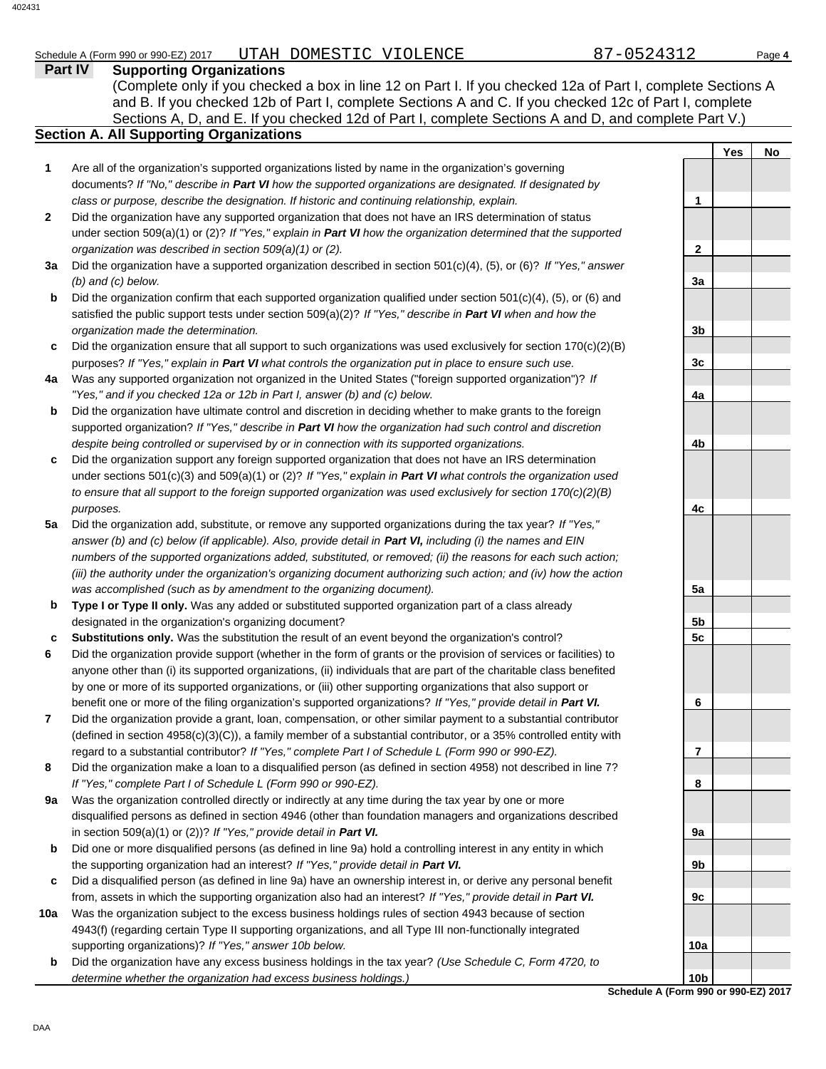## UTAH DOMESTIC VIOLENCE 87-0524312

*determine whether the organization had excess business holdings.)*

|     | Schedule A (Form 990 or 990-EZ) 2017<br>UTAH DOMESTIC VIOLENCE<br>$87 - 0524312$                                                                                                                                                  |                |            | Page 4 |
|-----|-----------------------------------------------------------------------------------------------------------------------------------------------------------------------------------------------------------------------------------|----------------|------------|--------|
|     | Part IV<br><b>Supporting Organizations</b>                                                                                                                                                                                        |                |            |        |
|     | (Complete only if you checked a box in line 12 on Part I. If you checked 12a of Part I, complete Sections A                                                                                                                       |                |            |        |
|     | and B. If you checked 12b of Part I, complete Sections A and C. If you checked 12c of Part I, complete                                                                                                                            |                |            |        |
|     | Sections A, D, and E. If you checked 12d of Part I, complete Sections A and D, and complete Part V.)                                                                                                                              |                |            |        |
|     | <b>Section A. All Supporting Organizations</b>                                                                                                                                                                                    |                |            |        |
|     |                                                                                                                                                                                                                                   |                | <b>Yes</b> | No     |
| 1   | Are all of the organization's supported organizations listed by name in the organization's governing                                                                                                                              |                |            |        |
|     | documents? If "No," describe in Part VI how the supported organizations are designated. If designated by                                                                                                                          |                |            |        |
|     | class or purpose, describe the designation. If historic and continuing relationship, explain.                                                                                                                                     | 1              |            |        |
| 2   | Did the organization have any supported organization that does not have an IRS determination of status                                                                                                                            |                |            |        |
|     | under section 509(a)(1) or (2)? If "Yes," explain in Part VI how the organization determined that the supported                                                                                                                   |                |            |        |
|     | organization was described in section 509(a)(1) or (2).                                                                                                                                                                           | $\mathbf{2}$   |            |        |
| За  | Did the organization have a supported organization described in section 501(c)(4), (5), or (6)? If "Yes," answer<br>$(b)$ and $(c)$ below.                                                                                        | 3a             |            |        |
| b   | Did the organization confirm that each supported organization qualified under section $501(c)(4)$ , (5), or (6) and                                                                                                               |                |            |        |
|     | satisfied the public support tests under section 509(a)(2)? If "Yes," describe in Part VI when and how the                                                                                                                        |                |            |        |
|     | organization made the determination.                                                                                                                                                                                              | 3 <sub>b</sub> |            |        |
| c   | Did the organization ensure that all support to such organizations was used exclusively for section $170(c)(2)(B)$                                                                                                                |                |            |        |
|     | purposes? If "Yes," explain in Part VI what controls the organization put in place to ensure such use.                                                                                                                            | 3c             |            |        |
| 4a  | Was any supported organization not organized in the United States ("foreign supported organization")? If                                                                                                                          |                |            |        |
|     | "Yes," and if you checked 12a or 12b in Part I, answer (b) and (c) below.                                                                                                                                                         | 4a             |            |        |
| b   | Did the organization have ultimate control and discretion in deciding whether to make grants to the foreign                                                                                                                       |                |            |        |
|     | supported organization? If "Yes," describe in Part VI how the organization had such control and discretion                                                                                                                        |                |            |        |
|     | despite being controlled or supervised by or in connection with its supported organizations.                                                                                                                                      | 4b             |            |        |
| c   | Did the organization support any foreign supported organization that does not have an IRS determination                                                                                                                           |                |            |        |
|     | under sections 501(c)(3) and 509(a)(1) or (2)? If "Yes," explain in Part VI what controls the organization used                                                                                                                   |                |            |        |
|     | to ensure that all support to the foreign supported organization was used exclusively for section $170(c)(2)(B)$                                                                                                                  |                |            |        |
|     | purposes.                                                                                                                                                                                                                         | 4c             |            |        |
| 5a  | Did the organization add, substitute, or remove any supported organizations during the tax year? If "Yes,"                                                                                                                        |                |            |        |
|     | answer (b) and (c) below (if applicable). Also, provide detail in Part VI, including (i) the names and EIN                                                                                                                        |                |            |        |
|     | numbers of the supported organizations added, substituted, or removed; (ii) the reasons for each such action;                                                                                                                     |                |            |        |
|     | (iii) the authority under the organization's organizing document authorizing such action; and (iv) how the action                                                                                                                 |                |            |        |
|     | was accomplished (such as by amendment to the organizing document).                                                                                                                                                               | 5a             |            |        |
| b   | Type I or Type II only. Was any added or substituted supported organization part of a class already                                                                                                                               |                |            |        |
|     | designated in the organization's organizing document?                                                                                                                                                                             | 5b             |            |        |
| c   | Substitutions only. Was the substitution the result of an event beyond the organization's control?                                                                                                                                | 5 <sub>c</sub> |            |        |
| 6   | Did the organization provide support (whether in the form of grants or the provision of services or facilities) to                                                                                                                |                |            |        |
|     | anyone other than (i) its supported organizations, (ii) individuals that are part of the charitable class benefited                                                                                                               |                |            |        |
|     | by one or more of its supported organizations, or (iii) other supporting organizations that also support or                                                                                                                       | 6              |            |        |
| 7   | benefit one or more of the filing organization's supported organizations? If "Yes," provide detail in Part VI.<br>Did the organization provide a grant, loan, compensation, or other similar payment to a substantial contributor |                |            |        |
|     | (defined in section $4958(c)(3)(C)$ ), a family member of a substantial contributor, or a 35% controlled entity with                                                                                                              |                |            |        |
|     | regard to a substantial contributor? If "Yes," complete Part I of Schedule L (Form 990 or 990-EZ).                                                                                                                                | 7              |            |        |
| 8   | Did the organization make a loan to a disqualified person (as defined in section 4958) not described in line 7?                                                                                                                   |                |            |        |
|     | If "Yes," complete Part I of Schedule L (Form 990 or 990-EZ).                                                                                                                                                                     | 8              |            |        |
| 9а  | Was the organization controlled directly or indirectly at any time during the tax year by one or more                                                                                                                             |                |            |        |
|     | disqualified persons as defined in section 4946 (other than foundation managers and organizations described                                                                                                                       |                |            |        |
|     | in section 509(a)(1) or (2))? If "Yes," provide detail in Part VI.                                                                                                                                                                | 9a             |            |        |
| b   | Did one or more disqualified persons (as defined in line 9a) hold a controlling interest in any entity in which                                                                                                                   |                |            |        |
|     | the supporting organization had an interest? If "Yes," provide detail in Part VI.                                                                                                                                                 | 9b             |            |        |
| c   | Did a disqualified person (as defined in line 9a) have an ownership interest in, or derive any personal benefit                                                                                                                   |                |            |        |
|     | from, assets in which the supporting organization also had an interest? If "Yes," provide detail in Part VI.                                                                                                                      | 9c             |            |        |
| 10a | Was the organization subject to the excess business holdings rules of section 4943 because of section                                                                                                                             |                |            |        |
|     | 4943(f) (regarding certain Type II supporting organizations, and all Type III non-functionally integrated                                                                                                                         |                |            |        |
|     | supporting organizations)? If "Yes," answer 10b below.                                                                                                                                                                            | 10a            |            |        |
| b   | Did the organization have any excess business holdings in the tax year? (Use Schedule C, Form 4720, to                                                                                                                            |                |            |        |

**Schedule A (Form 990 or 990-EZ) 2017 10b**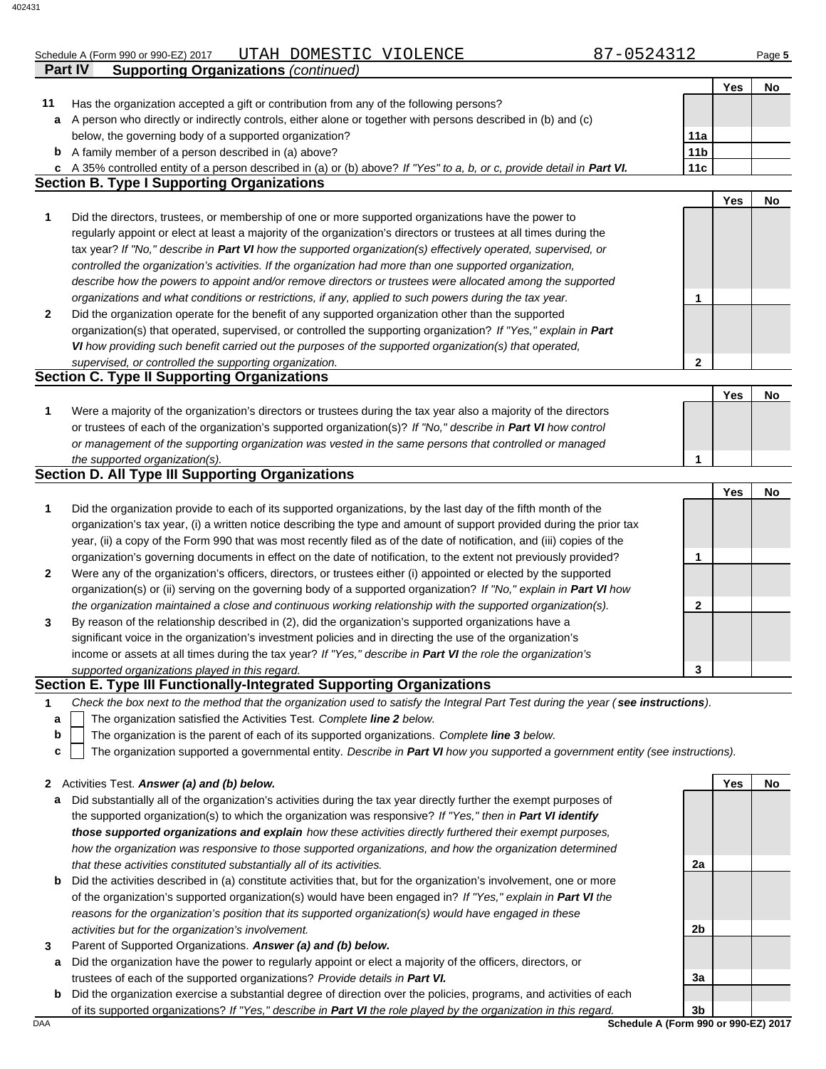| Schedule A (Form 990 or 990-EZ) 2017 | DOMESTIC<br>VIOLENCE<br>IITAH.<br>______ | Page 5 |
|--------------------------------------|------------------------------------------|--------|
|                                      |                                          |        |

**Part IV Supporting Organizations** *(continued)*

**Yes No**

| 11           | Has the organization accepted a gift or contribution from any of the following persons?                                                                                                                                                  |                 |            |    |
|--------------|------------------------------------------------------------------------------------------------------------------------------------------------------------------------------------------------------------------------------------------|-----------------|------------|----|
|              | a A person who directly or indirectly controls, either alone or together with persons described in (b) and (c)                                                                                                                           |                 |            |    |
|              | below, the governing body of a supported organization?                                                                                                                                                                                   | 11a             |            |    |
| b            | A family member of a person described in (a) above?                                                                                                                                                                                      | 11 <sub>b</sub> |            |    |
| c            | A 35% controlled entity of a person described in (a) or (b) above? If "Yes" to a, b, or c, provide detail in Part VI.                                                                                                                    | 11c             |            |    |
|              | <b>Section B. Type I Supporting Organizations</b>                                                                                                                                                                                        |                 | Yes        |    |
| 1            | Did the directors, trustees, or membership of one or more supported organizations have the power to                                                                                                                                      |                 |            | No |
|              | regularly appoint or elect at least a majority of the organization's directors or trustees at all times during the                                                                                                                       |                 |            |    |
|              | tax year? If "No," describe in Part VI how the supported organization(s) effectively operated, supervised, or                                                                                                                            |                 |            |    |
|              | controlled the organization's activities. If the organization had more than one supported organization,                                                                                                                                  |                 |            |    |
|              | describe how the powers to appoint and/or remove directors or trustees were allocated among the supported                                                                                                                                |                 |            |    |
|              | organizations and what conditions or restrictions, if any, applied to such powers during the tax year.                                                                                                                                   | 1               |            |    |
| $\mathbf{2}$ |                                                                                                                                                                                                                                          |                 |            |    |
|              | Did the organization operate for the benefit of any supported organization other than the supported<br>organization(s) that operated, supervised, or controlled the supporting organization? If "Yes," explain in Part                   |                 |            |    |
|              | VI how providing such benefit carried out the purposes of the supported organization(s) that operated,                                                                                                                                   |                 |            |    |
|              | supervised, or controlled the supporting organization.                                                                                                                                                                                   | $\mathbf{2}$    |            |    |
|              | <b>Section C. Type II Supporting Organizations</b>                                                                                                                                                                                       |                 |            |    |
|              |                                                                                                                                                                                                                                          |                 | Yes        | No |
| 1            |                                                                                                                                                                                                                                          |                 |            |    |
|              | Were a majority of the organization's directors or trustees during the tax year also a majority of the directors<br>or trustees of each of the organization's supported organization(s)? If "No," describe in Part VI how control        |                 |            |    |
|              | or management of the supporting organization was vested in the same persons that controlled or managed                                                                                                                                   |                 |            |    |
|              | the supported organization(s).                                                                                                                                                                                                           | 1               |            |    |
|              | <b>Section D. All Type III Supporting Organizations</b>                                                                                                                                                                                  |                 |            |    |
|              |                                                                                                                                                                                                                                          |                 | <b>Yes</b> | No |
| 1            | Did the organization provide to each of its supported organizations, by the last day of the fifth month of the                                                                                                                           |                 |            |    |
|              | organization's tax year, (i) a written notice describing the type and amount of support provided during the prior tax                                                                                                                    |                 |            |    |
|              | year, (ii) a copy of the Form 990 that was most recently filed as of the date of notification, and (iii) copies of the                                                                                                                   |                 |            |    |
|              | organization's governing documents in effect on the date of notification, to the extent not previously provided?                                                                                                                         | 1               |            |    |
| $\mathbf{2}$ | Were any of the organization's officers, directors, or trustees either (i) appointed or elected by the supported                                                                                                                         |                 |            |    |
|              |                                                                                                                                                                                                                                          |                 |            |    |
|              | organization(s) or (ii) serving on the governing body of a supported organization? If "No," explain in Part VI how                                                                                                                       | $\mathbf{2}$    |            |    |
|              | the organization maintained a close and continuous working relationship with the supported organization(s).                                                                                                                              |                 |            |    |
| 3            | By reason of the relationship described in (2), did the organization's supported organizations have a                                                                                                                                    |                 |            |    |
|              | significant voice in the organization's investment policies and in directing the use of the organization's<br>income or assets at all times during the tax year? If "Yes," describe in Part VI the role the organization's               |                 |            |    |
|              |                                                                                                                                                                                                                                          | 3               |            |    |
|              | supported organizations played in this regard.<br>Section E. Type III Functionally-Integrated Supporting Organizations                                                                                                                   |                 |            |    |
| 1            | Check the box next to the method that the organization used to satisfy the Integral Part Test during the year (see instructions).                                                                                                        |                 |            |    |
| a            | The organization satisfied the Activities Test. Complete line 2 below.                                                                                                                                                                   |                 |            |    |
| b            | The organization is the parent of each of its supported organizations. Complete line 3 below.                                                                                                                                            |                 |            |    |
| c            | The organization supported a governmental entity. Describe in Part VI how you supported a government entity (see instructions).                                                                                                          |                 |            |    |
|              |                                                                                                                                                                                                                                          |                 |            |    |
| $\mathbf{2}$ | Activities Test. Answer (a) and (b) below.                                                                                                                                                                                               |                 | Yes        | No |
| а            | Did substantially all of the organization's activities during the tax year directly further the exempt purposes of                                                                                                                       |                 |            |    |
|              | the supported organization(s) to which the organization was responsive? If "Yes," then in Part VI identify                                                                                                                               |                 |            |    |
|              | those supported organizations and explain how these activities directly furthered their exempt purposes,                                                                                                                                 |                 |            |    |
|              | how the organization was responsive to those supported organizations, and how the organization determined                                                                                                                                |                 |            |    |
|              | that these activities constituted substantially all of its activities.                                                                                                                                                                   | 2a              |            |    |
| b            | Did the activities described in (a) constitute activities that, but for the organization's involvement, one or more                                                                                                                      |                 |            |    |
|              | of the organization's supported organization(s) would have been engaged in? If "Yes," explain in Part VI the                                                                                                                             |                 |            |    |
|              | reasons for the organization's position that its supported organization(s) would have engaged in these                                                                                                                                   |                 |            |    |
|              | activities but for the organization's involvement.                                                                                                                                                                                       | 2 <sub>b</sub>  |            |    |
|              | Parent of Supported Organizations. Answer (a) and (b) below.                                                                                                                                                                             |                 |            |    |
|              |                                                                                                                                                                                                                                          |                 |            |    |
| 3            |                                                                                                                                                                                                                                          |                 |            |    |
| a            | Did the organization have the power to regularly appoint or elect a majority of the officers, directors, or                                                                                                                              |                 |            |    |
|              | trustees of each of the supported organizations? Provide details in Part VI.                                                                                                                                                             | 3a              |            |    |
| b            | Did the organization exercise a substantial degree of direction over the policies, programs, and activities of each<br>of its supported organizations? If "Yes," describe in Part VI the role played by the organization in this regard. | 3 <sub>b</sub>  |            |    |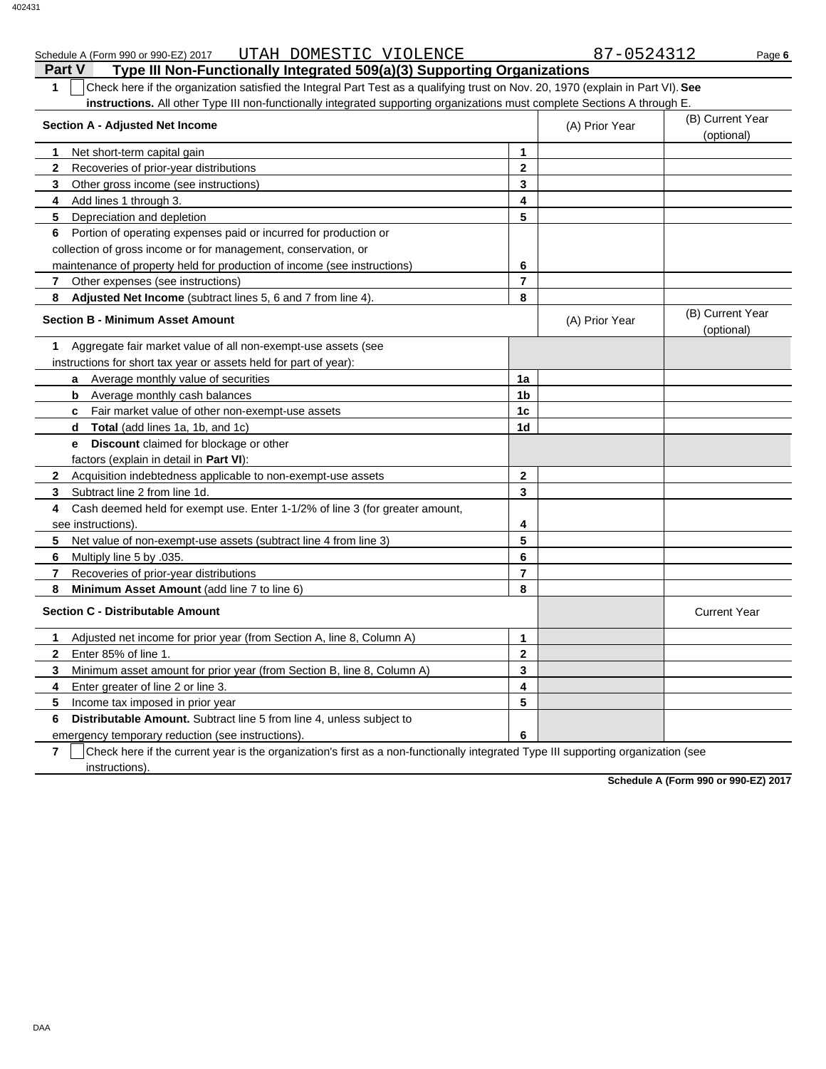## Schedule A (Form 990 or 990-EZ) 2017 UTAH DOMESTIC VIOLENCE 87-0524312 Page **6**

| Part V<br>Type III Non-Functionally Integrated 509(a)(3) Supporting Organizations                                                     |                |                                |                                |
|---------------------------------------------------------------------------------------------------------------------------------------|----------------|--------------------------------|--------------------------------|
| Check here if the organization satisfied the Integral Part Test as a qualifying trust on Nov. 20, 1970 (explain in Part VI). See<br>1 |                |                                |                                |
| instructions. All other Type III non-functionally integrated supporting organizations must complete Sections A through E.             |                |                                |                                |
| <b>Section A - Adjusted Net Income</b>                                                                                                | (A) Prior Year | (B) Current Year<br>(optional) |                                |
| Net short-term capital gain<br>1                                                                                                      | 1              |                                |                                |
| $\mathbf{2}$<br>Recoveries of prior-year distributions                                                                                | $\mathbf{2}$   |                                |                                |
| 3<br>Other gross income (see instructions)                                                                                            | 3              |                                |                                |
| 4<br>Add lines 1 through 3.                                                                                                           | 4              |                                |                                |
| 5<br>Depreciation and depletion                                                                                                       | 5              |                                |                                |
| Portion of operating expenses paid or incurred for production or<br>6                                                                 |                |                                |                                |
| collection of gross income or for management, conservation, or                                                                        |                |                                |                                |
| maintenance of property held for production of income (see instructions)                                                              | 6              |                                |                                |
| 7<br>Other expenses (see instructions)                                                                                                | $\overline{7}$ |                                |                                |
| 8<br>Adjusted Net Income (subtract lines 5, 6 and 7 from line 4).                                                                     | 8              |                                |                                |
| <b>Section B - Minimum Asset Amount</b>                                                                                               |                | (A) Prior Year                 | (B) Current Year<br>(optional) |
| Aggregate fair market value of all non-exempt-use assets (see<br>1                                                                    |                |                                |                                |
| instructions for short tax year or assets held for part of year):                                                                     |                |                                |                                |
| Average monthly value of securities<br>a                                                                                              | 1a             |                                |                                |
| Average monthly cash balances<br>b                                                                                                    | 1 <sub>b</sub> |                                |                                |
| <b>c</b> Fair market value of other non-exempt-use assets                                                                             | 1c             |                                |                                |
| <b>Total</b> (add lines 1a, 1b, and 1c)<br>d                                                                                          | 1d             |                                |                                |
| Discount claimed for blockage or other<br>е                                                                                           |                |                                |                                |
| factors (explain in detail in <b>Part VI</b> ):                                                                                       |                |                                |                                |
| Acquisition indebtedness applicable to non-exempt-use assets<br>$\mathbf{2}$                                                          | $\mathbf 2$    |                                |                                |
| Subtract line 2 from line 1d.<br>3                                                                                                    | 3              |                                |                                |
| 4<br>Cash deemed held for exempt use. Enter 1-1/2% of line 3 (for greater amount,                                                     |                |                                |                                |
| see instructions).                                                                                                                    | 4              |                                |                                |
| 5<br>Net value of non-exempt-use assets (subtract line 4 from line 3)                                                                 | 5              |                                |                                |
| 6<br>Multiply line 5 by .035.                                                                                                         | 6              |                                |                                |
| 7<br>Recoveries of prior-year distributions                                                                                           | $\overline{7}$ |                                |                                |
| 8<br>Minimum Asset Amount (add line 7 to line 6)                                                                                      | 8              |                                |                                |
| <b>Section C - Distributable Amount</b>                                                                                               |                |                                | <b>Current Year</b>            |
| Adjusted net income for prior year (from Section A, line 8, Column A)<br>1                                                            | $\mathbf{1}$   |                                |                                |
| $\mathbf{2}$<br>Enter 85% of line 1.                                                                                                  | $\mathbf 2$    |                                |                                |
| 3<br>Minimum asset amount for prior year (from Section B, line 8, Column A)                                                           | 3              |                                |                                |
| 4<br>Enter greater of line 2 or line 3.                                                                                               | 4              |                                |                                |
| 5<br>Income tax imposed in prior year                                                                                                 | 5              |                                |                                |
| 6<br><b>Distributable Amount.</b> Subtract line 5 from line 4, unless subject to                                                      |                |                                |                                |
| emergency temporary reduction (see instructions)                                                                                      | 6              |                                |                                |

**7** | Check here if the current year is the organization's first as a non-functionally integrated Type III supporting organization (see instructions).

**Schedule A (Form 990 or 990-EZ) 2017**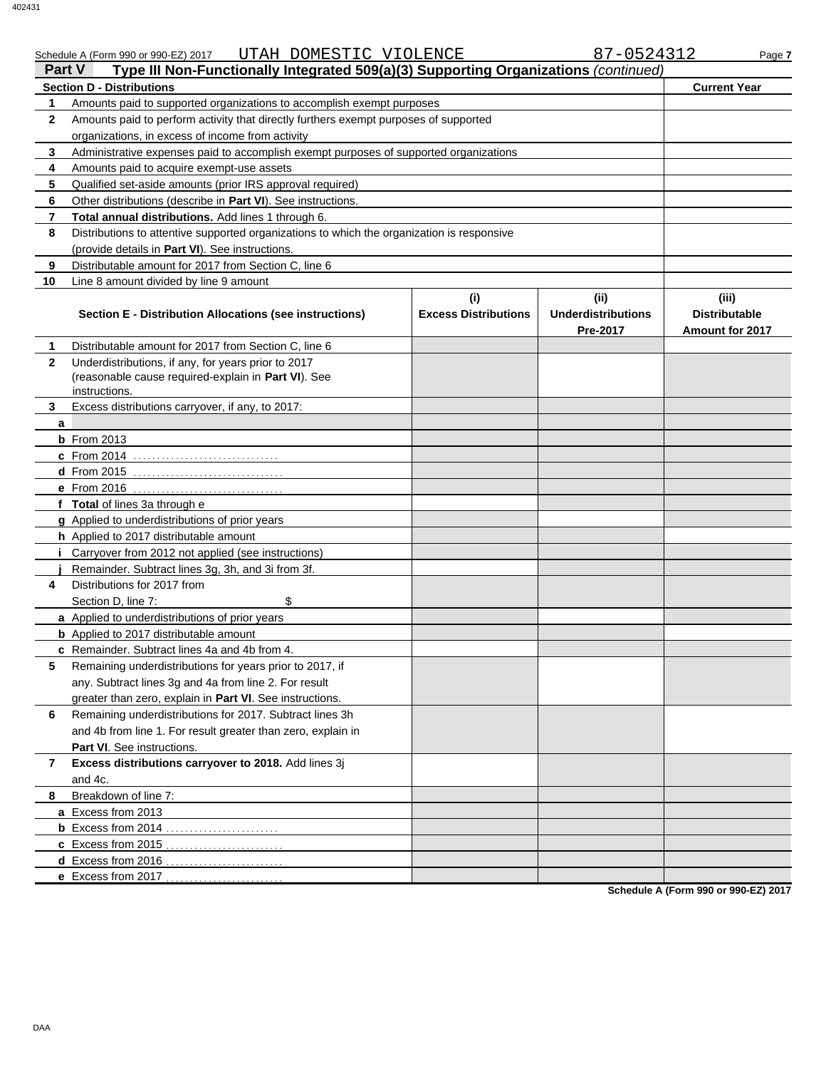|               | UTAH DOMESTIC VIOLENCE<br>Schedule A (Form 990 or 990-EZ) 2017                             |                                    | 87-0524312                                    | Page 7                                                  |
|---------------|--------------------------------------------------------------------------------------------|------------------------------------|-----------------------------------------------|---------------------------------------------------------|
| <b>Part V</b> | Type III Non-Functionally Integrated 509(a)(3) Supporting Organizations (continued)        |                                    |                                               |                                                         |
|               | <b>Section D - Distributions</b>                                                           |                                    |                                               | <b>Current Year</b>                                     |
| 1             | Amounts paid to supported organizations to accomplish exempt purposes                      |                                    |                                               |                                                         |
| $\mathbf{2}$  | Amounts paid to perform activity that directly furthers exempt purposes of supported       |                                    |                                               |                                                         |
|               | organizations, in excess of income from activity                                           |                                    |                                               |                                                         |
| 3             | Administrative expenses paid to accomplish exempt purposes of supported organizations      |                                    |                                               |                                                         |
| 4             | Amounts paid to acquire exempt-use assets                                                  |                                    |                                               |                                                         |
| 5             | Qualified set-aside amounts (prior IRS approval required)                                  |                                    |                                               |                                                         |
| 6             | Other distributions (describe in Part VI). See instructions.                               |                                    |                                               |                                                         |
| 7             | Total annual distributions. Add lines 1 through 6.                                         |                                    |                                               |                                                         |
| 8             | Distributions to attentive supported organizations to which the organization is responsive |                                    |                                               |                                                         |
|               | (provide details in Part VI). See instructions.                                            |                                    |                                               |                                                         |
| 9             | Distributable amount for 2017 from Section C, line 6                                       |                                    |                                               |                                                         |
| 10            | Line 8 amount divided by line 9 amount                                                     |                                    |                                               |                                                         |
|               | Section E - Distribution Allocations (see instructions)                                    | (i)<br><b>Excess Distributions</b> | (ii)<br><b>Underdistributions</b><br>Pre-2017 | (iii)<br><b>Distributable</b><br><b>Amount for 2017</b> |
| 1             | Distributable amount for 2017 from Section C, line 6                                       |                                    |                                               |                                                         |
| $\mathbf{2}$  | Underdistributions, if any, for years prior to 2017                                        |                                    |                                               |                                                         |
|               | (reasonable cause required-explain in Part VI). See                                        |                                    |                                               |                                                         |
|               | instructions.                                                                              |                                    |                                               |                                                         |
| 3             | Excess distributions carryover, if any, to 2017:                                           |                                    |                                               |                                                         |
| a             |                                                                                            |                                    |                                               |                                                         |
|               | <b>b</b> From 2013                                                                         |                                    |                                               |                                                         |
|               | <b>c</b> From 2014                                                                         |                                    |                                               |                                                         |
|               | <b>d</b> From 2015                                                                         |                                    |                                               |                                                         |
|               | e From 2016                                                                                |                                    |                                               |                                                         |
|               | f Total of lines 3a through e                                                              |                                    |                                               |                                                         |
|               | g Applied to underdistributions of prior years                                             |                                    |                                               |                                                         |
|               | h Applied to 2017 distributable amount                                                     |                                    |                                               |                                                         |
|               | Carryover from 2012 not applied (see instructions)                                         |                                    |                                               |                                                         |
| 4             | Remainder. Subtract lines 3g, 3h, and 3i from 3f.<br>Distributions for 2017 from           |                                    |                                               |                                                         |
|               | \$<br>Section D. line 7:                                                                   |                                    |                                               |                                                         |
|               | a Applied to underdistributions of prior years                                             |                                    |                                               |                                                         |
|               | <b>b</b> Applied to 2017 distributable amount                                              |                                    |                                               |                                                         |
|               | c Remainder. Subtract lines 4a and 4b from 4.                                              |                                    |                                               |                                                         |
| 5             | Remaining underdistributions for years prior to 2017, if                                   |                                    |                                               |                                                         |
|               | any. Subtract lines 3g and 4a from line 2. For result                                      |                                    |                                               |                                                         |
|               | greater than zero, explain in Part VI. See instructions.                                   |                                    |                                               |                                                         |
| 6             | Remaining underdistributions for 2017. Subtract lines 3h                                   |                                    |                                               |                                                         |
|               | and 4b from line 1. For result greater than zero, explain in                               |                                    |                                               |                                                         |
|               | Part VI. See instructions.                                                                 |                                    |                                               |                                                         |
| 7             | Excess distributions carryover to 2018. Add lines 3j                                       |                                    |                                               |                                                         |
|               | and 4c.                                                                                    |                                    |                                               |                                                         |
| 8             | Breakdown of line 7:                                                                       |                                    |                                               |                                                         |
|               | a Excess from 2013                                                                         |                                    |                                               |                                                         |
|               |                                                                                            |                                    |                                               |                                                         |
|               | c Excess from 2015                                                                         |                                    |                                               |                                                         |
|               | d Excess from 2016                                                                         |                                    |                                               |                                                         |
|               | e Excess from 2017                                                                         |                                    |                                               |                                                         |
|               |                                                                                            |                                    |                                               |                                                         |

**Schedule A (Form 990 or 990-EZ) 2017**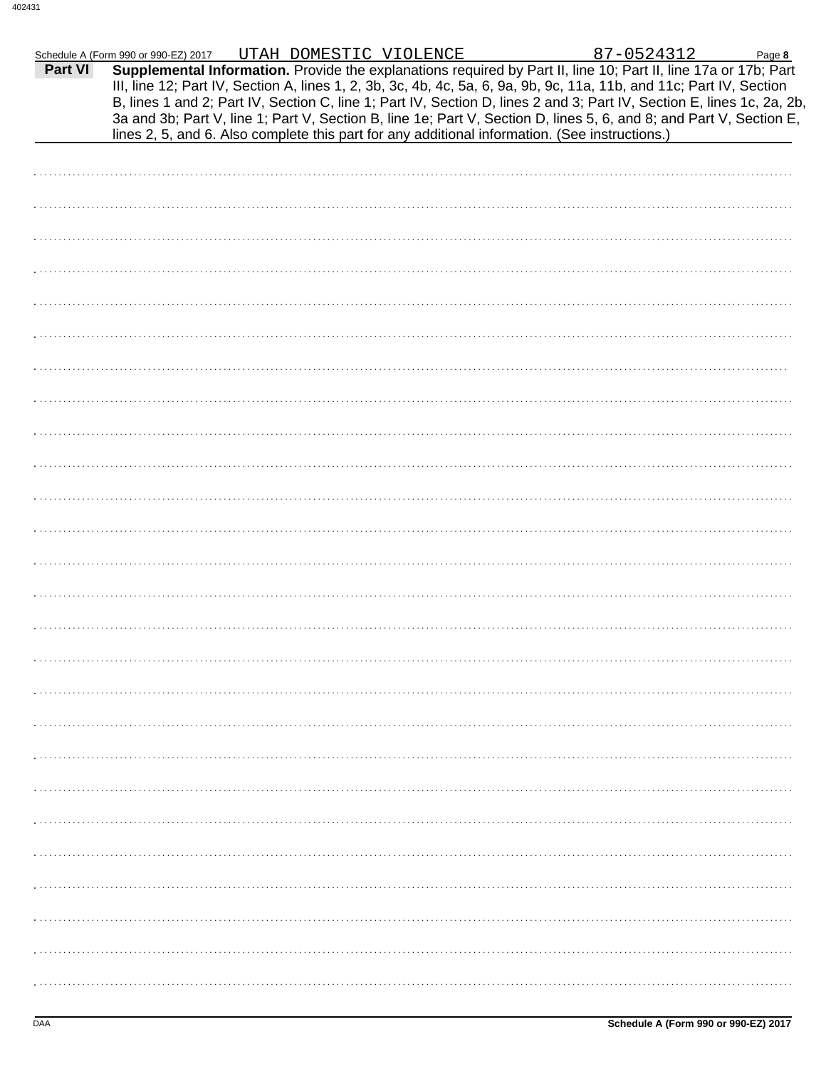| Part VI | 87-0524312<br>UTAH DOMESTIC VIOLENCE<br>Schedule A (Form 990 or 990-EZ) 2017<br>Page 8<br>Supplemental Information. Provide the explanations required by Part II, line 10; Part II, line 17a or 17b; Part<br>III, line 12; Part IV, Section A, lines 1, 2, 3b, 3c, 4b, 4c, 5a, 6, 9a, 9b, 9c, 11a, 11b, and 11c; Part IV, Section<br>B, lines 1 and 2; Part IV, Section C, line 1; Part IV, Section D, lines 2 and 3; Part IV, Section E, lines 1c, 2a, 2b,<br>3a and 3b; Part V, line 1; Part V, Section B, line 1e; Part V, Section D, lines 5, 6, and 8; and Part V, Section E,<br>lines 2, 5, and 6. Also complete this part for any additional information. (See instructions.) |
|---------|--------------------------------------------------------------------------------------------------------------------------------------------------------------------------------------------------------------------------------------------------------------------------------------------------------------------------------------------------------------------------------------------------------------------------------------------------------------------------------------------------------------------------------------------------------------------------------------------------------------------------------------------------------------------------------------|
|         |                                                                                                                                                                                                                                                                                                                                                                                                                                                                                                                                                                                                                                                                                      |
|         |                                                                                                                                                                                                                                                                                                                                                                                                                                                                                                                                                                                                                                                                                      |
|         |                                                                                                                                                                                                                                                                                                                                                                                                                                                                                                                                                                                                                                                                                      |
|         |                                                                                                                                                                                                                                                                                                                                                                                                                                                                                                                                                                                                                                                                                      |
|         |                                                                                                                                                                                                                                                                                                                                                                                                                                                                                                                                                                                                                                                                                      |
|         |                                                                                                                                                                                                                                                                                                                                                                                                                                                                                                                                                                                                                                                                                      |
|         |                                                                                                                                                                                                                                                                                                                                                                                                                                                                                                                                                                                                                                                                                      |
|         |                                                                                                                                                                                                                                                                                                                                                                                                                                                                                                                                                                                                                                                                                      |
|         |                                                                                                                                                                                                                                                                                                                                                                                                                                                                                                                                                                                                                                                                                      |
|         |                                                                                                                                                                                                                                                                                                                                                                                                                                                                                                                                                                                                                                                                                      |
|         |                                                                                                                                                                                                                                                                                                                                                                                                                                                                                                                                                                                                                                                                                      |
|         |                                                                                                                                                                                                                                                                                                                                                                                                                                                                                                                                                                                                                                                                                      |
|         |                                                                                                                                                                                                                                                                                                                                                                                                                                                                                                                                                                                                                                                                                      |
|         |                                                                                                                                                                                                                                                                                                                                                                                                                                                                                                                                                                                                                                                                                      |
|         |                                                                                                                                                                                                                                                                                                                                                                                                                                                                                                                                                                                                                                                                                      |
|         |                                                                                                                                                                                                                                                                                                                                                                                                                                                                                                                                                                                                                                                                                      |
|         |                                                                                                                                                                                                                                                                                                                                                                                                                                                                                                                                                                                                                                                                                      |
|         |                                                                                                                                                                                                                                                                                                                                                                                                                                                                                                                                                                                                                                                                                      |
|         |                                                                                                                                                                                                                                                                                                                                                                                                                                                                                                                                                                                                                                                                                      |
|         |                                                                                                                                                                                                                                                                                                                                                                                                                                                                                                                                                                                                                                                                                      |
|         |                                                                                                                                                                                                                                                                                                                                                                                                                                                                                                                                                                                                                                                                                      |
|         |                                                                                                                                                                                                                                                                                                                                                                                                                                                                                                                                                                                                                                                                                      |
|         |                                                                                                                                                                                                                                                                                                                                                                                                                                                                                                                                                                                                                                                                                      |
|         |                                                                                                                                                                                                                                                                                                                                                                                                                                                                                                                                                                                                                                                                                      |
|         |                                                                                                                                                                                                                                                                                                                                                                                                                                                                                                                                                                                                                                                                                      |
|         |                                                                                                                                                                                                                                                                                                                                                                                                                                                                                                                                                                                                                                                                                      |
|         |                                                                                                                                                                                                                                                                                                                                                                                                                                                                                                                                                                                                                                                                                      |
|         |                                                                                                                                                                                                                                                                                                                                                                                                                                                                                                                                                                                                                                                                                      |
|         |                                                                                                                                                                                                                                                                                                                                                                                                                                                                                                                                                                                                                                                                                      |
|         |                                                                                                                                                                                                                                                                                                                                                                                                                                                                                                                                                                                                                                                                                      |
|         |                                                                                                                                                                                                                                                                                                                                                                                                                                                                                                                                                                                                                                                                                      |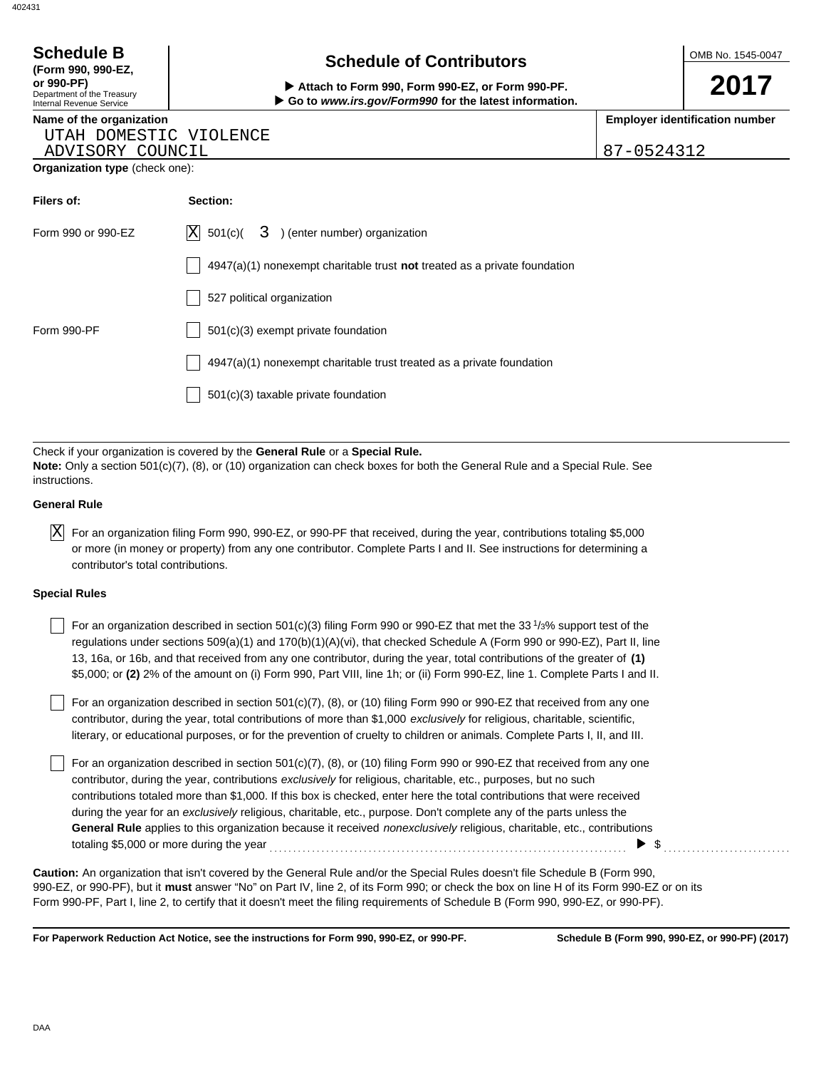| <b>Schedule B</b>                                                                                                                                                                                              | <b>Schedule of Contributors</b>                                                                                             |            | OMB No. 1545-0047                     |
|----------------------------------------------------------------------------------------------------------------------------------------------------------------------------------------------------------------|-----------------------------------------------------------------------------------------------------------------------------|------------|---------------------------------------|
| (Form 990, 990-EZ,<br>or 990-PF)<br>Attach to Form 990, Form 990-EZ, or Form 990-PF.<br>Department of the Treasury<br>Go to www.irs.gov/Form990 for the latest information.<br><b>Internal Revenue Service</b> |                                                                                                                             |            | 2017                                  |
| Name of the organization                                                                                                                                                                                       |                                                                                                                             |            | <b>Employer identification number</b> |
| UTAH DOMESTIC VIOLENCE                                                                                                                                                                                         |                                                                                                                             |            |                                       |
| ADVISORY COUNCIL<br>Organization type (check one):                                                                                                                                                             |                                                                                                                             | 87-0524312 |                                       |
| Filers of:                                                                                                                                                                                                     | Section:                                                                                                                    |            |                                       |
| Form 990 or 990-EZ                                                                                                                                                                                             | $ {\rm X} $<br>501(c)<br>3 ) (enter number) organization                                                                    |            |                                       |
|                                                                                                                                                                                                                | $4947(a)(1)$ nonexempt charitable trust not treated as a private foundation                                                 |            |                                       |
|                                                                                                                                                                                                                | 527 political organization                                                                                                  |            |                                       |
| Form 990-PF                                                                                                                                                                                                    | 501(c)(3) exempt private foundation                                                                                         |            |                                       |
|                                                                                                                                                                                                                | 4947(a)(1) nonexempt charitable trust treated as a private foundation                                                       |            |                                       |
|                                                                                                                                                                                                                | $501(c)(3)$ taxable private foundation                                                                                      |            |                                       |
|                                                                                                                                                                                                                | Check if your organization is covered by the General Rule or a Special Rule.                                                |            |                                       |
| instructions.                                                                                                                                                                                                  | Note: Only a section 501(c)(7), (8), or (10) organization can check boxes for both the General Rule and a Special Rule. See |            |                                       |
| <b>General Rule</b>                                                                                                                                                                                            |                                                                                                                             |            |                                       |

#### **Special Rules**

| For an organization described in section 501(c)(3) filing Form 990 or 990-EZ that met the 33 $1/3\%$ support test of the    |
|-----------------------------------------------------------------------------------------------------------------------------|
| regulations under sections $509(a)(1)$ and $170(b)(1)(A)(vi)$ , that checked Schedule A (Form 990 or 990-EZ), Part II, line |
| 13, 16a, or 16b, and that received from any one contributor, during the year, total contributions of the greater of (1)     |
| \$5,000; or (2) 2% of the amount on (i) Form 990, Part VIII, line 1h; or (ii) Form 990-EZ, line 1. Complete Parts I and II. |

literary, or educational purposes, or for the prevention of cruelty to children or animals. Complete Parts I, II, and III. For an organization described in section 501(c)(7), (8), or (10) filing Form 990 or 990-EZ that received from any one contributor, during the year, total contributions of more than \$1,000 *exclusively* for religious, charitable, scientific,

For an organization described in section 501(c)(7), (8), or (10) filing Form 990 or 990-EZ that received from any one contributor, during the year, contributions *exclusively* for religious, charitable, etc., purposes, but no such contributions totaled more than \$1,000. If this box is checked, enter here the total contributions that were received during the year for an *exclusively* religious, charitable, etc., purpose. Don't complete any of the parts unless the **General Rule** applies to this organization because it received *nonexclusively* religious, charitable, etc., contributions totaling \$5,000 or more during the year . . . . . . . . . . . . . . . . . . . . . . . . . . . . . . . . . . . . . . . . . . . . . . . . . . . . . . . . . . . . . . . . . . . . . . . . . . . . \$ . . . . . . . . . . . . . . . . . . . . . . . . . . .

990-EZ, or 990-PF), but it **must** answer "No" on Part IV, line 2, of its Form 990; or check the box on line H of its Form 990-EZ or on its Form 990-PF, Part I, line 2, to certify that it doesn't meet the filing requirements of Schedule B (Form 990, 990-EZ, or 990-PF). **Caution:** An organization that isn't covered by the General Rule and/or the Special Rules doesn't file Schedule B (Form 990,

**For Paperwork Reduction Act Notice, see the instructions for Form 990, 990-EZ, or 990-PF.**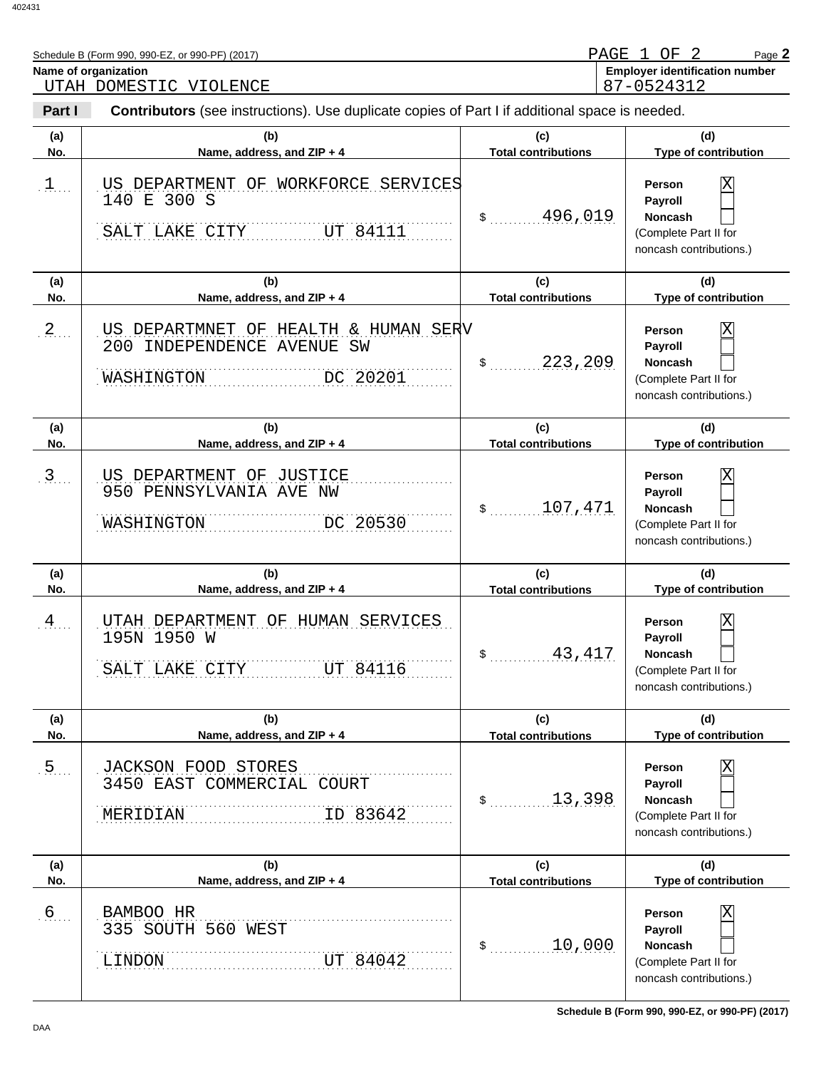|                  | Schedule B (Form 990, 990-EZ, or 990-PF) (2017)                                                 | PAGE 1                            | -2<br>ΟF<br>Page 2                                                                                  |
|------------------|-------------------------------------------------------------------------------------------------|-----------------------------------|-----------------------------------------------------------------------------------------------------|
|                  | Name of organization<br>UTAH DOMESTIC VIOLENCE                                                  |                                   | <b>Employer identification number</b><br>87-0524312                                                 |
| Part I           | Contributors (see instructions). Use duplicate copies of Part I if additional space is needed.  |                                   |                                                                                                     |
| (a)<br>No.       | (b)<br>Name, address, and ZIP + 4                                                               | (C)<br><b>Total contributions</b> | (d)<br>Type of contribution                                                                         |
| . $1$            | US DEPARTMENT OF WORKFORCE SERVICES<br>140 E 300 S<br>UT 84111<br>SALT LAKE CITY                | 496,019<br>\$                     | Person<br>Payroll<br><b>Noncash</b><br>(Complete Part II for<br>noncash contributions.)             |
| (a)<br>No.       | (b)<br>Name, address, and ZIP + 4                                                               | (c)<br><b>Total contributions</b> | (d)<br>Type of contribution                                                                         |
| 2                | US DEPARTMNET OF HEALTH & HUMAN SERV<br>INDEPENDENCE AVENUE SW<br>200<br>DC 20201<br>WASHINGTON | 223,209<br>\$                     | Person<br>Payroll<br><b>Noncash</b><br>(Complete Part II for<br>noncash contributions.)             |
| (a)<br>No.       | (b)<br>Name, address, and ZIP + 4                                                               | (c)<br><b>Total contributions</b> | (d)<br>Type of contribution                                                                         |
| $\overline{3}$ . | US DEPARTMENT OF JUSTICE<br>950 PENNSYLVANIA AVE NW<br>DC 20530<br>WASHINGTON                   | 107,471<br>\$                     | Person<br>Payroll<br><b>Noncash</b><br>(Complete Part II for<br>noncash contributions.)             |
| (a)<br>No.       | (b)<br>Name, address, and ZIP + 4                                                               | (c)<br><b>Total contributions</b> | (d)<br>Type of contribution                                                                         |
| $\frac{4}{1}$    | UTAH DEPARTMENT OF HUMAN SERVICES<br>195N 1950 W<br>SALT LAKE CITY<br><b>UT 84116</b>           | 43, 417                           | Χ<br>Person<br><b>Payroll</b><br><b>Noncash</b><br>(Complete Part II for<br>noncash contributions.) |
| (a)<br>No.       | (b)<br>Name, address, and ZIP + 4                                                               | (c)<br><b>Total contributions</b> | (d)<br>Type of contribution                                                                         |
| 5 <sub>1</sub>   | JACKSON FOOD STORES<br>3450 EAST COMMERCIAL COURT<br>ID 83642<br>MERIDIAN                       | 13,398<br>\$                      | Person<br>Χ<br>Payroll<br><b>Noncash</b><br>(Complete Part II for<br>noncash contributions.)        |
| (a)<br>No.       | (b)<br>Name, address, and ZIP + 4                                                               | (c)<br><b>Total contributions</b> | (d)<br>Type of contribution                                                                         |
| 6 <sub>1</sub>   | BAMBOO HR<br>335 SOUTH 560 WEST                                                                 |                                   | Χ<br>Person<br>Payroll                                                                              |

. . . . . . . . . . . . . . . . . . . . . . . . . . . . . . . . . . . . . . . . . . . . . . . . . . . . . . . . . . . . . . . . . . . . . . . . . . . LINDON UT 84042

**Schedule B (Form 990, 990-EZ, or 990-PF) (2017)**

**Noncash**

(Complete Part II for noncash contributions.)

Ħ

 $$\dots \dots $10,000$$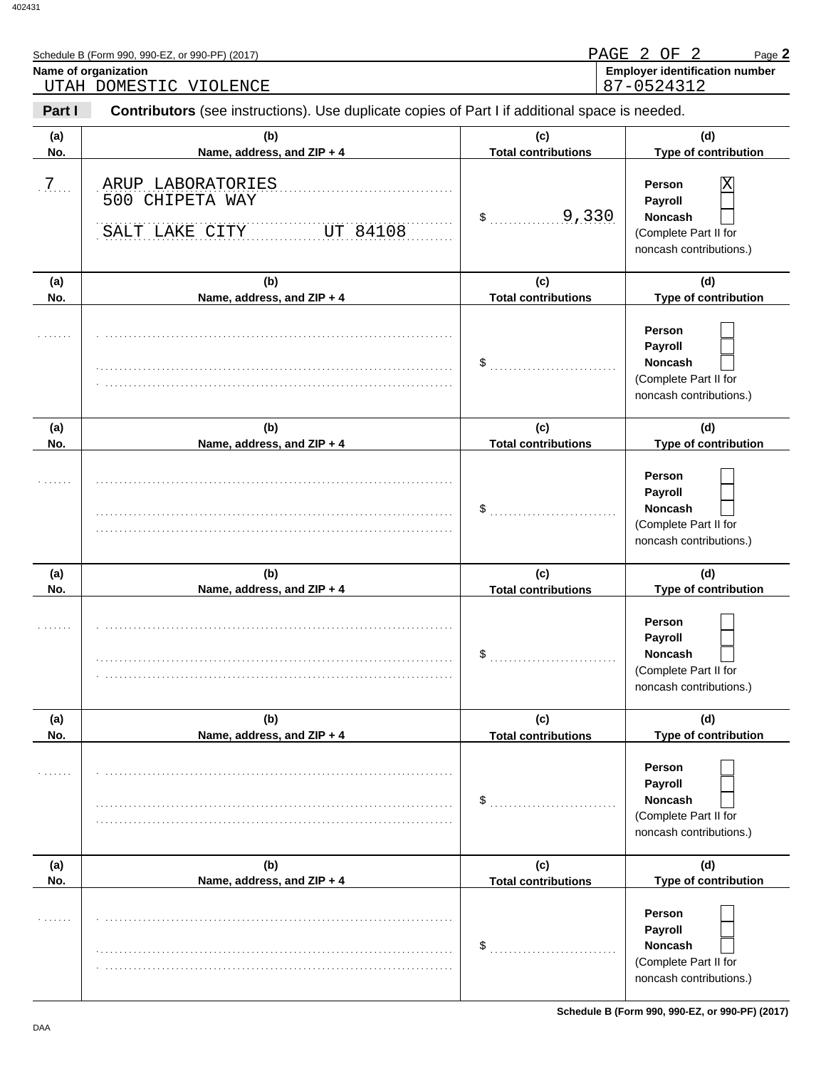|            | Schedule B (Form 990, 990-EZ, or 990-PF) (2017)<br>Name of organization                                                  |                                   | <b>Employer identification number</b>                                                                           |
|------------|--------------------------------------------------------------------------------------------------------------------------|-----------------------------------|-----------------------------------------------------------------------------------------------------------------|
| Part I     | UTAH DOMESTIC VIOLENCE<br>Contributors (see instructions). Use duplicate copies of Part I if additional space is needed. |                                   | 87-0524312                                                                                                      |
| (a)<br>No. | (b)<br>Name, address, and ZIP + 4                                                                                        | (c)<br><b>Total contributions</b> | (d)<br>Type of contribution                                                                                     |
| .7.        | ARUP LABORATORIES<br>500 CHIPETA WAY<br>SALT LAKE CITY<br>UT 84108                                                       | 9,330                             | X<br>Person<br>Payroll<br>Noncash<br>(Complete Part II for<br>noncash contributions.)                           |
| (a)<br>No. | (b)<br>Name, address, and ZIP + 4                                                                                        | (c)<br><b>Total contributions</b> | (d)<br>Type of contribution                                                                                     |
|            |                                                                                                                          | \$                                | Person<br>Payroll<br>Noncash<br>(Complete Part II for<br>noncash contributions.)                                |
| (a)<br>No. | (b)<br>Name, address, and ZIP + 4                                                                                        | (c)<br><b>Total contributions</b> | (d)<br>Type of contribution                                                                                     |
|            |                                                                                                                          | \$                                | Person<br>Payroll<br>Noncash<br>(Complete Part II for<br>noncash contributions.)                                |
| (a)<br>No. | (b)<br>Name, address, and ZIP + 4                                                                                        | (c)<br><b>Total contributions</b> | (d)<br>Type of contribution                                                                                     |
|            |                                                                                                                          | \$                                | Person<br><b>Pavroll</b><br>Noncash<br>(Complete Part II for<br>noncash contributions.)                         |
| (a)<br>No. | (b)<br>Name, address, and ZIP + 4                                                                                        | (c)<br><b>Total contributions</b> | (d)<br>Type of contribution                                                                                     |
|            |                                                                                                                          | \$                                | Person<br>Payroll<br><b>Noncash</b><br>(Complete Part II for<br>noncash contributions.)                         |
| (a)        | (b)                                                                                                                      | (c)                               | (d)                                                                                                             |
| No.        | Name, address, and ZIP + 4                                                                                               | <b>Total contributions</b><br>\$  | Type of contribution<br>Person<br>Payroll<br><b>Noncash</b><br>(Complete Part II for<br>noncash contributions.) |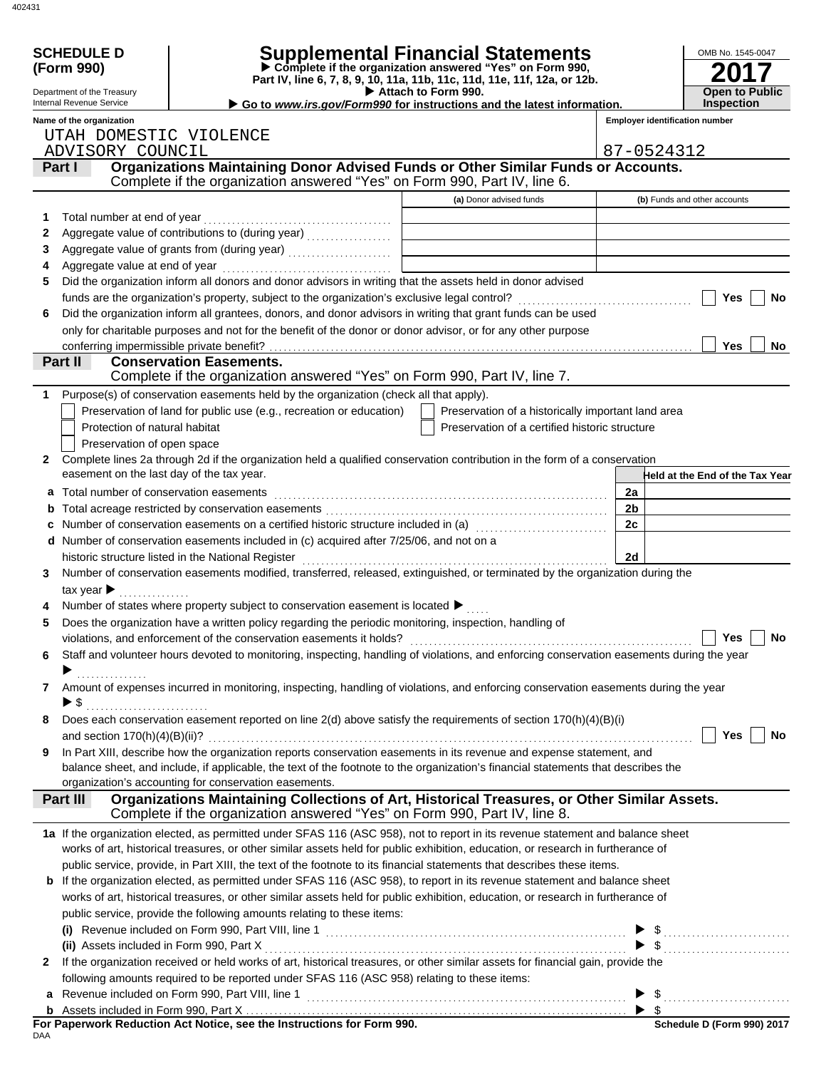| Part IV, line 6, 7, 8, 9, 10, 11a, 11b, 11c, 11d, 11e, 11f, 12a, or 12b.<br>Attach to Form 990.<br><b>Open to Public</b><br>Department of the Treasury<br>Internal Revenue Service<br><b>Inspection</b><br>Go to www.irs.gov/Form990 for instructions and the latest information.<br><b>Employer identification number</b><br>Name of the organization<br>UTAH DOMESTIC VIOLENCE<br>87-0524312<br>ADVISORY COUNCIL<br>Organizations Maintaining Donor Advised Funds or Other Similar Funds or Accounts.<br>Part I<br>Complete if the organization answered "Yes" on Form 990, Part IV, line 6.<br>(a) Donor advised funds<br>(b) Funds and other accounts<br>1<br>2<br>3<br><u> 1989 - Andrea Stadt British Stadt British Stadt British Stadt British Stadt British Stadt British Stadt British Stadt British Stadt British Stadt British Stadt British Stadt British Stadt British Stadt British Stadt Brit</u><br>4<br>Did the organization inform all donors and donor advisors in writing that the assets held in donor advised<br>5<br>Yes<br>No<br>Did the organization inform all grantees, donors, and donor advisors in writing that grant funds can be used<br>6<br>only for charitable purposes and not for the benefit of the donor or donor advisor, or for any other purpose<br><b>Yes</b><br>conferring impermissible private benefit?<br><b>No</b><br>Part II<br><b>Conservation Easements.</b><br>Complete if the organization answered "Yes" on Form 990, Part IV, line 7.<br>Purpose(s) of conservation easements held by the organization (check all that apply).<br>1<br>Preservation of land for public use (e.g., recreation or education)<br>Preservation of a historically important land area<br>Protection of natural habitat<br>Preservation of a certified historic structure<br>Preservation of open space<br>Complete lines 2a through 2d if the organization held a qualified conservation contribution in the form of a conservation<br>2<br>easement on the last day of the tax year.<br>Held at the End of the Tax Year<br>2a<br>а<br>2 <sub>b</sub><br>b<br>2c<br>Number of conservation easements on a certified historic structure included in (a) [11] Number of conservation<br>Number of conservation easements included in (c) acquired after 7/25/06, and not on a<br>d<br>2d<br>historic structure listed in the National Register<br>Number of conservation easements modified, transferred, released, extinguished, or terminated by the organization during the<br>3<br>tax year $\blacktriangleright$<br>Number of states where property subject to conservation easement is located ▶<br>Does the organization have a written policy regarding the periodic monitoring, inspection, handling of<br>5<br>$\Box$ Yes<br>No<br>Staff and volunteer hours devoted to monitoring, inspecting, handling of violations, and enforcing conservation easements during the year<br>6<br>.<br>Amount of expenses incurred in monitoring, inspecting, handling of violations, and enforcing conservation easements during the year<br>7<br>$\blacktriangleright$ \$<br>Does each conservation easement reported on line 2(d) above satisfy the requirements of section 170(h)(4)(B)(i)<br>8<br>Yes<br>No<br>In Part XIII, describe how the organization reports conservation easements in its revenue and expense statement, and<br>9<br>balance sheet, and include, if applicable, the text of the footnote to the organization's financial statements that describes the<br>organization's accounting for conservation easements.<br>Organizations Maintaining Collections of Art, Historical Treasures, or Other Similar Assets.<br>Part III<br>Complete if the organization answered "Yes" on Form 990, Part IV, line 8.<br>1a If the organization elected, as permitted under SFAS 116 (ASC 958), not to report in its revenue statement and balance sheet<br>works of art, historical treasures, or other similar assets held for public exhibition, education, or research in furtherance of<br>public service, provide, in Part XIII, the text of the footnote to its financial statements that describes these items.<br><b>b</b> If the organization elected, as permitted under SFAS 116 (ASC 958), to report in its revenue statement and balance sheet<br>works of art, historical treasures, or other similar assets held for public exhibition, education, or research in furtherance of<br>public service, provide the following amounts relating to these items:<br>$\triangleright$ \$<br>(ii) Assets included in Form 990, Part X<br>If the organization received or held works of art, historical treasures, or other similar assets for financial gain, provide the<br>2<br>following amounts required to be reported under SFAS 116 (ASC 958) relating to these items:<br>$\triangleright$ \$<br>Schedule D (Form 990) 2017 | <b>SCHEDULE D</b><br>(Form 990) | Supplemental Financial Statements<br>$\triangleright$ Complete if the organization answered "Yes" on Form 990, | OMB No. 1545-0047 |
|----------------------------------------------------------------------------------------------------------------------------------------------------------------------------------------------------------------------------------------------------------------------------------------------------------------------------------------------------------------------------------------------------------------------------------------------------------------------------------------------------------------------------------------------------------------------------------------------------------------------------------------------------------------------------------------------------------------------------------------------------------------------------------------------------------------------------------------------------------------------------------------------------------------------------------------------------------------------------------------------------------------------------------------------------------------------------------------------------------------------------------------------------------------------------------------------------------------------------------------------------------------------------------------------------------------------------------------------------------------------------------------------------------------------------------------------------------------------------------------------------------------------------------------------------------------------------------------------------------------------------------------------------------------------------------------------------------------------------------------------------------------------------------------------------------------------------------------------------------------------------------------------------------------------------------------------------------------------------------------------------------------------------------------------------------------------------------------------------------------------------------------------------------------------------------------------------------------------------------------------------------------------------------------------------------------------------------------------------------------------------------------------------------------------------------------------------------------------------------------------------------------------------------------------------------------------------------------------------------------------------------------------------------------------------------------------------------------------------------------------------------------------------------------------------------------------------------------------------------------------------------------------------------------------------------------------------------------------------------------------------------------------------------------------------------------------------------------------------------------------------------------------------------------------------------------------------------------------------------------------------------------------------------------------------------------------------------------------------------------------------------------------------------------------------------------------------------------------------------------------------------------------------------------------------------------------------------------------------------------------------------------------------------------------------------------------------------------------------------------------------------------------------------------------------------------------------------------------------------------------------------------------------------------------------------------------------------------------------------------------------------------------------------------------------------------------------------------------------------------------------------------------------------------------------------------------------------------------------------------------------------------------------------------------------------------------------------------------------------------------------------------------------------------------------------------------------------------------------------------------------------------------------------------------------------------------------------------------------------------------------------------------------------------------------------------------------------------------------------------------------------------------------------------------------------------------------------------------------------------------------------------|---------------------------------|----------------------------------------------------------------------------------------------------------------|-------------------|
|                                                                                                                                                                                                                                                                                                                                                                                                                                                                                                                                                                                                                                                                                                                                                                                                                                                                                                                                                                                                                                                                                                                                                                                                                                                                                                                                                                                                                                                                                                                                                                                                                                                                                                                                                                                                                                                                                                                                                                                                                                                                                                                                                                                                                                                                                                                                                                                                                                                                                                                                                                                                                                                                                                                                                                                                                                                                                                                                                                                                                                                                                                                                                                                                                                                                                                                                                                                                                                                                                                                                                                                                                                                                                                                                                                                                                                                                                                                                                                                                                                                                                                                                                                                                                                                                                                                                                                                                                                                                                                                                                                                                                                                                                                                                                                                                                                                                                        |                                 |                                                                                                                |                   |
|                                                                                                                                                                                                                                                                                                                                                                                                                                                                                                                                                                                                                                                                                                                                                                                                                                                                                                                                                                                                                                                                                                                                                                                                                                                                                                                                                                                                                                                                                                                                                                                                                                                                                                                                                                                                                                                                                                                                                                                                                                                                                                                                                                                                                                                                                                                                                                                                                                                                                                                                                                                                                                                                                                                                                                                                                                                                                                                                                                                                                                                                                                                                                                                                                                                                                                                                                                                                                                                                                                                                                                                                                                                                                                                                                                                                                                                                                                                                                                                                                                                                                                                                                                                                                                                                                                                                                                                                                                                                                                                                                                                                                                                                                                                                                                                                                                                                                        |                                 |                                                                                                                |                   |
|                                                                                                                                                                                                                                                                                                                                                                                                                                                                                                                                                                                                                                                                                                                                                                                                                                                                                                                                                                                                                                                                                                                                                                                                                                                                                                                                                                                                                                                                                                                                                                                                                                                                                                                                                                                                                                                                                                                                                                                                                                                                                                                                                                                                                                                                                                                                                                                                                                                                                                                                                                                                                                                                                                                                                                                                                                                                                                                                                                                                                                                                                                                                                                                                                                                                                                                                                                                                                                                                                                                                                                                                                                                                                                                                                                                                                                                                                                                                                                                                                                                                                                                                                                                                                                                                                                                                                                                                                                                                                                                                                                                                                                                                                                                                                                                                                                                                                        |                                 |                                                                                                                |                   |
|                                                                                                                                                                                                                                                                                                                                                                                                                                                                                                                                                                                                                                                                                                                                                                                                                                                                                                                                                                                                                                                                                                                                                                                                                                                                                                                                                                                                                                                                                                                                                                                                                                                                                                                                                                                                                                                                                                                                                                                                                                                                                                                                                                                                                                                                                                                                                                                                                                                                                                                                                                                                                                                                                                                                                                                                                                                                                                                                                                                                                                                                                                                                                                                                                                                                                                                                                                                                                                                                                                                                                                                                                                                                                                                                                                                                                                                                                                                                                                                                                                                                                                                                                                                                                                                                                                                                                                                                                                                                                                                                                                                                                                                                                                                                                                                                                                                                                        |                                 |                                                                                                                |                   |
|                                                                                                                                                                                                                                                                                                                                                                                                                                                                                                                                                                                                                                                                                                                                                                                                                                                                                                                                                                                                                                                                                                                                                                                                                                                                                                                                                                                                                                                                                                                                                                                                                                                                                                                                                                                                                                                                                                                                                                                                                                                                                                                                                                                                                                                                                                                                                                                                                                                                                                                                                                                                                                                                                                                                                                                                                                                                                                                                                                                                                                                                                                                                                                                                                                                                                                                                                                                                                                                                                                                                                                                                                                                                                                                                                                                                                                                                                                                                                                                                                                                                                                                                                                                                                                                                                                                                                                                                                                                                                                                                                                                                                                                                                                                                                                                                                                                                                        |                                 |                                                                                                                |                   |
|                                                                                                                                                                                                                                                                                                                                                                                                                                                                                                                                                                                                                                                                                                                                                                                                                                                                                                                                                                                                                                                                                                                                                                                                                                                                                                                                                                                                                                                                                                                                                                                                                                                                                                                                                                                                                                                                                                                                                                                                                                                                                                                                                                                                                                                                                                                                                                                                                                                                                                                                                                                                                                                                                                                                                                                                                                                                                                                                                                                                                                                                                                                                                                                                                                                                                                                                                                                                                                                                                                                                                                                                                                                                                                                                                                                                                                                                                                                                                                                                                                                                                                                                                                                                                                                                                                                                                                                                                                                                                                                                                                                                                                                                                                                                                                                                                                                                                        |                                 |                                                                                                                |                   |
|                                                                                                                                                                                                                                                                                                                                                                                                                                                                                                                                                                                                                                                                                                                                                                                                                                                                                                                                                                                                                                                                                                                                                                                                                                                                                                                                                                                                                                                                                                                                                                                                                                                                                                                                                                                                                                                                                                                                                                                                                                                                                                                                                                                                                                                                                                                                                                                                                                                                                                                                                                                                                                                                                                                                                                                                                                                                                                                                                                                                                                                                                                                                                                                                                                                                                                                                                                                                                                                                                                                                                                                                                                                                                                                                                                                                                                                                                                                                                                                                                                                                                                                                                                                                                                                                                                                                                                                                                                                                                                                                                                                                                                                                                                                                                                                                                                                                                        |                                 |                                                                                                                |                   |
|                                                                                                                                                                                                                                                                                                                                                                                                                                                                                                                                                                                                                                                                                                                                                                                                                                                                                                                                                                                                                                                                                                                                                                                                                                                                                                                                                                                                                                                                                                                                                                                                                                                                                                                                                                                                                                                                                                                                                                                                                                                                                                                                                                                                                                                                                                                                                                                                                                                                                                                                                                                                                                                                                                                                                                                                                                                                                                                                                                                                                                                                                                                                                                                                                                                                                                                                                                                                                                                                                                                                                                                                                                                                                                                                                                                                                                                                                                                                                                                                                                                                                                                                                                                                                                                                                                                                                                                                                                                                                                                                                                                                                                                                                                                                                                                                                                                                                        |                                 |                                                                                                                |                   |
|                                                                                                                                                                                                                                                                                                                                                                                                                                                                                                                                                                                                                                                                                                                                                                                                                                                                                                                                                                                                                                                                                                                                                                                                                                                                                                                                                                                                                                                                                                                                                                                                                                                                                                                                                                                                                                                                                                                                                                                                                                                                                                                                                                                                                                                                                                                                                                                                                                                                                                                                                                                                                                                                                                                                                                                                                                                                                                                                                                                                                                                                                                                                                                                                                                                                                                                                                                                                                                                                                                                                                                                                                                                                                                                                                                                                                                                                                                                                                                                                                                                                                                                                                                                                                                                                                                                                                                                                                                                                                                                                                                                                                                                                                                                                                                                                                                                                                        |                                 |                                                                                                                |                   |
|                                                                                                                                                                                                                                                                                                                                                                                                                                                                                                                                                                                                                                                                                                                                                                                                                                                                                                                                                                                                                                                                                                                                                                                                                                                                                                                                                                                                                                                                                                                                                                                                                                                                                                                                                                                                                                                                                                                                                                                                                                                                                                                                                                                                                                                                                                                                                                                                                                                                                                                                                                                                                                                                                                                                                                                                                                                                                                                                                                                                                                                                                                                                                                                                                                                                                                                                                                                                                                                                                                                                                                                                                                                                                                                                                                                                                                                                                                                                                                                                                                                                                                                                                                                                                                                                                                                                                                                                                                                                                                                                                                                                                                                                                                                                                                                                                                                                                        |                                 |                                                                                                                |                   |
|                                                                                                                                                                                                                                                                                                                                                                                                                                                                                                                                                                                                                                                                                                                                                                                                                                                                                                                                                                                                                                                                                                                                                                                                                                                                                                                                                                                                                                                                                                                                                                                                                                                                                                                                                                                                                                                                                                                                                                                                                                                                                                                                                                                                                                                                                                                                                                                                                                                                                                                                                                                                                                                                                                                                                                                                                                                                                                                                                                                                                                                                                                                                                                                                                                                                                                                                                                                                                                                                                                                                                                                                                                                                                                                                                                                                                                                                                                                                                                                                                                                                                                                                                                                                                                                                                                                                                                                                                                                                                                                                                                                                                                                                                                                                                                                                                                                                                        |                                 |                                                                                                                |                   |
|                                                                                                                                                                                                                                                                                                                                                                                                                                                                                                                                                                                                                                                                                                                                                                                                                                                                                                                                                                                                                                                                                                                                                                                                                                                                                                                                                                                                                                                                                                                                                                                                                                                                                                                                                                                                                                                                                                                                                                                                                                                                                                                                                                                                                                                                                                                                                                                                                                                                                                                                                                                                                                                                                                                                                                                                                                                                                                                                                                                                                                                                                                                                                                                                                                                                                                                                                                                                                                                                                                                                                                                                                                                                                                                                                                                                                                                                                                                                                                                                                                                                                                                                                                                                                                                                                                                                                                                                                                                                                                                                                                                                                                                                                                                                                                                                                                                                                        |                                 |                                                                                                                |                   |
|                                                                                                                                                                                                                                                                                                                                                                                                                                                                                                                                                                                                                                                                                                                                                                                                                                                                                                                                                                                                                                                                                                                                                                                                                                                                                                                                                                                                                                                                                                                                                                                                                                                                                                                                                                                                                                                                                                                                                                                                                                                                                                                                                                                                                                                                                                                                                                                                                                                                                                                                                                                                                                                                                                                                                                                                                                                                                                                                                                                                                                                                                                                                                                                                                                                                                                                                                                                                                                                                                                                                                                                                                                                                                                                                                                                                                                                                                                                                                                                                                                                                                                                                                                                                                                                                                                                                                                                                                                                                                                                                                                                                                                                                                                                                                                                                                                                                                        |                                 |                                                                                                                |                   |
|                                                                                                                                                                                                                                                                                                                                                                                                                                                                                                                                                                                                                                                                                                                                                                                                                                                                                                                                                                                                                                                                                                                                                                                                                                                                                                                                                                                                                                                                                                                                                                                                                                                                                                                                                                                                                                                                                                                                                                                                                                                                                                                                                                                                                                                                                                                                                                                                                                                                                                                                                                                                                                                                                                                                                                                                                                                                                                                                                                                                                                                                                                                                                                                                                                                                                                                                                                                                                                                                                                                                                                                                                                                                                                                                                                                                                                                                                                                                                                                                                                                                                                                                                                                                                                                                                                                                                                                                                                                                                                                                                                                                                                                                                                                                                                                                                                                                                        |                                 |                                                                                                                |                   |
|                                                                                                                                                                                                                                                                                                                                                                                                                                                                                                                                                                                                                                                                                                                                                                                                                                                                                                                                                                                                                                                                                                                                                                                                                                                                                                                                                                                                                                                                                                                                                                                                                                                                                                                                                                                                                                                                                                                                                                                                                                                                                                                                                                                                                                                                                                                                                                                                                                                                                                                                                                                                                                                                                                                                                                                                                                                                                                                                                                                                                                                                                                                                                                                                                                                                                                                                                                                                                                                                                                                                                                                                                                                                                                                                                                                                                                                                                                                                                                                                                                                                                                                                                                                                                                                                                                                                                                                                                                                                                                                                                                                                                                                                                                                                                                                                                                                                                        |                                 |                                                                                                                |                   |
|                                                                                                                                                                                                                                                                                                                                                                                                                                                                                                                                                                                                                                                                                                                                                                                                                                                                                                                                                                                                                                                                                                                                                                                                                                                                                                                                                                                                                                                                                                                                                                                                                                                                                                                                                                                                                                                                                                                                                                                                                                                                                                                                                                                                                                                                                                                                                                                                                                                                                                                                                                                                                                                                                                                                                                                                                                                                                                                                                                                                                                                                                                                                                                                                                                                                                                                                                                                                                                                                                                                                                                                                                                                                                                                                                                                                                                                                                                                                                                                                                                                                                                                                                                                                                                                                                                                                                                                                                                                                                                                                                                                                                                                                                                                                                                                                                                                                                        |                                 |                                                                                                                |                   |
|                                                                                                                                                                                                                                                                                                                                                                                                                                                                                                                                                                                                                                                                                                                                                                                                                                                                                                                                                                                                                                                                                                                                                                                                                                                                                                                                                                                                                                                                                                                                                                                                                                                                                                                                                                                                                                                                                                                                                                                                                                                                                                                                                                                                                                                                                                                                                                                                                                                                                                                                                                                                                                                                                                                                                                                                                                                                                                                                                                                                                                                                                                                                                                                                                                                                                                                                                                                                                                                                                                                                                                                                                                                                                                                                                                                                                                                                                                                                                                                                                                                                                                                                                                                                                                                                                                                                                                                                                                                                                                                                                                                                                                                                                                                                                                                                                                                                                        |                                 |                                                                                                                |                   |
|                                                                                                                                                                                                                                                                                                                                                                                                                                                                                                                                                                                                                                                                                                                                                                                                                                                                                                                                                                                                                                                                                                                                                                                                                                                                                                                                                                                                                                                                                                                                                                                                                                                                                                                                                                                                                                                                                                                                                                                                                                                                                                                                                                                                                                                                                                                                                                                                                                                                                                                                                                                                                                                                                                                                                                                                                                                                                                                                                                                                                                                                                                                                                                                                                                                                                                                                                                                                                                                                                                                                                                                                                                                                                                                                                                                                                                                                                                                                                                                                                                                                                                                                                                                                                                                                                                                                                                                                                                                                                                                                                                                                                                                                                                                                                                                                                                                                                        |                                 |                                                                                                                |                   |
|                                                                                                                                                                                                                                                                                                                                                                                                                                                                                                                                                                                                                                                                                                                                                                                                                                                                                                                                                                                                                                                                                                                                                                                                                                                                                                                                                                                                                                                                                                                                                                                                                                                                                                                                                                                                                                                                                                                                                                                                                                                                                                                                                                                                                                                                                                                                                                                                                                                                                                                                                                                                                                                                                                                                                                                                                                                                                                                                                                                                                                                                                                                                                                                                                                                                                                                                                                                                                                                                                                                                                                                                                                                                                                                                                                                                                                                                                                                                                                                                                                                                                                                                                                                                                                                                                                                                                                                                                                                                                                                                                                                                                                                                                                                                                                                                                                                                                        |                                 |                                                                                                                |                   |
|                                                                                                                                                                                                                                                                                                                                                                                                                                                                                                                                                                                                                                                                                                                                                                                                                                                                                                                                                                                                                                                                                                                                                                                                                                                                                                                                                                                                                                                                                                                                                                                                                                                                                                                                                                                                                                                                                                                                                                                                                                                                                                                                                                                                                                                                                                                                                                                                                                                                                                                                                                                                                                                                                                                                                                                                                                                                                                                                                                                                                                                                                                                                                                                                                                                                                                                                                                                                                                                                                                                                                                                                                                                                                                                                                                                                                                                                                                                                                                                                                                                                                                                                                                                                                                                                                                                                                                                                                                                                                                                                                                                                                                                                                                                                                                                                                                                                                        |                                 |                                                                                                                |                   |
|                                                                                                                                                                                                                                                                                                                                                                                                                                                                                                                                                                                                                                                                                                                                                                                                                                                                                                                                                                                                                                                                                                                                                                                                                                                                                                                                                                                                                                                                                                                                                                                                                                                                                                                                                                                                                                                                                                                                                                                                                                                                                                                                                                                                                                                                                                                                                                                                                                                                                                                                                                                                                                                                                                                                                                                                                                                                                                                                                                                                                                                                                                                                                                                                                                                                                                                                                                                                                                                                                                                                                                                                                                                                                                                                                                                                                                                                                                                                                                                                                                                                                                                                                                                                                                                                                                                                                                                                                                                                                                                                                                                                                                                                                                                                                                                                                                                                                        |                                 |                                                                                                                |                   |
|                                                                                                                                                                                                                                                                                                                                                                                                                                                                                                                                                                                                                                                                                                                                                                                                                                                                                                                                                                                                                                                                                                                                                                                                                                                                                                                                                                                                                                                                                                                                                                                                                                                                                                                                                                                                                                                                                                                                                                                                                                                                                                                                                                                                                                                                                                                                                                                                                                                                                                                                                                                                                                                                                                                                                                                                                                                                                                                                                                                                                                                                                                                                                                                                                                                                                                                                                                                                                                                                                                                                                                                                                                                                                                                                                                                                                                                                                                                                                                                                                                                                                                                                                                                                                                                                                                                                                                                                                                                                                                                                                                                                                                                                                                                                                                                                                                                                                        |                                 |                                                                                                                |                   |
|                                                                                                                                                                                                                                                                                                                                                                                                                                                                                                                                                                                                                                                                                                                                                                                                                                                                                                                                                                                                                                                                                                                                                                                                                                                                                                                                                                                                                                                                                                                                                                                                                                                                                                                                                                                                                                                                                                                                                                                                                                                                                                                                                                                                                                                                                                                                                                                                                                                                                                                                                                                                                                                                                                                                                                                                                                                                                                                                                                                                                                                                                                                                                                                                                                                                                                                                                                                                                                                                                                                                                                                                                                                                                                                                                                                                                                                                                                                                                                                                                                                                                                                                                                                                                                                                                                                                                                                                                                                                                                                                                                                                                                                                                                                                                                                                                                                                                        |                                 |                                                                                                                |                   |
|                                                                                                                                                                                                                                                                                                                                                                                                                                                                                                                                                                                                                                                                                                                                                                                                                                                                                                                                                                                                                                                                                                                                                                                                                                                                                                                                                                                                                                                                                                                                                                                                                                                                                                                                                                                                                                                                                                                                                                                                                                                                                                                                                                                                                                                                                                                                                                                                                                                                                                                                                                                                                                                                                                                                                                                                                                                                                                                                                                                                                                                                                                                                                                                                                                                                                                                                                                                                                                                                                                                                                                                                                                                                                                                                                                                                                                                                                                                                                                                                                                                                                                                                                                                                                                                                                                                                                                                                                                                                                                                                                                                                                                                                                                                                                                                                                                                                                        |                                 |                                                                                                                |                   |
|                                                                                                                                                                                                                                                                                                                                                                                                                                                                                                                                                                                                                                                                                                                                                                                                                                                                                                                                                                                                                                                                                                                                                                                                                                                                                                                                                                                                                                                                                                                                                                                                                                                                                                                                                                                                                                                                                                                                                                                                                                                                                                                                                                                                                                                                                                                                                                                                                                                                                                                                                                                                                                                                                                                                                                                                                                                                                                                                                                                                                                                                                                                                                                                                                                                                                                                                                                                                                                                                                                                                                                                                                                                                                                                                                                                                                                                                                                                                                                                                                                                                                                                                                                                                                                                                                                                                                                                                                                                                                                                                                                                                                                                                                                                                                                                                                                                                                        |                                 |                                                                                                                |                   |
|                                                                                                                                                                                                                                                                                                                                                                                                                                                                                                                                                                                                                                                                                                                                                                                                                                                                                                                                                                                                                                                                                                                                                                                                                                                                                                                                                                                                                                                                                                                                                                                                                                                                                                                                                                                                                                                                                                                                                                                                                                                                                                                                                                                                                                                                                                                                                                                                                                                                                                                                                                                                                                                                                                                                                                                                                                                                                                                                                                                                                                                                                                                                                                                                                                                                                                                                                                                                                                                                                                                                                                                                                                                                                                                                                                                                                                                                                                                                                                                                                                                                                                                                                                                                                                                                                                                                                                                                                                                                                                                                                                                                                                                                                                                                                                                                                                                                                        |                                 |                                                                                                                |                   |
|                                                                                                                                                                                                                                                                                                                                                                                                                                                                                                                                                                                                                                                                                                                                                                                                                                                                                                                                                                                                                                                                                                                                                                                                                                                                                                                                                                                                                                                                                                                                                                                                                                                                                                                                                                                                                                                                                                                                                                                                                                                                                                                                                                                                                                                                                                                                                                                                                                                                                                                                                                                                                                                                                                                                                                                                                                                                                                                                                                                                                                                                                                                                                                                                                                                                                                                                                                                                                                                                                                                                                                                                                                                                                                                                                                                                                                                                                                                                                                                                                                                                                                                                                                                                                                                                                                                                                                                                                                                                                                                                                                                                                                                                                                                                                                                                                                                                                        |                                 |                                                                                                                |                   |
|                                                                                                                                                                                                                                                                                                                                                                                                                                                                                                                                                                                                                                                                                                                                                                                                                                                                                                                                                                                                                                                                                                                                                                                                                                                                                                                                                                                                                                                                                                                                                                                                                                                                                                                                                                                                                                                                                                                                                                                                                                                                                                                                                                                                                                                                                                                                                                                                                                                                                                                                                                                                                                                                                                                                                                                                                                                                                                                                                                                                                                                                                                                                                                                                                                                                                                                                                                                                                                                                                                                                                                                                                                                                                                                                                                                                                                                                                                                                                                                                                                                                                                                                                                                                                                                                                                                                                                                                                                                                                                                                                                                                                                                                                                                                                                                                                                                                                        |                                 |                                                                                                                |                   |
|                                                                                                                                                                                                                                                                                                                                                                                                                                                                                                                                                                                                                                                                                                                                                                                                                                                                                                                                                                                                                                                                                                                                                                                                                                                                                                                                                                                                                                                                                                                                                                                                                                                                                                                                                                                                                                                                                                                                                                                                                                                                                                                                                                                                                                                                                                                                                                                                                                                                                                                                                                                                                                                                                                                                                                                                                                                                                                                                                                                                                                                                                                                                                                                                                                                                                                                                                                                                                                                                                                                                                                                                                                                                                                                                                                                                                                                                                                                                                                                                                                                                                                                                                                                                                                                                                                                                                                                                                                                                                                                                                                                                                                                                                                                                                                                                                                                                                        |                                 |                                                                                                                |                   |
|                                                                                                                                                                                                                                                                                                                                                                                                                                                                                                                                                                                                                                                                                                                                                                                                                                                                                                                                                                                                                                                                                                                                                                                                                                                                                                                                                                                                                                                                                                                                                                                                                                                                                                                                                                                                                                                                                                                                                                                                                                                                                                                                                                                                                                                                                                                                                                                                                                                                                                                                                                                                                                                                                                                                                                                                                                                                                                                                                                                                                                                                                                                                                                                                                                                                                                                                                                                                                                                                                                                                                                                                                                                                                                                                                                                                                                                                                                                                                                                                                                                                                                                                                                                                                                                                                                                                                                                                                                                                                                                                                                                                                                                                                                                                                                                                                                                                                        |                                 |                                                                                                                |                   |
|                                                                                                                                                                                                                                                                                                                                                                                                                                                                                                                                                                                                                                                                                                                                                                                                                                                                                                                                                                                                                                                                                                                                                                                                                                                                                                                                                                                                                                                                                                                                                                                                                                                                                                                                                                                                                                                                                                                                                                                                                                                                                                                                                                                                                                                                                                                                                                                                                                                                                                                                                                                                                                                                                                                                                                                                                                                                                                                                                                                                                                                                                                                                                                                                                                                                                                                                                                                                                                                                                                                                                                                                                                                                                                                                                                                                                                                                                                                                                                                                                                                                                                                                                                                                                                                                                                                                                                                                                                                                                                                                                                                                                                                                                                                                                                                                                                                                                        |                                 |                                                                                                                |                   |
|                                                                                                                                                                                                                                                                                                                                                                                                                                                                                                                                                                                                                                                                                                                                                                                                                                                                                                                                                                                                                                                                                                                                                                                                                                                                                                                                                                                                                                                                                                                                                                                                                                                                                                                                                                                                                                                                                                                                                                                                                                                                                                                                                                                                                                                                                                                                                                                                                                                                                                                                                                                                                                                                                                                                                                                                                                                                                                                                                                                                                                                                                                                                                                                                                                                                                                                                                                                                                                                                                                                                                                                                                                                                                                                                                                                                                                                                                                                                                                                                                                                                                                                                                                                                                                                                                                                                                                                                                                                                                                                                                                                                                                                                                                                                                                                                                                                                                        |                                 |                                                                                                                |                   |
|                                                                                                                                                                                                                                                                                                                                                                                                                                                                                                                                                                                                                                                                                                                                                                                                                                                                                                                                                                                                                                                                                                                                                                                                                                                                                                                                                                                                                                                                                                                                                                                                                                                                                                                                                                                                                                                                                                                                                                                                                                                                                                                                                                                                                                                                                                                                                                                                                                                                                                                                                                                                                                                                                                                                                                                                                                                                                                                                                                                                                                                                                                                                                                                                                                                                                                                                                                                                                                                                                                                                                                                                                                                                                                                                                                                                                                                                                                                                                                                                                                                                                                                                                                                                                                                                                                                                                                                                                                                                                                                                                                                                                                                                                                                                                                                                                                                                                        |                                 |                                                                                                                |                   |
|                                                                                                                                                                                                                                                                                                                                                                                                                                                                                                                                                                                                                                                                                                                                                                                                                                                                                                                                                                                                                                                                                                                                                                                                                                                                                                                                                                                                                                                                                                                                                                                                                                                                                                                                                                                                                                                                                                                                                                                                                                                                                                                                                                                                                                                                                                                                                                                                                                                                                                                                                                                                                                                                                                                                                                                                                                                                                                                                                                                                                                                                                                                                                                                                                                                                                                                                                                                                                                                                                                                                                                                                                                                                                                                                                                                                                                                                                                                                                                                                                                                                                                                                                                                                                                                                                                                                                                                                                                                                                                                                                                                                                                                                                                                                                                                                                                                                                        |                                 |                                                                                                                |                   |
|                                                                                                                                                                                                                                                                                                                                                                                                                                                                                                                                                                                                                                                                                                                                                                                                                                                                                                                                                                                                                                                                                                                                                                                                                                                                                                                                                                                                                                                                                                                                                                                                                                                                                                                                                                                                                                                                                                                                                                                                                                                                                                                                                                                                                                                                                                                                                                                                                                                                                                                                                                                                                                                                                                                                                                                                                                                                                                                                                                                                                                                                                                                                                                                                                                                                                                                                                                                                                                                                                                                                                                                                                                                                                                                                                                                                                                                                                                                                                                                                                                                                                                                                                                                                                                                                                                                                                                                                                                                                                                                                                                                                                                                                                                                                                                                                                                                                                        |                                 |                                                                                                                |                   |
|                                                                                                                                                                                                                                                                                                                                                                                                                                                                                                                                                                                                                                                                                                                                                                                                                                                                                                                                                                                                                                                                                                                                                                                                                                                                                                                                                                                                                                                                                                                                                                                                                                                                                                                                                                                                                                                                                                                                                                                                                                                                                                                                                                                                                                                                                                                                                                                                                                                                                                                                                                                                                                                                                                                                                                                                                                                                                                                                                                                                                                                                                                                                                                                                                                                                                                                                                                                                                                                                                                                                                                                                                                                                                                                                                                                                                                                                                                                                                                                                                                                                                                                                                                                                                                                                                                                                                                                                                                                                                                                                                                                                                                                                                                                                                                                                                                                                                        |                                 |                                                                                                                |                   |
|                                                                                                                                                                                                                                                                                                                                                                                                                                                                                                                                                                                                                                                                                                                                                                                                                                                                                                                                                                                                                                                                                                                                                                                                                                                                                                                                                                                                                                                                                                                                                                                                                                                                                                                                                                                                                                                                                                                                                                                                                                                                                                                                                                                                                                                                                                                                                                                                                                                                                                                                                                                                                                                                                                                                                                                                                                                                                                                                                                                                                                                                                                                                                                                                                                                                                                                                                                                                                                                                                                                                                                                                                                                                                                                                                                                                                                                                                                                                                                                                                                                                                                                                                                                                                                                                                                                                                                                                                                                                                                                                                                                                                                                                                                                                                                                                                                                                                        |                                 |                                                                                                                |                   |
|                                                                                                                                                                                                                                                                                                                                                                                                                                                                                                                                                                                                                                                                                                                                                                                                                                                                                                                                                                                                                                                                                                                                                                                                                                                                                                                                                                                                                                                                                                                                                                                                                                                                                                                                                                                                                                                                                                                                                                                                                                                                                                                                                                                                                                                                                                                                                                                                                                                                                                                                                                                                                                                                                                                                                                                                                                                                                                                                                                                                                                                                                                                                                                                                                                                                                                                                                                                                                                                                                                                                                                                                                                                                                                                                                                                                                                                                                                                                                                                                                                                                                                                                                                                                                                                                                                                                                                                                                                                                                                                                                                                                                                                                                                                                                                                                                                                                                        |                                 |                                                                                                                |                   |
|                                                                                                                                                                                                                                                                                                                                                                                                                                                                                                                                                                                                                                                                                                                                                                                                                                                                                                                                                                                                                                                                                                                                                                                                                                                                                                                                                                                                                                                                                                                                                                                                                                                                                                                                                                                                                                                                                                                                                                                                                                                                                                                                                                                                                                                                                                                                                                                                                                                                                                                                                                                                                                                                                                                                                                                                                                                                                                                                                                                                                                                                                                                                                                                                                                                                                                                                                                                                                                                                                                                                                                                                                                                                                                                                                                                                                                                                                                                                                                                                                                                                                                                                                                                                                                                                                                                                                                                                                                                                                                                                                                                                                                                                                                                                                                                                                                                                                        |                                 |                                                                                                                |                   |
|                                                                                                                                                                                                                                                                                                                                                                                                                                                                                                                                                                                                                                                                                                                                                                                                                                                                                                                                                                                                                                                                                                                                                                                                                                                                                                                                                                                                                                                                                                                                                                                                                                                                                                                                                                                                                                                                                                                                                                                                                                                                                                                                                                                                                                                                                                                                                                                                                                                                                                                                                                                                                                                                                                                                                                                                                                                                                                                                                                                                                                                                                                                                                                                                                                                                                                                                                                                                                                                                                                                                                                                                                                                                                                                                                                                                                                                                                                                                                                                                                                                                                                                                                                                                                                                                                                                                                                                                                                                                                                                                                                                                                                                                                                                                                                                                                                                                                        |                                 |                                                                                                                |                   |
|                                                                                                                                                                                                                                                                                                                                                                                                                                                                                                                                                                                                                                                                                                                                                                                                                                                                                                                                                                                                                                                                                                                                                                                                                                                                                                                                                                                                                                                                                                                                                                                                                                                                                                                                                                                                                                                                                                                                                                                                                                                                                                                                                                                                                                                                                                                                                                                                                                                                                                                                                                                                                                                                                                                                                                                                                                                                                                                                                                                                                                                                                                                                                                                                                                                                                                                                                                                                                                                                                                                                                                                                                                                                                                                                                                                                                                                                                                                                                                                                                                                                                                                                                                                                                                                                                                                                                                                                                                                                                                                                                                                                                                                                                                                                                                                                                                                                                        |                                 |                                                                                                                |                   |
|                                                                                                                                                                                                                                                                                                                                                                                                                                                                                                                                                                                                                                                                                                                                                                                                                                                                                                                                                                                                                                                                                                                                                                                                                                                                                                                                                                                                                                                                                                                                                                                                                                                                                                                                                                                                                                                                                                                                                                                                                                                                                                                                                                                                                                                                                                                                                                                                                                                                                                                                                                                                                                                                                                                                                                                                                                                                                                                                                                                                                                                                                                                                                                                                                                                                                                                                                                                                                                                                                                                                                                                                                                                                                                                                                                                                                                                                                                                                                                                                                                                                                                                                                                                                                                                                                                                                                                                                                                                                                                                                                                                                                                                                                                                                                                                                                                                                                        |                                 |                                                                                                                |                   |
|                                                                                                                                                                                                                                                                                                                                                                                                                                                                                                                                                                                                                                                                                                                                                                                                                                                                                                                                                                                                                                                                                                                                                                                                                                                                                                                                                                                                                                                                                                                                                                                                                                                                                                                                                                                                                                                                                                                                                                                                                                                                                                                                                                                                                                                                                                                                                                                                                                                                                                                                                                                                                                                                                                                                                                                                                                                                                                                                                                                                                                                                                                                                                                                                                                                                                                                                                                                                                                                                                                                                                                                                                                                                                                                                                                                                                                                                                                                                                                                                                                                                                                                                                                                                                                                                                                                                                                                                                                                                                                                                                                                                                                                                                                                                                                                                                                                                                        |                                 |                                                                                                                |                   |
|                                                                                                                                                                                                                                                                                                                                                                                                                                                                                                                                                                                                                                                                                                                                                                                                                                                                                                                                                                                                                                                                                                                                                                                                                                                                                                                                                                                                                                                                                                                                                                                                                                                                                                                                                                                                                                                                                                                                                                                                                                                                                                                                                                                                                                                                                                                                                                                                                                                                                                                                                                                                                                                                                                                                                                                                                                                                                                                                                                                                                                                                                                                                                                                                                                                                                                                                                                                                                                                                                                                                                                                                                                                                                                                                                                                                                                                                                                                                                                                                                                                                                                                                                                                                                                                                                                                                                                                                                                                                                                                                                                                                                                                                                                                                                                                                                                                                                        |                                 |                                                                                                                |                   |
|                                                                                                                                                                                                                                                                                                                                                                                                                                                                                                                                                                                                                                                                                                                                                                                                                                                                                                                                                                                                                                                                                                                                                                                                                                                                                                                                                                                                                                                                                                                                                                                                                                                                                                                                                                                                                                                                                                                                                                                                                                                                                                                                                                                                                                                                                                                                                                                                                                                                                                                                                                                                                                                                                                                                                                                                                                                                                                                                                                                                                                                                                                                                                                                                                                                                                                                                                                                                                                                                                                                                                                                                                                                                                                                                                                                                                                                                                                                                                                                                                                                                                                                                                                                                                                                                                                                                                                                                                                                                                                                                                                                                                                                                                                                                                                                                                                                                                        |                                 |                                                                                                                |                   |
|                                                                                                                                                                                                                                                                                                                                                                                                                                                                                                                                                                                                                                                                                                                                                                                                                                                                                                                                                                                                                                                                                                                                                                                                                                                                                                                                                                                                                                                                                                                                                                                                                                                                                                                                                                                                                                                                                                                                                                                                                                                                                                                                                                                                                                                                                                                                                                                                                                                                                                                                                                                                                                                                                                                                                                                                                                                                                                                                                                                                                                                                                                                                                                                                                                                                                                                                                                                                                                                                                                                                                                                                                                                                                                                                                                                                                                                                                                                                                                                                                                                                                                                                                                                                                                                                                                                                                                                                                                                                                                                                                                                                                                                                                                                                                                                                                                                                                        |                                 |                                                                                                                |                   |
|                                                                                                                                                                                                                                                                                                                                                                                                                                                                                                                                                                                                                                                                                                                                                                                                                                                                                                                                                                                                                                                                                                                                                                                                                                                                                                                                                                                                                                                                                                                                                                                                                                                                                                                                                                                                                                                                                                                                                                                                                                                                                                                                                                                                                                                                                                                                                                                                                                                                                                                                                                                                                                                                                                                                                                                                                                                                                                                                                                                                                                                                                                                                                                                                                                                                                                                                                                                                                                                                                                                                                                                                                                                                                                                                                                                                                                                                                                                                                                                                                                                                                                                                                                                                                                                                                                                                                                                                                                                                                                                                                                                                                                                                                                                                                                                                                                                                                        |                                 |                                                                                                                |                   |
|                                                                                                                                                                                                                                                                                                                                                                                                                                                                                                                                                                                                                                                                                                                                                                                                                                                                                                                                                                                                                                                                                                                                                                                                                                                                                                                                                                                                                                                                                                                                                                                                                                                                                                                                                                                                                                                                                                                                                                                                                                                                                                                                                                                                                                                                                                                                                                                                                                                                                                                                                                                                                                                                                                                                                                                                                                                                                                                                                                                                                                                                                                                                                                                                                                                                                                                                                                                                                                                                                                                                                                                                                                                                                                                                                                                                                                                                                                                                                                                                                                                                                                                                                                                                                                                                                                                                                                                                                                                                                                                                                                                                                                                                                                                                                                                                                                                                                        |                                 |                                                                                                                |                   |
|                                                                                                                                                                                                                                                                                                                                                                                                                                                                                                                                                                                                                                                                                                                                                                                                                                                                                                                                                                                                                                                                                                                                                                                                                                                                                                                                                                                                                                                                                                                                                                                                                                                                                                                                                                                                                                                                                                                                                                                                                                                                                                                                                                                                                                                                                                                                                                                                                                                                                                                                                                                                                                                                                                                                                                                                                                                                                                                                                                                                                                                                                                                                                                                                                                                                                                                                                                                                                                                                                                                                                                                                                                                                                                                                                                                                                                                                                                                                                                                                                                                                                                                                                                                                                                                                                                                                                                                                                                                                                                                                                                                                                                                                                                                                                                                                                                                                                        |                                 |                                                                                                                |                   |
|                                                                                                                                                                                                                                                                                                                                                                                                                                                                                                                                                                                                                                                                                                                                                                                                                                                                                                                                                                                                                                                                                                                                                                                                                                                                                                                                                                                                                                                                                                                                                                                                                                                                                                                                                                                                                                                                                                                                                                                                                                                                                                                                                                                                                                                                                                                                                                                                                                                                                                                                                                                                                                                                                                                                                                                                                                                                                                                                                                                                                                                                                                                                                                                                                                                                                                                                                                                                                                                                                                                                                                                                                                                                                                                                                                                                                                                                                                                                                                                                                                                                                                                                                                                                                                                                                                                                                                                                                                                                                                                                                                                                                                                                                                                                                                                                                                                                                        |                                 |                                                                                                                |                   |
|                                                                                                                                                                                                                                                                                                                                                                                                                                                                                                                                                                                                                                                                                                                                                                                                                                                                                                                                                                                                                                                                                                                                                                                                                                                                                                                                                                                                                                                                                                                                                                                                                                                                                                                                                                                                                                                                                                                                                                                                                                                                                                                                                                                                                                                                                                                                                                                                                                                                                                                                                                                                                                                                                                                                                                                                                                                                                                                                                                                                                                                                                                                                                                                                                                                                                                                                                                                                                                                                                                                                                                                                                                                                                                                                                                                                                                                                                                                                                                                                                                                                                                                                                                                                                                                                                                                                                                                                                                                                                                                                                                                                                                                                                                                                                                                                                                                                                        |                                 |                                                                                                                |                   |
|                                                                                                                                                                                                                                                                                                                                                                                                                                                                                                                                                                                                                                                                                                                                                                                                                                                                                                                                                                                                                                                                                                                                                                                                                                                                                                                                                                                                                                                                                                                                                                                                                                                                                                                                                                                                                                                                                                                                                                                                                                                                                                                                                                                                                                                                                                                                                                                                                                                                                                                                                                                                                                                                                                                                                                                                                                                                                                                                                                                                                                                                                                                                                                                                                                                                                                                                                                                                                                                                                                                                                                                                                                                                                                                                                                                                                                                                                                                                                                                                                                                                                                                                                                                                                                                                                                                                                                                                                                                                                                                                                                                                                                                                                                                                                                                                                                                                                        |                                 |                                                                                                                |                   |
|                                                                                                                                                                                                                                                                                                                                                                                                                                                                                                                                                                                                                                                                                                                                                                                                                                                                                                                                                                                                                                                                                                                                                                                                                                                                                                                                                                                                                                                                                                                                                                                                                                                                                                                                                                                                                                                                                                                                                                                                                                                                                                                                                                                                                                                                                                                                                                                                                                                                                                                                                                                                                                                                                                                                                                                                                                                                                                                                                                                                                                                                                                                                                                                                                                                                                                                                                                                                                                                                                                                                                                                                                                                                                                                                                                                                                                                                                                                                                                                                                                                                                                                                                                                                                                                                                                                                                                                                                                                                                                                                                                                                                                                                                                                                                                                                                                                                                        |                                 |                                                                                                                |                   |
|                                                                                                                                                                                                                                                                                                                                                                                                                                                                                                                                                                                                                                                                                                                                                                                                                                                                                                                                                                                                                                                                                                                                                                                                                                                                                                                                                                                                                                                                                                                                                                                                                                                                                                                                                                                                                                                                                                                                                                                                                                                                                                                                                                                                                                                                                                                                                                                                                                                                                                                                                                                                                                                                                                                                                                                                                                                                                                                                                                                                                                                                                                                                                                                                                                                                                                                                                                                                                                                                                                                                                                                                                                                                                                                                                                                                                                                                                                                                                                                                                                                                                                                                                                                                                                                                                                                                                                                                                                                                                                                                                                                                                                                                                                                                                                                                                                                                                        |                                 |                                                                                                                |                   |
|                                                                                                                                                                                                                                                                                                                                                                                                                                                                                                                                                                                                                                                                                                                                                                                                                                                                                                                                                                                                                                                                                                                                                                                                                                                                                                                                                                                                                                                                                                                                                                                                                                                                                                                                                                                                                                                                                                                                                                                                                                                                                                                                                                                                                                                                                                                                                                                                                                                                                                                                                                                                                                                                                                                                                                                                                                                                                                                                                                                                                                                                                                                                                                                                                                                                                                                                                                                                                                                                                                                                                                                                                                                                                                                                                                                                                                                                                                                                                                                                                                                                                                                                                                                                                                                                                                                                                                                                                                                                                                                                                                                                                                                                                                                                                                                                                                                                                        |                                 |                                                                                                                |                   |
|                                                                                                                                                                                                                                                                                                                                                                                                                                                                                                                                                                                                                                                                                                                                                                                                                                                                                                                                                                                                                                                                                                                                                                                                                                                                                                                                                                                                                                                                                                                                                                                                                                                                                                                                                                                                                                                                                                                                                                                                                                                                                                                                                                                                                                                                                                                                                                                                                                                                                                                                                                                                                                                                                                                                                                                                                                                                                                                                                                                                                                                                                                                                                                                                                                                                                                                                                                                                                                                                                                                                                                                                                                                                                                                                                                                                                                                                                                                                                                                                                                                                                                                                                                                                                                                                                                                                                                                                                                                                                                                                                                                                                                                                                                                                                                                                                                                                                        |                                 |                                                                                                                |                   |

402431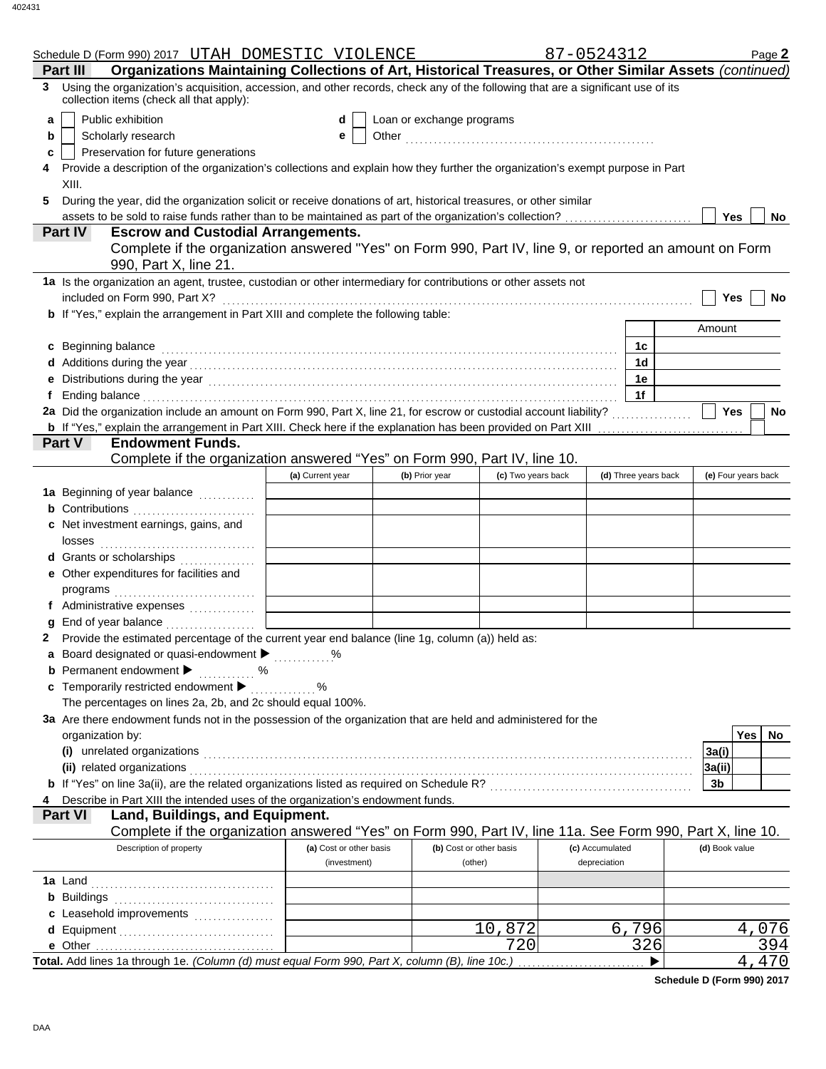| Schedule D (Form 990) 2017 UTAH DOMESTIC VIOLENCE                                                                                                                                                                                  |                                         |                           |                                    | 87-0524312                      |                      |                     | Page 2            |
|------------------------------------------------------------------------------------------------------------------------------------------------------------------------------------------------------------------------------------|-----------------------------------------|---------------------------|------------------------------------|---------------------------------|----------------------|---------------------|-------------------|
| Organizations Maintaining Collections of Art, Historical Treasures, or Other Similar Assets (continued)<br>Part II                                                                                                                 |                                         |                           |                                    |                                 |                      |                     |                   |
| Using the organization's acquisition, accession, and other records, check any of the following that are a significant use of its<br>3<br>collection items (check all that apply):                                                  |                                         |                           |                                    |                                 |                      |                     |                   |
| Public exhibition<br>a                                                                                                                                                                                                             | d                                       | Loan or exchange programs |                                    |                                 |                      |                     |                   |
| Scholarly research<br>b                                                                                                                                                                                                            | е                                       |                           |                                    |                                 |                      |                     |                   |
| Preservation for future generations<br>c                                                                                                                                                                                           |                                         |                           |                                    |                                 |                      |                     |                   |
| Provide a description of the organization's collections and explain how they further the organization's exempt purpose in Part<br>4                                                                                                |                                         |                           |                                    |                                 |                      |                     |                   |
| XIII.                                                                                                                                                                                                                              |                                         |                           |                                    |                                 |                      |                     |                   |
| During the year, did the organization solicit or receive donations of art, historical treasures, or other similar<br>5                                                                                                             |                                         |                           |                                    |                                 |                      |                     |                   |
|                                                                                                                                                                                                                                    |                                         |                           |                                    |                                 |                      | <b>Yes</b>          | <b>No</b>         |
| Part IV<br><b>Escrow and Custodial Arrangements.</b>                                                                                                                                                                               |                                         |                           |                                    |                                 |                      |                     |                   |
| Complete if the organization answered "Yes" on Form 990, Part IV, line 9, or reported an amount on Form<br>990, Part X, line 21.                                                                                                   |                                         |                           |                                    |                                 |                      |                     |                   |
| 1a Is the organization an agent, trustee, custodian or other intermediary for contributions or other assets not                                                                                                                    |                                         |                           |                                    |                                 |                      |                     |                   |
| included on Form 990, Part X?                                                                                                                                                                                                      |                                         |                           |                                    |                                 |                      | Yes                 | <b>No</b>         |
| <b>b</b> If "Yes," explain the arrangement in Part XIII and complete the following table:                                                                                                                                          |                                         |                           |                                    |                                 |                      |                     |                   |
|                                                                                                                                                                                                                                    |                                         |                           |                                    |                                 |                      | Amount              |                   |
| c Beginning balance                                                                                                                                                                                                                |                                         |                           |                                    |                                 | 1c                   |                     |                   |
|                                                                                                                                                                                                                                    |                                         |                           |                                    |                                 | 1d                   |                     |                   |
| e Distributions during the year manufactured contains and the year manufactured with the set of the set of the                                                                                                                     |                                         |                           |                                    |                                 | 1е                   |                     |                   |
|                                                                                                                                                                                                                                    |                                         |                           |                                    |                                 | 1f                   |                     |                   |
|                                                                                                                                                                                                                                    |                                         |                           |                                    |                                 |                      | <b>Yes</b>          | No                |
| <b>b</b> If "Yes," explain the arrangement in Part XIII. Check here if the explanation has been provided on Part XIII                                                                                                              |                                         |                           |                                    |                                 |                      |                     |                   |
| Part V<br><b>Endowment Funds.</b>                                                                                                                                                                                                  |                                         |                           |                                    |                                 |                      |                     |                   |
| Complete if the organization answered "Yes" on Form 990, Part IV, line 10.                                                                                                                                                         |                                         |                           |                                    |                                 |                      |                     |                   |
|                                                                                                                                                                                                                                    | (a) Current year                        | (b) Prior year            | (c) Two years back                 |                                 | (d) Three years back | (e) Four years back |                   |
| 1a Beginning of year balance                                                                                                                                                                                                       |                                         |                           |                                    |                                 |                      |                     |                   |
| <b>b</b> Contributions <b>contributions</b>                                                                                                                                                                                        |                                         |                           |                                    |                                 |                      |                     |                   |
| c Net investment earnings, gains, and                                                                                                                                                                                              |                                         |                           |                                    |                                 |                      |                     |                   |
| losses                                                                                                                                                                                                                             |                                         |                           |                                    |                                 |                      |                     |                   |
| d Grants or scholarships<br>.                                                                                                                                                                                                      |                                         |                           |                                    |                                 |                      |                     |                   |
| e Other expenditures for facilities and                                                                                                                                                                                            |                                         |                           |                                    |                                 |                      |                     |                   |
|                                                                                                                                                                                                                                    |                                         |                           |                                    |                                 |                      |                     |                   |
|                                                                                                                                                                                                                                    |                                         |                           |                                    |                                 |                      |                     |                   |
|                                                                                                                                                                                                                                    |                                         |                           |                                    |                                 |                      |                     |                   |
| 2 Provide the estimated percentage of the current year end balance (line 1g, column (a)) held as:                                                                                                                                  |                                         |                           |                                    |                                 |                      |                     |                   |
| a Board designated or quasi-endowment $\blacktriangleright$                                                                                                                                                                        |                                         |                           |                                    |                                 |                      |                     |                   |
| <b>b</b> Permanent endowment >                                                                                                                                                                                                     | . %                                     |                           |                                    |                                 |                      |                     |                   |
| . %<br>c Temporarily restricted endowment >                                                                                                                                                                                        |                                         |                           |                                    |                                 |                      |                     |                   |
| The percentages on lines 2a, 2b, and 2c should equal 100%.                                                                                                                                                                         | $\ldots$ %                              |                           |                                    |                                 |                      |                     |                   |
| 3a Are there endowment funds not in the possession of the organization that are held and administered for the                                                                                                                      |                                         |                           |                                    |                                 |                      |                     |                   |
| organization by:                                                                                                                                                                                                                   |                                         |                           |                                    |                                 |                      |                     | <b>Yes</b><br>No. |
|                                                                                                                                                                                                                                    |                                         |                           |                                    |                                 |                      | 3a(i)               |                   |
| (i) unrelated organizations <i>contraction</i> and contract or an analysis of the contract or analysis of the contract or analysis of the contract of the contract of the contract of the contract of the contract of the contract |                                         |                           |                                    |                                 |                      | 3a(ii)              |                   |
| (ii) related organizations<br>b If "Yes" on line 3a(ii), are the related organizations listed as required on Schedule R? [[[[[[[[[[[[[[[[[[[                                                                                       |                                         |                           |                                    |                                 |                      | 3b                  |                   |
|                                                                                                                                                                                                                                    |                                         |                           |                                    |                                 |                      |                     |                   |
| Describe in Part XIII the intended uses of the organization's endowment funds.<br>Land, Buildings, and Equipment.<br><b>Part VI</b>                                                                                                |                                         |                           |                                    |                                 |                      |                     |                   |
| Complete if the organization answered "Yes" on Form 990, Part IV, line 11a. See Form 990, Part X, line 10.                                                                                                                         |                                         |                           |                                    |                                 |                      |                     |                   |
|                                                                                                                                                                                                                                    |                                         |                           |                                    |                                 |                      |                     |                   |
| Description of property                                                                                                                                                                                                            | (a) Cost or other basis<br>(investment) |                           | (b) Cost or other basis<br>(other) | (c) Accumulated<br>depreciation |                      | (d) Book value      |                   |
|                                                                                                                                                                                                                                    |                                         |                           |                                    |                                 |                      |                     |                   |
| <b>1a</b> Land                                                                                                                                                                                                                     |                                         |                           |                                    |                                 |                      |                     |                   |
|                                                                                                                                                                                                                                    |                                         |                           |                                    |                                 |                      |                     |                   |
| c Leasehold improvements                                                                                                                                                                                                           |                                         |                           |                                    |                                 |                      |                     |                   |
|                                                                                                                                                                                                                                    |                                         |                           | 10,872<br>$\overline{720}$         |                                 | 6,796                |                     | 4,076             |
|                                                                                                                                                                                                                                    |                                         |                           |                                    |                                 | $\overline{326}$     |                     | 394               |
| Total. Add lines 1a through 1e. (Column (d) must equal Form 990, Part X, column (B), line 10c.)                                                                                                                                    |                                         |                           |                                    |                                 |                      |                     | 4,470             |

**Schedule D (Form 990) 2017**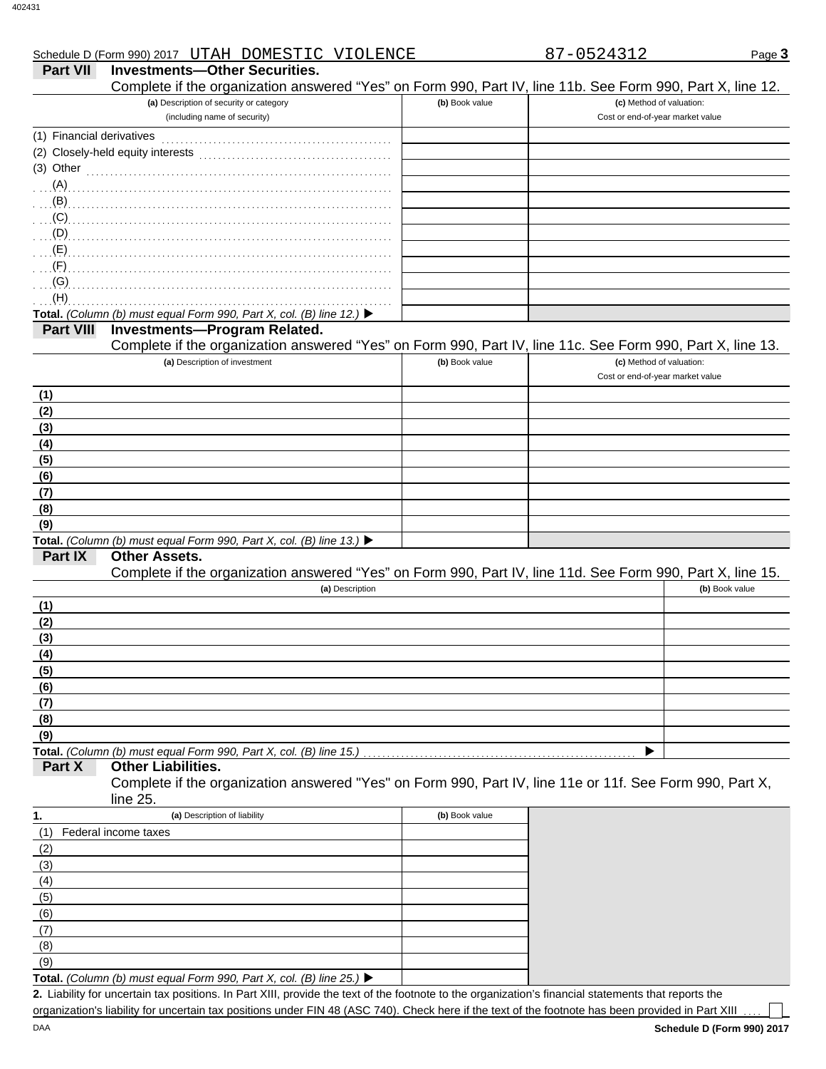| Schedule D (Form 990) 2017 UTAH DOMESTIC VIOLENCE                                                                    |                | 87-0524312                                                   | Page 3         |
|----------------------------------------------------------------------------------------------------------------------|----------------|--------------------------------------------------------------|----------------|
| <b>Investments-Other Securities.</b><br><b>Part VII</b>                                                              |                |                                                              |                |
| Complete if the organization answered "Yes" on Form 990, Part IV, line 11b. See Form 990, Part X, line 12.           |                |                                                              |                |
| (a) Description of security or category<br>(including name of security)                                              | (b) Book value | (c) Method of valuation:<br>Cost or end-of-year market value |                |
|                                                                                                                      |                |                                                              |                |
| (1) Financial derivatives                                                                                            |                |                                                              |                |
|                                                                                                                      |                |                                                              |                |
| $(3)$ Other<br>(A)                                                                                                   |                |                                                              |                |
| (B)                                                                                                                  |                |                                                              |                |
| (C)                                                                                                                  |                |                                                              |                |
| (D)                                                                                                                  |                |                                                              |                |
| (E)                                                                                                                  |                |                                                              |                |
| (F)                                                                                                                  |                |                                                              |                |
| (G)                                                                                                                  |                |                                                              |                |
| (H)                                                                                                                  |                |                                                              |                |
| Total. (Column (b) must equal Form 990, Part X, col. (B) line 12.) ▶                                                 |                |                                                              |                |
| <b>Investments-Program Related.</b><br><b>Part VIII</b>                                                              |                |                                                              |                |
| Complete if the organization answered "Yes" on Form 990, Part IV, line 11c. See Form 990, Part X, line 13.           |                |                                                              |                |
| (a) Description of investment                                                                                        | (b) Book value | (c) Method of valuation:                                     |                |
|                                                                                                                      |                | Cost or end-of-year market value                             |                |
| (1)                                                                                                                  |                |                                                              |                |
| (2)                                                                                                                  |                |                                                              |                |
| (3)                                                                                                                  |                |                                                              |                |
| (4)                                                                                                                  |                |                                                              |                |
| (5)                                                                                                                  |                |                                                              |                |
| (6)                                                                                                                  |                |                                                              |                |
| (7)<br>(8)                                                                                                           |                |                                                              |                |
| (9)                                                                                                                  |                |                                                              |                |
| Total. (Column (b) must equal Form 990, Part X, col. (B) line 13.) ▶                                                 |                |                                                              |                |
| Part IX<br>Other Assets.                                                                                             |                |                                                              |                |
| Complete if the organization answered "Yes" on Form 990, Part IV, line 11d. See Form 990, Part X, line 15.           |                |                                                              |                |
| (a) Description                                                                                                      |                |                                                              | (b) Book value |
| (1)                                                                                                                  |                |                                                              |                |
| (2                                                                                                                   |                |                                                              |                |
| (3)                                                                                                                  |                |                                                              |                |
| (4)                                                                                                                  |                |                                                              |                |
| (5)                                                                                                                  |                |                                                              |                |
| (6)                                                                                                                  |                |                                                              |                |
| (7)                                                                                                                  |                |                                                              |                |
| (8)                                                                                                                  |                |                                                              |                |
| (9)                                                                                                                  |                |                                                              |                |
| Total. (Column (b) must equal Form 990, Part X, col. (B) line 15.)                                                   |                |                                                              |                |
| <b>Other Liabilities.</b><br>Part X                                                                                  |                |                                                              |                |
| Complete if the organization answered "Yes" on Form 990, Part IV, line 11e or 11f. See Form 990, Part X,<br>line 25. |                |                                                              |                |
| (a) Description of liability                                                                                         | (b) Book value |                                                              |                |
| 1.<br>Federal income taxes                                                                                           |                |                                                              |                |
| (1)<br>(2)                                                                                                           |                |                                                              |                |
| (3)                                                                                                                  |                |                                                              |                |
| (4)                                                                                                                  |                |                                                              |                |
| (5)                                                                                                                  |                |                                                              |                |
| (6)                                                                                                                  |                |                                                              |                |
| (7)                                                                                                                  |                |                                                              |                |

**Total.** *(Column (b) must equal Form 990, Part X, col. (B) line 25.)*   $(9)$ 

Liability for uncertain tax positions. In Part XIII, provide the text of the footnote to the organization's financial statements that reports the **2.** organization's liability for uncertain tax positions under FIN 48 (ASC 740). Check here if the text of the footnote has been provided in Part XIII

DAA

(8)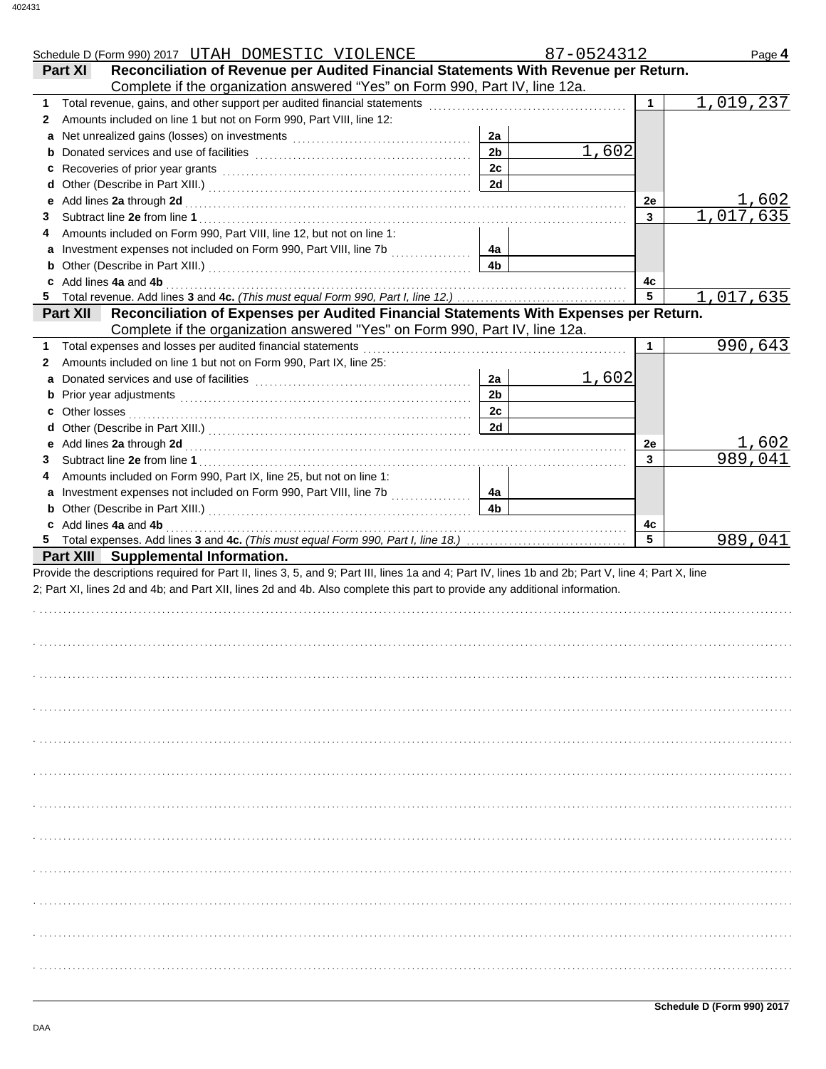| Schedule D (Form 990) 2017 UTAH DOMESTIC VIOLENCE                                                                                                  | 87-0524312              |                         | Page 4             |
|----------------------------------------------------------------------------------------------------------------------------------------------------|-------------------------|-------------------------|--------------------|
| Reconciliation of Revenue per Audited Financial Statements With Revenue per Return.<br>Part XI                                                     |                         |                         |                    |
| Complete if the organization answered "Yes" on Form 990, Part IV, line 12a.                                                                        |                         |                         |                    |
| Total revenue, gains, and other support per audited financial statements                                                                           |                         | 1.                      | 1,019,237          |
| Amounts included on line 1 but not on Form 990, Part VIII, line 12:<br>$\mathbf{2}$                                                                |                         |                         |                    |
|                                                                                                                                                    | 2a                      |                         |                    |
| b                                                                                                                                                  | 2 <sub>b</sub><br>1,602 |                         |                    |
|                                                                                                                                                    | 2c<br>2d                |                         |                    |
|                                                                                                                                                    |                         |                         |                    |
|                                                                                                                                                    |                         | 2е<br>$\overline{3}$    | 1,602<br>1,017,635 |
| 3<br>Amounts included on Form 990, Part VIII, line 12, but not on line 1:                                                                          |                         |                         |                    |
| 4<br>a Investment expenses not included on Form 990, Part VIII, line 7b [                                                                          | 4a                      |                         |                    |
|                                                                                                                                                    | 4 <sub>b</sub>          |                         |                    |
| c Add lines 4a and 4b                                                                                                                              |                         | 4c                      |                    |
|                                                                                                                                                    |                         | $\overline{\mathbf{5}}$ | 1,017,635          |
| Reconciliation of Expenses per Audited Financial Statements With Expenses per Return.<br>Part XII                                                  |                         |                         |                    |
| Complete if the organization answered "Yes" on Form 990, Part IV, line 12a.                                                                        |                         |                         |                    |
| Total expenses and losses per audited financial statements                                                                                         |                         | $\mathbf 1$             | 990,643            |
| Amounts included on line 1 but not on Form 990, Part IX, line 25:<br>$\mathbf{2}$                                                                  |                         |                         |                    |
| a                                                                                                                                                  | 1,602<br>2a             |                         |                    |
|                                                                                                                                                    | 2 <sub>b</sub>          |                         |                    |
|                                                                                                                                                    | 2c                      |                         |                    |
|                                                                                                                                                    | 2d                      |                         |                    |
|                                                                                                                                                    |                         | 2e                      | 1,602              |
| 3                                                                                                                                                  |                         | 3                       | 989,04             |
| Amounts included on Form 990, Part IX, line 25, but not on line 1:                                                                                 |                         |                         |                    |
| a Investment expenses not included on Form 990, Part VIII, line 7b                                                                                 | 4a                      |                         |                    |
|                                                                                                                                                    | 4 <sub>b</sub>          |                         |                    |
| c Add lines 4a and 4b                                                                                                                              |                         | 4с                      |                    |
|                                                                                                                                                    |                         | 5                       | 989,041            |
| Part XIII Supplemental Information.                                                                                                                |                         |                         |                    |
| Provide the descriptions required for Part II, lines 3, 5, and 9; Part III, lines 1a and 4; Part IV, lines 1b and 2b; Part V, line 4; Part X, line |                         |                         |                    |
| 2; Part XI, lines 2d and 4b; and Part XII, lines 2d and 4b. Also complete this part to provide any additional information.                         |                         |                         |                    |
|                                                                                                                                                    |                         |                         |                    |
|                                                                                                                                                    |                         |                         |                    |
|                                                                                                                                                    |                         |                         |                    |
|                                                                                                                                                    |                         |                         |                    |
|                                                                                                                                                    |                         |                         |                    |
|                                                                                                                                                    |                         |                         |                    |
|                                                                                                                                                    |                         |                         |                    |
|                                                                                                                                                    |                         |                         |                    |
|                                                                                                                                                    |                         |                         |                    |
|                                                                                                                                                    |                         |                         |                    |
|                                                                                                                                                    |                         |                         |                    |
|                                                                                                                                                    |                         |                         |                    |
|                                                                                                                                                    |                         |                         |                    |
|                                                                                                                                                    |                         |                         |                    |
|                                                                                                                                                    |                         |                         |                    |
|                                                                                                                                                    |                         |                         |                    |
|                                                                                                                                                    |                         |                         |                    |
|                                                                                                                                                    |                         |                         |                    |
|                                                                                                                                                    |                         |                         |                    |
|                                                                                                                                                    |                         |                         |                    |
|                                                                                                                                                    |                         |                         |                    |
|                                                                                                                                                    |                         |                         |                    |
|                                                                                                                                                    |                         |                         |                    |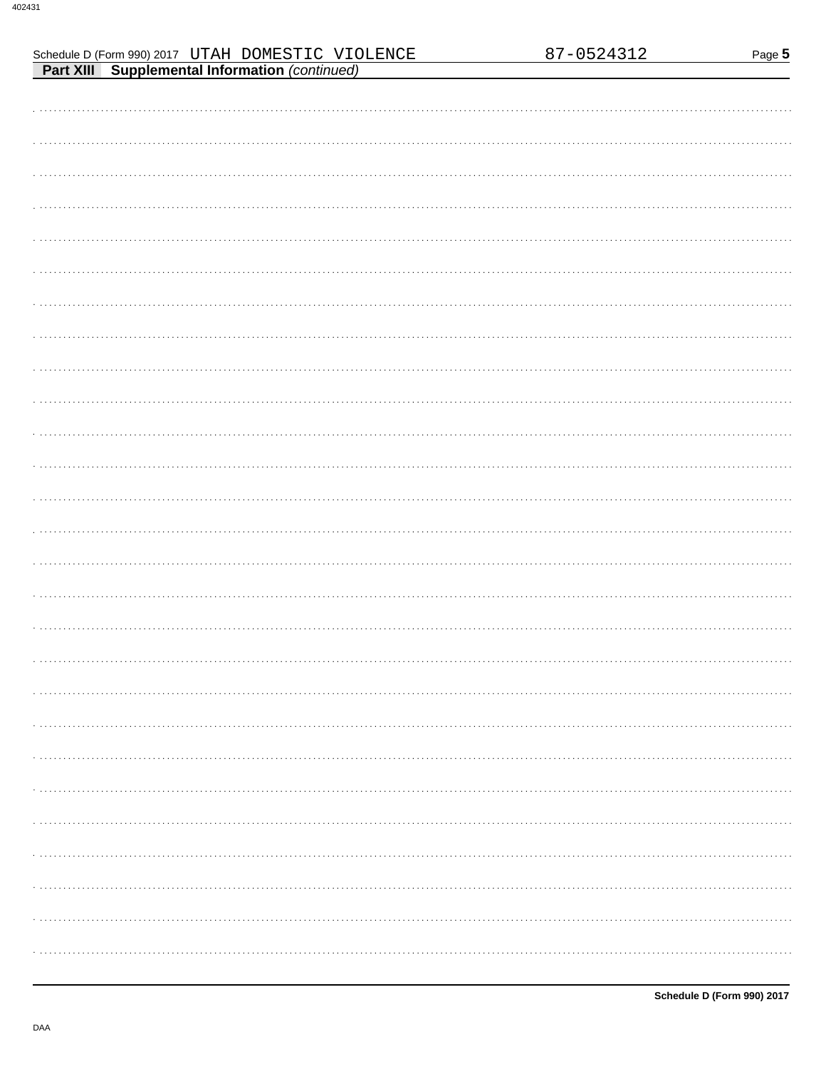| Schedule D (Form 990) 2017 UTAH DOMESTIC VIOLENCE     | 87-0524312 | Page 5 |
|-------------------------------------------------------|------------|--------|
| <b>Part XIII</b> Supplemental Information (continued) |            |        |
|                                                       |            |        |
|                                                       |            |        |
|                                                       |            |        |
|                                                       |            |        |
|                                                       |            |        |
|                                                       |            |        |
|                                                       |            |        |
|                                                       |            |        |
|                                                       |            |        |
|                                                       |            |        |
|                                                       |            |        |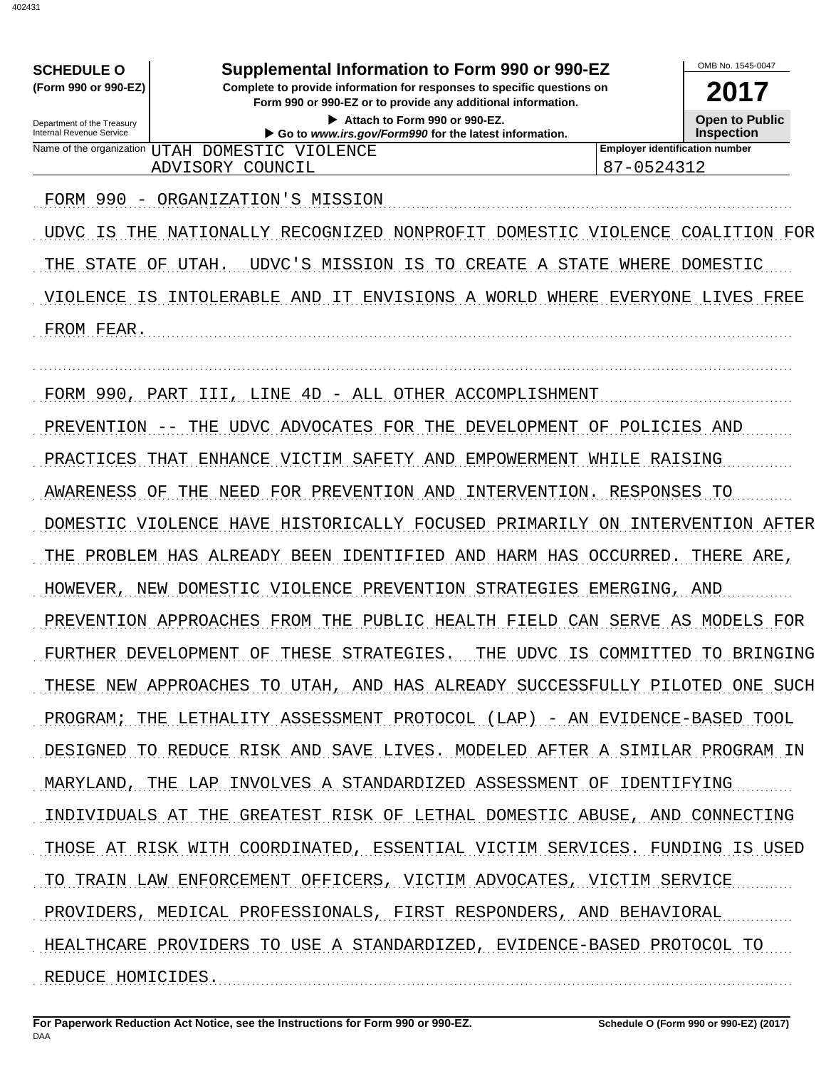| <b>SCHEDULE O</b>                                      | Supplemental Information to Form 990 or 990-EZ                                                                                         |                                       | OMB No. 1545-0047                          |
|--------------------------------------------------------|----------------------------------------------------------------------------------------------------------------------------------------|---------------------------------------|--------------------------------------------|
| (Form 990 or 990-EZ)                                   | Complete to provide information for responses to specific questions on<br>Form 990 or 990-EZ or to provide any additional information. |                                       | 2017                                       |
| Department of the Treasury<br>Internal Revenue Service | Attach to Form 990 or 990-EZ.<br>Go to www.irs.gov/Form990 for the latest information.                                                 |                                       | <b>Open to Public</b><br><b>Inspection</b> |
|                                                        | Name of the organization UTAH DOMESTIC VIOLENCE                                                                                        | <b>Employer identification number</b> |                                            |
|                                                        | ADVISORY COUNCIL                                                                                                                       | 87-0524312                            |                                            |
|                                                        |                                                                                                                                        |                                       |                                            |

FORM 990 - ORGANIZATION'S MISSION

UDVC IS THE NATIONALLY RECOGNIZED NONPROFIT DOMESTIC VIOLENCE COALITION FOR THE STATE OF UTAH. UDVC'S MISSION IS TO CREATE A STATE WHERE DOMESTIC <u>VIOLENCE IS INTOLERABLE AND IT ENVISIONS A WORLD WHERE EVERYONE LIVES FREE</u> . . . . . . . . . . . . . . . . . . . . . . . . . . . . . . . . . . . . . . . . . . . . . . . . . . . . . . . . . . . . . . . . . . . . . . . . . . . . . . . . . . . . . . . . . . . . . . . . . . . . . . . . . . . . . . . . . . . . . . . . . . . . . . . . . . . . . . . . . . . . . . . . . . . . . . . . . . . . . . . . . FROM FEAR.

. . . . . . . . . . . . . . . . . . . . . . . . . . . . . . . . . . . . . . . . . . . . . . . . . . . . . . . . . . . . . . . . . . . . . . . . . . . . . . . . . . . . . . . . . . . . . . . . . . . . . . . . . . . . . . . . . . . . . . . . . . . . . . . . . . . . . . . . . . . . . . . . . . . . . . . . . . . . . . . . .

FORM 990, PART III, LINE 4D - ALL OTHER ACCOMPLISHMENT PREVENTION -- THE UDVC ADVOCATES FOR THE DEVELOPMENT OF POLICIES AND PRACTICES THAT ENHANCE VICTIM SAFETY AND EMPOWERMENT WHILE RAISING AWARENESS OF THE NEED FOR PREVENTION AND INTERVENTION. RESPONSES TO DOMESTIC VIOLENCE HAVE HISTORICALLY FOCUSED PRIMARILY ON INTERVENTION AFTER THE PROBLEM HAS ALREADY BEEN IDENTIFIED AND HARM HAS OCCURRED. THERE ARE, HOWEVER, NEW DOMESTIC VIOLENCE PREVENTION STRATEGIES EMERGING, AND PREVENTION APPROACHES FROM THE PUBLIC HEALTH FIELD CAN SERVE AS MODELS FOR FURTHER DEVELOPMENT OF THESE STRATEGIES. THE UDVC IS COMMITTED TO BRINGING THESE NEW APPROACHES TO UTAH, AND HAS ALREADY SUCCESSFULLY PILOTED ONE SUCH PROGRAM; THE LETHALITY ASSESSMENT PROTOCOL (LAP) - AN EVIDENCE-BASED TOOL DESIGNED TO REDUCE RISK AND SAVE LIVES. MODELED AFTER A SIMILAR PROGRAM IN MARYLAND, THE LAP INVOLVES A STANDARDIZED ASSESSMENT OF IDENTIFYING INDIVIDUALS AT THE GREATEST RISK OF LETHAL DOMESTIC ABUSE, AND CONNECTING <u>. THOSE AT RISK WITH COORDINATED, ESSENTIAL VICTIM SERVICES. FUNDING IS USED</u> TO TRAIN LAW ENFORCEMENT OFFICERS, VICTIM ADVOCATES, VICTIM SERVICE PROVIDERS, MEDICAL PROFESSIONALS, FIRST RESPONDERS, AND BEHAVIORAL HEALTHCARE PROVIDERS TO USE A STANDARDIZED, EVIDENCE-BASED PROTOCOL TO REDUCE HOMICIDES.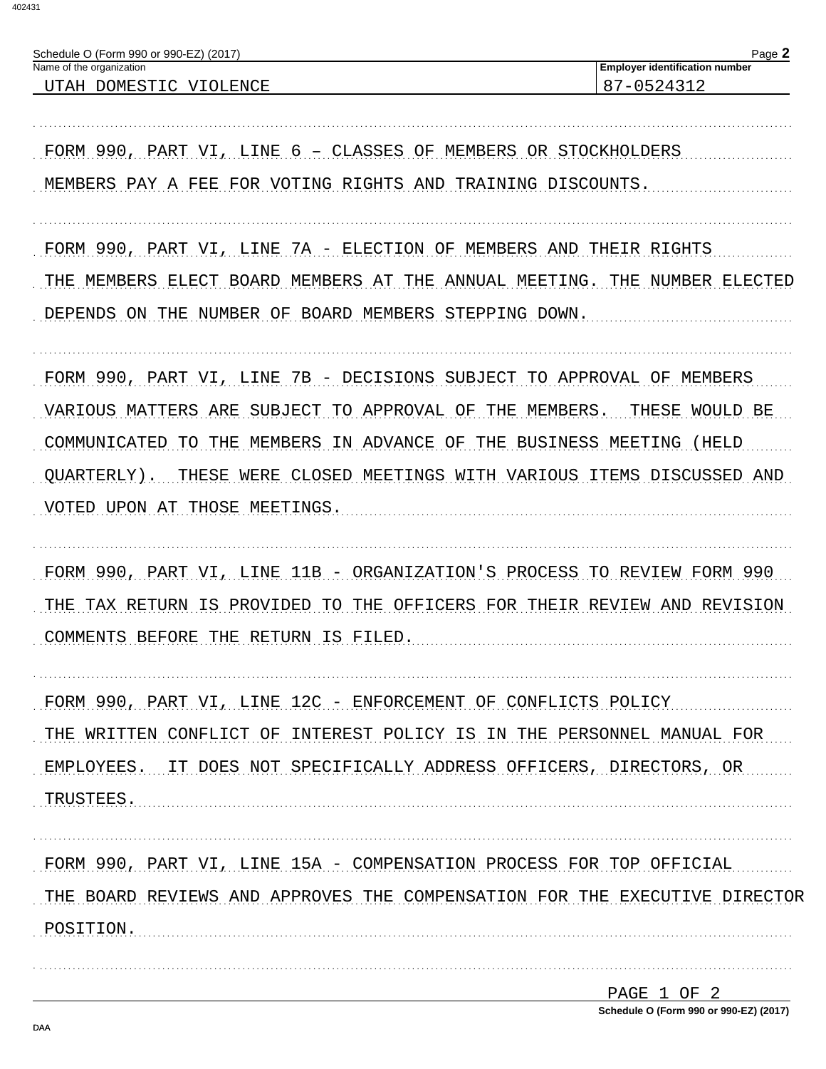| Schedule O (Form 990 or 990-EZ) (2017)<br>Name of the organization            | Page 2<br><b>Employer identification number</b> |
|-------------------------------------------------------------------------------|-------------------------------------------------|
| UTAH DOMESTIC VIOLENCE                                                        | 87-0524312                                      |
| FORM 990, PART VI, LINE 6 - CLASSES OF MEMBERS OR STOCKHOLDERS                |                                                 |
| MEMBERS PAY A FEE FOR VOTING RIGHTS AND TRAINING DISCOUNTS.                   |                                                 |
| FORM 990, PART VI, LINE 7A - ELECTION OF MEMBERS AND                          | THEIR RIGHTS                                    |
| MEMBERS<br>ELECT BOARD<br>MEMBERS AT THE<br>ANNUAL MEETING.<br>THE            | THE<br>NUMBER ELECTED                           |
| <b>DEPENDS</b><br>ON THE<br>NUMBER OF BOARD MEMBERS STEPPING DOWN.            |                                                 |
| FORM 990, PART VI, LINE 7B - DECISIONS SUBJECT TO APPROVAL OF MEMBERS         |                                                 |
| MATTERS<br>SUBJECT TO APPROVAL OF THE<br>VARIOUS<br>ARE                       | MEMBERS.<br>THESE<br><b>WOULD BE</b>            |
| IN ADVANCE OF THE<br>COMMUNICATED<br>TO THE<br>MEMBERS                        | BUSINESS<br>MEETING<br>(HELD                    |
| WERE CLOSED MEETINGS WITH VARIOUS ITEMS DISCUSSED AND<br>QUARTERLY).<br>THESE |                                                 |
| VOTED UPON AT THOSE MEETINGS.                                                 |                                                 |
| FORM 990, PART VI, LINE 11B - ORGANIZATION'S PROCESS TO REVIEW FORM 990       |                                                 |
| IS<br>PROVIDED<br>THE<br>TAX RETURN<br>TO                                     | THE OFFICERS FOR THEIR REVIEW AND REVISION      |
| COMMENTS BEFORE THE RETURN IS FILED.                                          |                                                 |
| FORM 990, PART VI, LINE 12C - ENFORCEMENT OF CONFLICTS POLICY                 |                                                 |
| THE WRITTEN CONFLICT OF INTEREST POLICY IS IN THE PERSONNEL MANUAL FOR        |                                                 |
| EMPLOYEES.<br>IT DOES NOT SPECIFICALLY ADDRESS OFFICERS, DIRECTORS, OR        |                                                 |
| TRUSTEES.                                                                     |                                                 |
| FORM 990, PART VI, LINE 15A - COMPENSATION PROCESS FOR TOP OFFICIAL           |                                                 |
| THE BOARD REVIEWS AND APPROVES THE COMPENSATION FOR THE EXECUTIVE DIRECTOR    |                                                 |
| POSITION.                                                                     |                                                 |
|                                                                               | PAGE 1 OF 2                                     |
|                                                                               | Schedule O (Form 990 or 990-EZ) (2017)          |